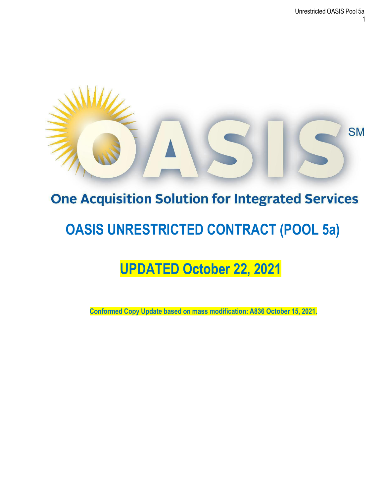

## **One Acquisition Solution for Integrated Services**

# **OASIS UNRESTRICTED CONTRACT (POOL 5a)**

# **UPDATED October 22, 2021**

**Conformed Copy Update based on mass modification: A836 October 15, 2021.**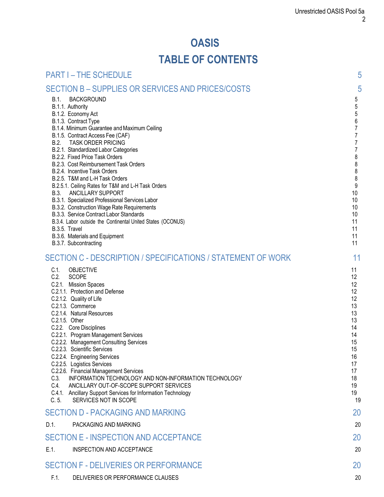## **OASIS TABLE OF CONTENTS**

| <b>PART I – THE SCHEDULE</b>                                                                                                                                                                                                                                                                                                                                                                                                                                                                                                                                                                                                                                                                                                                                                                                                         | 5                                                                                                                                                                        |
|--------------------------------------------------------------------------------------------------------------------------------------------------------------------------------------------------------------------------------------------------------------------------------------------------------------------------------------------------------------------------------------------------------------------------------------------------------------------------------------------------------------------------------------------------------------------------------------------------------------------------------------------------------------------------------------------------------------------------------------------------------------------------------------------------------------------------------------|--------------------------------------------------------------------------------------------------------------------------------------------------------------------------|
| SECTION B - SUPPLIES OR SERVICES AND PRICES/COSTS<br><b>BACKGROUND</b><br>B.1.<br>B.1.1. Authority<br>B.1.2. Economy Act<br>B.1.3. Contract Type<br>B.1.4. Minimum Guarantee and Maximum Ceiling<br>B.1.5. Contract Access Fee (CAF)<br><b>B.2. TASK ORDER PRICING</b><br>B.2.1. Standardized Labor Categories<br>B.2.2. Fixed Price Task Orders<br>B.2.3. Cost Reimbursement Task Orders<br>B.2.4. Incentive Task Orders<br>B.2.5. T&M and L-H Task Orders<br>B.2.5.1. Ceiling Rates for T&M and L-H Task Orders<br>B.3.<br>ANCILLARY SUPPORT<br>B.3.1. Specialized Professional Services Labor<br>B.3.2. Construction Wage Rate Requirements<br>B.3.3. Service Contract Labor Standards<br>B.3.4. Labor outside the Continental United States (OCONUS)<br>B.3.5. Travel<br>B.3.6. Materials and Equipment<br>B.3.7. Subcontracting | 5<br>5<br>5<br>5<br>$\boldsymbol{6}$<br>$\overline{7}$<br>7<br>$\overline{7}$<br>$\overline{7}$<br>8<br>8<br>8<br>8<br>9<br>10<br>10<br>10<br>10<br>11<br>11<br>11<br>11 |
| SECTION C - DESCRIPTION / SPECIFICATIONS / STATEMENT OF WORK<br>C.1.<br><b>OBJECTIVE</b><br>C.2.<br><b>SCOPE</b><br>C.2.1. Mission Spaces<br>C.2.1.1. Protection and Defense<br>C.2.1.2. Quality of Life<br>C.2.1.3. Commerce<br>C.2.1.4. Natural Resources<br>C.2.1.5. Other<br>C.2.2. Core Disciplines<br>C.2.2.1. Program Management Services<br>C.2.2.2. Management Consulting Services<br>C.2.2.3. Scientific Services<br>C.2.2.4. Engineering Services<br>C.2.2.5. Logistics Services<br>C.2.2.6. Financial Management Services<br>C.3.<br>INFORMATION TECHNOLOGY AND NON-INFORMATION TECHNOLOGY<br>C.4.<br>ANCILLARY OUT-OF-SCOPE SUPPORT SERVICES<br>C.4.1. Ancillary Support Services for Information Technology<br>C.5.<br>SERVICES NOT IN SCOPE                                                                           | 11<br>11<br>12<br>12<br>12<br>12<br>13<br>13<br>13<br>14<br>14<br>15<br>15<br>16<br>17<br>17<br>18<br>19<br>19<br>19                                                     |
| <b>SECTION D - PACKAGING AND MARKING</b>                                                                                                                                                                                                                                                                                                                                                                                                                                                                                                                                                                                                                                                                                                                                                                                             | 20                                                                                                                                                                       |
| D.1.<br>PACKAGING AND MARKING                                                                                                                                                                                                                                                                                                                                                                                                                                                                                                                                                                                                                                                                                                                                                                                                        | 20                                                                                                                                                                       |
| <b>SECTION E - INSPECTION AND ACCEPTANCE</b>                                                                                                                                                                                                                                                                                                                                                                                                                                                                                                                                                                                                                                                                                                                                                                                         | 20                                                                                                                                                                       |
| E.1.<br>INSPECTION AND ACCEPTANCE                                                                                                                                                                                                                                                                                                                                                                                                                                                                                                                                                                                                                                                                                                                                                                                                    | 20                                                                                                                                                                       |
| <b>SECTION F - DELIVERIES OR PERFORMANCE</b>                                                                                                                                                                                                                                                                                                                                                                                                                                                                                                                                                                                                                                                                                                                                                                                         | 20                                                                                                                                                                       |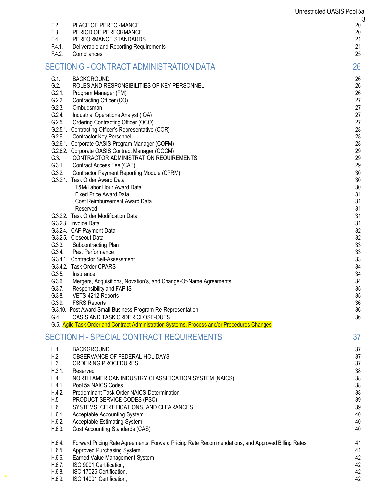| F.2.<br>F.3.<br>F.4.<br>F.4.1.<br>F.4.2.                                                                 | PLACE OF PERFORMANCE<br>PERIOD OF PERFORMANCE<br>PERFORMANCE STANDARDS<br>Deliverable and Reporting Requirements<br>Compliances                                                                                                                                                                                                                                                                                                                                                                                                                                                                                                                                                                                                | 3<br>20<br>20<br>21<br>21<br>25                                                                                      |
|----------------------------------------------------------------------------------------------------------|--------------------------------------------------------------------------------------------------------------------------------------------------------------------------------------------------------------------------------------------------------------------------------------------------------------------------------------------------------------------------------------------------------------------------------------------------------------------------------------------------------------------------------------------------------------------------------------------------------------------------------------------------------------------------------------------------------------------------------|----------------------------------------------------------------------------------------------------------------------|
|                                                                                                          | <b>SECTION G - CONTRACT ADMINISTRATION DATA</b>                                                                                                                                                                                                                                                                                                                                                                                                                                                                                                                                                                                                                                                                                | 26                                                                                                                   |
| $G.1$ .<br>G.2.<br>G.2.1.<br>G.2.2.<br>G.2.3.<br>G.2.4.<br>G.2.5.<br>G.2.6.<br>G.3.<br>G.3.1.<br>G.3.2.  | <b>BACKGROUND</b><br>ROLES AND RESPONSIBILITIES OF KEY PERSONNEL<br>Program Manager (PM)<br>Contracting Officer (CO)<br>Ombudsman<br>Industrial Operations Analyst (IOA)<br>Ordering Contracting Officer (OCO)<br>G.2.5.1. Contracting Officer's Representative (COR)<br>Contractor Key Personnel<br>G.2.6.1. Corporate OASIS Program Manager (COPM)<br>G.2.6.2. Corporate OASIS Contract Manager (COCM)<br>CONTRACTOR ADMINISTRATION REQUIREMENTS<br>Contract Access Fee (CAF)<br>Contractor Payment Reporting Module (CPRM)<br>G.3.2.1. Task Order Award Data<br><b>T&amp;M/Labor Hour Award Data</b><br><b>Fixed Price Award Data</b><br>Cost Reimbursement Award Data<br>Reserved<br>G.3.2.2. Task Order Modification Data | 26<br>26<br>26<br>27<br>27<br>27<br>27<br>28<br>28<br>28<br>29<br>29<br>29<br>30<br>30<br>30<br>31<br>31<br>31<br>31 |
| G.3.3.<br>G.3.4.<br>G.3.5.<br>G.3.6.<br>G.3.7.<br>G.3.8.<br>G.3.9.<br>G.4.                               | G.3.2.3. Invoice Data<br>G.3.2.4. CAF Payment Data<br>G.3.2.5. Closeout Data<br>Subcontracting Plan<br>Past Performance<br>G.3.4.1. Contractor Self-Assessment<br>G.3.4.2. Task Order CPARS<br>Insurance<br>Mergers, Acquisitions, Novation's, and Change-Of-Name Agreements<br>Responsibility and FAPIIS<br>VETS-4212 Reports<br><b>FSRS Reports</b><br>G.3.10. Post Award Small Business Program Re-Representation<br>OASIS AND TASK ORDER CLOSE-OUTS<br>G.5. Agile Task Order and Contract Administration Systems, Process and/or Procedures Changes                                                                                                                                                                        | 31<br>32<br>32<br>33<br>33<br>33<br>34<br>34<br>34<br>35<br>35<br>36<br>36<br>36                                     |
|                                                                                                          | <b>SECTION H - SPECIAL CONTRACT REQUIREMENTS</b>                                                                                                                                                                                                                                                                                                                                                                                                                                                                                                                                                                                                                                                                               | 37                                                                                                                   |
| H.1.<br>H.2.<br>H.3.<br>H.3.1.<br>H.4.<br>H.4.1.<br>H.4.2.<br>H.5.<br>H.6.<br>H.6.1.<br>H.6.2.<br>H.6.3. | <b>BACKGROUND</b><br>OBSERVANCE OF FEDERAL HOLIDAYS<br>ORDERING PROCEDURES<br>Reserved<br>NORTH AMERICAN INDUSTRY CLASSIFICATION SYSTEM (NAICS)<br>Pool 5a NAICS Codes<br>Predominant Task Order NAICS Determination<br>PRODUCT SERVICE CODES (PSC)<br>SYSTEMS, CERTIFICATIONS, AND CLEARANCES<br>Acceptable Accounting System<br><b>Acceptable Estimating System</b><br>Cost Accounting Standards (CAS)                                                                                                                                                                                                                                                                                                                       | 37<br>37<br>37<br>38<br>38<br>38<br>38<br>39<br>39<br>40<br>40<br>40                                                 |
| H.6.4.<br>H.6.5.<br>H.6.6.<br>H.6.7.<br>H.6.8.<br>H.6.9.                                                 | Forward Pricing Rate Agreements, Forward Pricing Rate Recommendations, and Approved Billing Rates<br>Approved Purchasing System<br>Earned Value Management System<br>ISO 9001 Certification,<br>ISO 17025 Certification,<br>ISO 14001 Certification,                                                                                                                                                                                                                                                                                                                                                                                                                                                                           | 41<br>41<br>42<br>42<br>42<br>42                                                                                     |

 $\langle \bullet$ 

Unrestricted OASIS Pool 5a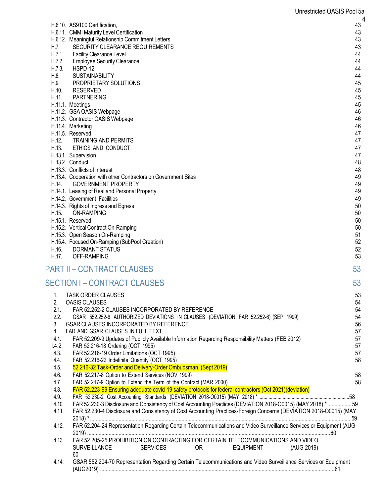| Unrestricted OASIS Pool 5a |  |  |  |
|----------------------------|--|--|--|
|----------------------------|--|--|--|

4

|                |                                                                                                                                         | 000 U NOI U VU U |
|----------------|-----------------------------------------------------------------------------------------------------------------------------------------|------------------|
|                | H.6.10. AS9100 Certification,                                                                                                           | 43               |
|                | H.6.11. CMMI Maturity Level Certification                                                                                               | 43               |
|                | H.6.12. Meaningful Relationship Commitment Letters                                                                                      | 43               |
| H.7.           | SECURITY CLEARANCE REQUIREMENTS                                                                                                         | 43               |
| H.7.1.         | <b>Facility Clearance Level</b>                                                                                                         | 44               |
| H.7.2.         | <b>Employee Security Clearance</b>                                                                                                      | 44               |
| H.7.3.         | HSPD-12                                                                                                                                 | 44               |
| H.8.           | <b>SUSTAINABILITY</b>                                                                                                                   | 44               |
| H.9.<br>H.10.  | PROPRIETARY SOLUTIONS<br><b>RESERVED</b>                                                                                                | 45<br>45         |
| H.11.          | <b>PARTNERING</b>                                                                                                                       | 45               |
|                | H.11.1. Meetings                                                                                                                        | 45               |
|                | H.11.2. GSA OASIS Webpage                                                                                                               | 46               |
|                | H.11.3. Contractor OASIS Webpage                                                                                                        | 46               |
|                | H.11.4. Marketing                                                                                                                       | 46               |
|                | H.11.5. Reserved                                                                                                                        | 47               |
| H.12.          | <b>TRAINING AND PERMITS</b>                                                                                                             | 47               |
| H.13.          | ETHICS AND CONDUCT                                                                                                                      | 47               |
|                | H.13.1. Supervision                                                                                                                     | 47               |
|                | H.13.2. Conduct                                                                                                                         | 48               |
|                | H.13.3. Conflicts of Interest                                                                                                           | 48               |
| H.14.          | H.13.4. Cooperation with other Contractors on Government Sites<br><b>GOVERNMENT PROPERTY</b>                                            | 49<br>49         |
|                | H.14.1. Leasing of Real and Personal Property                                                                                           | 49               |
|                | H.14.2. Government Facilities                                                                                                           | 49               |
|                | H.14.3. Rights of Ingress and Egress                                                                                                    | 50               |
| H.15.          | <b>ON-RAMPING</b>                                                                                                                       | 50               |
|                | H.15.1. Reserved                                                                                                                        | 50               |
|                | H.15.2. Vertical Contract On-Ramping                                                                                                    | 50               |
|                | H.15.3. Open Season On-Ramping                                                                                                          | 51               |
|                | H.15.4. Focused On-Ramping (SubPool Creation)                                                                                           | 52               |
| H.16.          | <b>DORMANT STATUS</b>                                                                                                                   | 52               |
| H.17.          | OFF-RAMPING                                                                                                                             | 53               |
|                | <b>PART II - CONTRACT CLAUSES</b>                                                                                                       | 53               |
|                | <b>SECTION I - CONTRACT CLAUSES</b>                                                                                                     | 53               |
| 1.1.           | <b>TASK ORDER CLAUSES</b>                                                                                                               | 53               |
| 1.2.           | OASIS CLAUSES                                                                                                                           | 54               |
| 1.2.1.         | FAR 52.252-2 CLAUSES INCORPORATED BY REFERENCE                                                                                          | 54               |
| 1.2.2.         | GSAR 552.252-6 AUTHORIZED DEVIATIONS IN CLAUSES (DEVIATION FAR 52.252-6) (SEP 1999)                                                     | 54               |
| 1.3.           | GSAR CLAUSES INCORPORATED BY REFERENCE                                                                                                  | 56               |
| I.4.<br>1.4.1. | FAR AND GSAR CLAUSES IN FULL TEXT<br>FAR 52.209-9 Updates of Publicly Available Information Regarding Responsibility Matters (FEB 2012) | 57               |
| 1.4.2.         | FAR 52.216-18 Ordering (OCT 1995)                                                                                                       | 57<br>57         |
| 1.4.3.         | FAR 52.216-19 Order Limitations (OCT 1995)                                                                                              | 57               |
| 1.4.4.         | FAR 52.216-22 Indefinite Quantity (OCT 1995)                                                                                            | 58               |
| 1.4.5.         | 52.216-32 Task-Order and Delivery-Order Ombudsman. (Sept 2019)                                                                          |                  |
| 1.4.6.         | FAR 52.217-8 Option to Extend Services (NOV 1999)                                                                                       | 58               |
| 1.4.7.         | FAR 52.217-9 Option to Extend the Term of the Contract (MAR 2000)                                                                       | 58               |
| 1.4.8.         | FAR 52.223-99 Ensuring adequate covid-19 safety protocols for federal contractors (Oct 2021) (deviation)                                |                  |
| 1.4.9.         |                                                                                                                                         |                  |
| 1.4.10.        | FAR 52.230-3 Disclosure and Consistency of Cost Accounting Practices (DEVIATION 2018-O0015) (MAY 2018) *59                              |                  |
| 1.4.11.        | FAR 52.230-4 Disclosure and Consistency of Cost Accounting Practices-Foreign Concerns (DEVIATION 2018-O0015) (MAY                       |                  |
|                |                                                                                                                                         |                  |
| 1.4.12.        | FAR 52.204-24 Representation Regarding Certain Telecommunications and Video Surveillance Services or Equipment (AUG                     |                  |
|                |                                                                                                                                         |                  |
| 1.4.13.        | FAR 52.205-25 PROHIBITION ON CONTRACTING FOR CERTAIN TELECOMMUNICATIONS AND VIDEO                                                       |                  |
|                | <b>EQUIPMENT</b><br><b>SURVEILLANCE</b><br><b>SERVICES</b><br>OR .<br>(AUG 2019)<br>60                                                  |                  |
| 1.4.14.        | GSAR 552.204-70 Representation Regarding Certain Telecommunications and Video Surveillance Services or Equipment                        |                  |

(AUG2019) [....................................................................................................................................................................61](#page-66-0)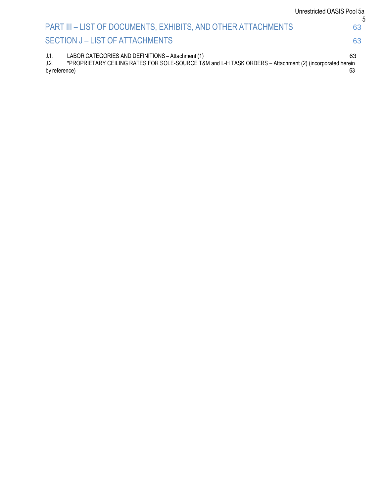1. LABOR [CATEGORIES](#page-67-1) AND DEFINITIONS – Attachment (1)<br>1.2. \*PROPRIETARY CEILING RATES FOR SOLE-SOURCE T&M and L-H TASK ORDERS – Attachment (2) (incorporated herein J.2. [\\*PROPRIETARY CEILING RATES FOR SOLE-SOURCE T&M and L-H TASK ORDERS](#page-67-2) – Attachment (2) (incorporated herein<br>63 by [reference\)](#page-67-2) 63

Unrestricted OASIS Pool 5a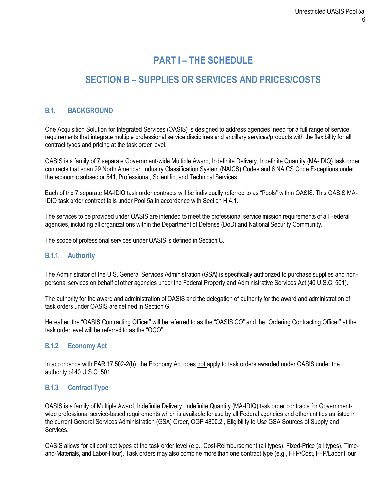### **PART I – THE SCHEDULE**

## **SECTION B – SUPPLIES OR SERVICES AND PRICES/COSTS**

#### **B.1. BACKGROUND**

One Acquisition Solution for Integrated Services (OASIS) is designed to address agencies' need for a full range of service requirements that integrate multiple professional service disciplines and ancillary services/products with the flexibility for all contract types and pricing at the task order level.

OASIS is a family of 7 separate Government-wide Multiple Award, Indefinite Delivery, Indefinite Quantity (MA-IDIQ) task order contracts that span 29 North American Industry Classification System (NAICS) Codes and 6 NAICS Code Exceptions under the economic subsector 541, Professional, Scientific, and Technical Services.

Each of the 7 separate MA-IDIQ task order contracts will be individually referred to as "Pools" within OASIS. This OASIS MA-IDIQ task order contract falls under Pool 5a in accordance with Section H.4.1.

The services to be provided under OASIS are intended tomeet the professional service mission requirements of all Federal agencies, including all organizations within the Department of Defense (DoD) and National Security Community.

The scope of professional services under OASIS is defined in Section C.

#### **B.1.1. Authority**

The Administrator of the U.S. General Services Administration (GSA) is specifically authorized to purchase supplies and nonpersonal services on behalf of other agencies under the Federal Property and Administrative Services Act (40 U.S.C. 501).

The authority for the award and administration of OASIS and the delegation of authority for the award and administration of task orders under OASIS are defined in Section G.

Hereafter, the "OASIS Contracting Officer" will be referred to as the "OASIS CO" and the "Ordering Contracting Officer" at the task order level will be referred to as the "OCO".

#### **B.1.2. Economy Act**

In accordance with FAR 17.502-2(b), the Economy Act does not apply to task orders awarded under OASIS under the authority of 40 U.S.C. 501.

#### <span id="page-5-0"></span>**B.1.3. Contract Type**

OASIS is a family of Multiple Award, Indefinite Delivery, Indefinite Quantity (MA-IDIQ) task order contracts for Governmentwide professional service-based requirements which is available for use by all Federal agencies and other entities as listed in the current General Services Administration (GSA) Order, OGP 4800.2I, Eligibility to Use GSA Sources of Supply and Services.

OASIS allows for all contract types at the task order level (e.g., Cost-Reimbursement (all types), Fixed-Price (all types), Timeand-Materials, and Labor-Hour). Task orders may also combine more than one contract type (e.g., FFP/Cost, FFP/Labor Hour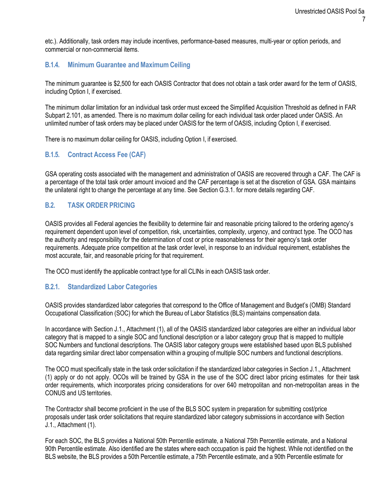etc.). Additionally, task orders may include incentives, performance-based measures, multi-year or option periods, and commercial or non-commercial items.

#### <span id="page-6-0"></span>**B.1.4. Minimum Guarantee and Maximum Ceiling**

The minimum guarantee is \$2,500 for each OASIS Contractor that does not obtain a task order award for the term of OASIS, including Option I, if exercised.

The minimum dollar limitation for an individual task order must exceed the Simplified Acquisition Threshold as defined in FAR Subpart 2.101, as amended. There is no maximum dollar ceiling for each individual task order placed under OASIS. An unlimited number of task orders may be placed under OASIS for the term of OASIS, including Option I, if exercised.

There is no maximum dollar ceiling for OASIS, including Option I, if exercised.

#### <span id="page-6-1"></span>**B.1.5. Contract Access Fee (CAF)**

GSA operating costs associated with the management and administration of OASIS are recovered through a CAF. The CAF is a percentage of the total task order amount invoiced and the CAF percentage is set at the discretion of GSA. GSA maintains the unilateral right to change the percentage at any time. See Section G.3.1. for more details regarding CAF.

#### <span id="page-6-2"></span>**B.2. TASK ORDER PRICING**

OASIS provides all Federal agencies the flexibility to determine fair and reasonable pricing tailored to the ordering agency's requirement dependent upon level of competition, risk, uncertainties, complexity, urgency, and contract type. The OCO has the authority and responsibility for the determination of cost or price reasonableness for their agency's task order requirements. Adequate price competition at the task order level, in response to an individual requirement, establishes the most accurate, fair, and reasonable pricing for that requirement.

The OCO must identify the applicable contract type for all CLINs in each OASIS task order.

#### <span id="page-6-3"></span>**B.2.1. Standardized Labor Categories**

OASIS provides standardized labor categories that correspond to the Office of Management and Budget's (OMB) Standard Occupational Classification (SOC) for which the Bureau of Labor Statistics (BLS) maintains compensation data.

In accordance with Section J.1., Attachment (1), all of the OASIS standardized labor categories are either an individual labor category that is mapped to a single SOC and functional description or a labor category group that is mapped to multiple SOC Numbers and functional descriptions. The OASIS labor category groups were established based upon BLS published data regarding similar direct labor compensation within a grouping of multiple SOC numbers and functional descriptions.

The OCO must specifically state in the task order solicitation if the standardized labor categories in Section J.1., Attachment (1) apply or do not apply. OCOs will be trained by GSA in the use of the SOC direct labor pricing estimates for their task order requirements, which incorporates pricing considerations for over 640 metropolitan and non-metropolitan areas in the CONUS and US territories.

The Contractor shall become proficient in the use of the BLS SOC system in preparation for submitting cost/price proposals under task order solicitations that require standardized labor category submissions in accordance with Section J.1., Attachment (1).

For each SOC, the BLS provides a National 50th Percentile estimate, a National 75th Percentile estimate, and a National 90th Percentile estimate. Also identified are the states where each occupation is paid the highest. While not identified on the BLS website, the BLS provides a 50th Percentile estimate, a 75th Percentile estimate, and a 90th Percentile estimate for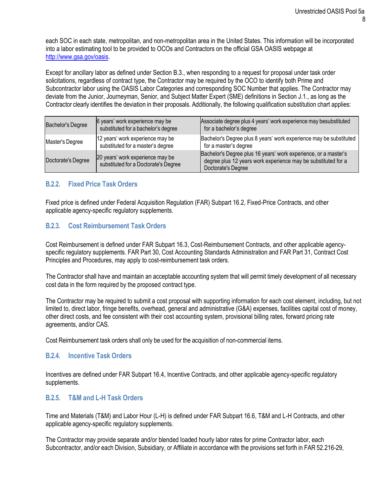each SOC in each state, metropolitan, and non-metropolitan area in the United States. This information will be incorporated into a labor estimating tool to be provided to OCOs and Contractors on the official GSA OASIS webpage at [http://www.gsa.gov/oasis.](http://www.gsa.gov/oasis)

Except for ancillary labor as defined under Section B.3., when responding to a request for proposal under task order solicitations, regardless of contract type, the Contractor may be required by the OCO to identify both Prime and Subcontractor labor using the OASIS Labor Categories and corresponding SOC Number that applies. The Contractor may deviate from the Junior, Journeyman, Senior, and Subject Matter Expert (SME) definitions in Section J.1., as long as the Contractor clearly identifies the deviation in their proposals. Additionally, the following qualification substitution chart applies:

| <b>Bachelor's Degree</b> | 6 years' work experience may be<br>substituted for a bachelor's degree   | Associate degree plus 4 years' work experience may besubstituted<br>for a bachelor's degree                                                            |
|--------------------------|--------------------------------------------------------------------------|--------------------------------------------------------------------------------------------------------------------------------------------------------|
| Master's Degree          | 12 years' work experience may be<br>substituted for a master's degree    | Bachelor's Degree plus 8 years' work experience may be substituted<br>for a master's degree                                                            |
| Doctorate's Degree       | 20 years' work experience may be<br>substituted for a Doctorate's Degree | Bachelor's Degree plus 16 years' work experience, or a master's<br>degree plus 12 years work experience may be substituted for a<br>Doctorate's Degree |

#### <span id="page-7-0"></span>**B.2.2. Fixed Price Task Orders**

Fixed price is defined under Federal Acquisition Regulation (FAR) Subpart 16.2, Fixed-Price Contracts, and other applicable agency-specific regulatory supplements.

#### <span id="page-7-1"></span>**B.2.3. Cost Reimbursement Task Orders**

Cost Reimbursement is defined under FAR Subpart 16.3, Cost-Reimbursement Contracts, and other applicable agencyspecific regulatory supplements. FAR Part 30, Cost Accounting Standards Administration and FAR Part 31, Contract Cost Principles and Procedures, may apply to cost-reimbursement task orders.

The Contractor shall have and maintain an acceptable accounting system that will permit timely development of all necessary cost data in the form required by the proposed contract type.

The Contractor may be required to submit a cost proposal with supporting information for each cost element, including, but not limited to, direct labor, fringe benefits, overhead, general and administrative (G&A) expenses, facilities capital cost of money, other direct costs, and fee consistent with their cost accounting system, provisional billing rates, forward pricing rate agreements, and/or CAS.

Cost Reimbursement task orders shall only be used for the acquisition of non-commercial items.

#### <span id="page-7-2"></span>**B.2.4. Incentive Task Orders**

Incentives are defined under FAR Subpart 16.4, Incentive Contracts, and other applicable agency-specific regulatory supplements.

#### <span id="page-7-3"></span>**B.2.5. T&M and L-H Task Orders**

Time and Materials (T&M) and Labor Hour (L-H) is defined under FAR Subpart 16.6, T&M and L-H Contracts, and other applicable agency-specific regulatory supplements.

The Contractor may provide separate and/or blended loaded hourly labor rates for prime Contractor labor, each Subcontractor, and/or each Division, Subsidiary, or Affiliate in accordance with the provisions set forth in FAR 52.216-29,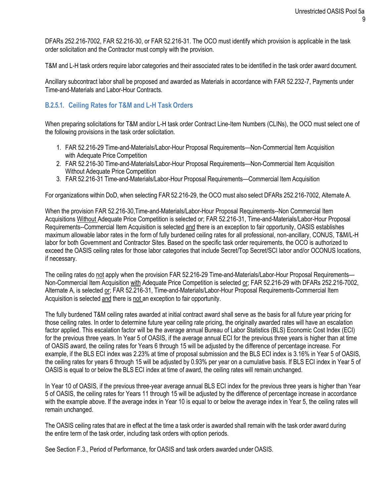DFARs 252.216-7002, FAR 52.216-30, or FAR 52.216-31. The OCO must identify which provision is applicable in the task order solicitation and the Contractor must comply with the provision.

T&M and L-H task orders require labor categories and their associated rates to be identified in the task order award document.

Ancillary subcontract labor shall be proposed and awarded as Materials in accordance with FAR 52.232-7, Payments under Time-and-Materials and Labor-Hour Contracts.

#### <span id="page-8-0"></span>**B.2.5.1. Ceiling Rates for T&M and L-H Task Orders**

When preparing solicitations for T&M and/or L-H task order Contract Line-Item Numbers (CLINs), the OCO must select one of the following provisions in the task order solicitation.

- 1. FAR 52.216-29 Time-and-Materials/Labor-Hour Proposal Requirements—Non-Commercial Item Acquisition with Adequate Price Competition
- 2. FAR 52.216-30 Time-and-Materials/Labor-Hour Proposal Requirements—Non-Commercial Item Acquisition Without Adequate Price Competition
- 3. FAR 52.216-31 Time-and-Materials/Labor-Hour Proposal Requirements—Commercial Item Acquisition

For organizations within DoD, when selecting FAR 52.216-29, the OCO must also select DFARs 252.216-7002, Alternate A.

When the provision FAR 52.216-30,Time-and-Materials/Labor-Hour Proposal Requirements--Non Commercial Item Acquisitions Without Adequate Price Competition is selected or; FAR 52.216-31, Time-and-Materials/Labor-Hour Proposal Requirements--Commercial Item Acquisition is selected and there is an exception to fair opportunity, OASIS establishes maximum allowable labor rates in the form of fully burdened ceiling rates for all professional, non-ancillary, CONUS, T&M/L-H labor for both Government and Contractor Sites. Based on the specific task order requirements, the OCO is authorized to exceed the OASIS ceiling rates for those labor categories that include Secret/Top Secret/SCI labor and/or OCONUS locations, if necessary.

The ceiling rates do not apply when the provision FAR 52.216-29 Time-and-Materials/Labor-Hour Proposal Requirements— Non-Commercial Item Acquisition with Adequate Price Competition is selected or; FAR 52.216-29 with DFARs 252.216-7002, Alternate A, is selected or; FAR 52.216-31, Time-and-Materials/Labor-Hour Proposal Requirements-Commercial Item Acquisition is selected and there is not an exception to fair opportunity.

The fully burdened T&M ceiling rates awarded at initial contract award shall serve as the basis for all future year pricing for those ceiling rates. In order to determine future year ceiling rate pricing, the originally awarded rates will have an escalation factor applied. This escalation factor will be the average annual Bureau of Labor Statistics (BLS) Economic Cost Index (ECI) for the previous three years. In Year 5 of OASIS, if the average annual ECI for the previous three years is higher than at time of OASIS award, the ceiling rates for Years 6 through 15 will be adjusted by the difference of percentage increase. For example, if the BLS ECI index was 2.23% at time of proposal submission and the BLS ECI index is 3.16% in Year 5 of OASIS, the ceiling rates for years 6 through 15 will be adjusted by 0.93% per year on a cumulative basis. If BLS ECI index in Year 5 of OASIS is equal to or below the BLS ECI index at time of award, the ceiling rates will remain unchanged.

In Year 10 of OASIS, if the previous three-year average annual BLS ECI index for the previous three years is higher than Year 5 of OASIS, the ceiling rates for Years 11 through 15 will be adjusted by the difference of percentage increase in accordance with the example above. If the average index in Year 10 is equal to or below the average index in Year 5, the ceiling rates will remain unchanged.

The OASIS ceiling rates that are in effect at the time a task order is awarded shall remain with the task order award during the entire term of the task order, including task orders with option periods.

See Section F.3., Period of Performance, for OASIS and task orders awarded under OASIS.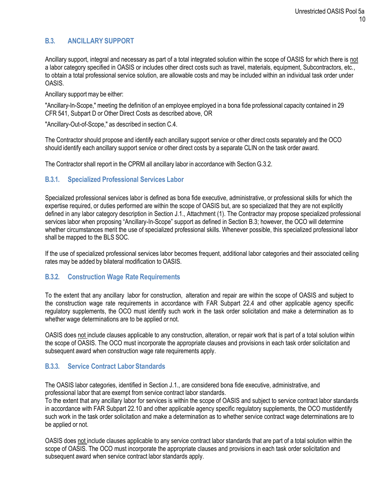#### <span id="page-9-0"></span>**B.3. ANCILLARY SUPPORT**

Ancillary support, integral and necessary as part of a total integrated solution within the scope of OASIS for which there is not a labor category specified in OASIS or includes other direct costs such as travel, materials, equipment, Subcontractors, etc., to obtain a total professional service solution, are allowable costs and may be included within an individual task order under OASIS.

Ancillary support may be either:

"Ancillary-In-Scope," meeting the definition of an employee employed in a bona fide professional capacity contained in 29 CFR 541, Subpart D or Other Direct Costs as described above, OR

"Ancillary-Out-of-Scope," as described in section C.4.

The Contractor should propose and identify each ancillary support service or other direct costs separately and the OCO should identify each ancillary support service or other direct costs by a separate CLIN on the task order award.

The Contractor shall report in the CPRM all ancillary labor in accordance with Section G.3.2.

#### <span id="page-9-1"></span>**B.3.1. Specialized Professional Services Labor**

Specialized professional services labor is defined as bona fide executive, administrative, or professional skills for which the expertise required, or duties performed are within the scope of OASIS but, are so specialized that they are not explicitly defined in any labor category description in Section J.1., Attachment (1). The Contractor may propose specialized professional services labor when proposing "Ancillary-In-Scope" support as defined in Section B.3; however, the OCO will determine whether circumstances merit the use of specialized professional skills. Whenever possible, this specialized professional labor shall be mapped to the BLS SOC.

If the use of specialized professional services labor becomes frequent, additional labor categories and their associated ceiling rates may be added by bilateral modification to OASIS.

#### <span id="page-9-2"></span>**B.3.2. Construction Wage Rate Requirements**

To the extent that any ancillary labor for construction, alteration and repair are within the scope of OASIS and subject to the construction wage rate requirements in accordance with FAR Subpart 22.4 and other applicable agency specific regulatory supplements, the OCO must identify such work in the task order solicitation and make a determination as to whether wage determinations are to be applied or not.

OASIS does not include clauses applicable to any construction, alteration, or repair work that is part of a total solution within the scope of OASIS. The OCO must incorporate the appropriate clauses and provisions in each task order solicitation and subsequent award when construction wage rate requirements apply.

#### <span id="page-9-3"></span>**B.3.3. Service Contract Labor Standards**

The OASIS labor categories, identified in Section J.1., are considered bona fide executive, administrative, and professional labor that are exempt from service contract labor standards.

To the extent that any ancillary labor for services is within the scope of OASIS and subject to service contract labor standards in accordance with FAR Subpart 22.10 and other applicable agency specific regulatory supplements, the OCO mustidentify such work in the task order solicitation and make a determination as to whether service contract wage determinations are to be applied or not.

OASIS does not include clauses applicable to any service contract labor standards that are part of a total solution within the scope of OASIS. The OCO must incorporate the appropriate clauses and provisions in each task order solicitation and subsequent award when service contract labor standards apply.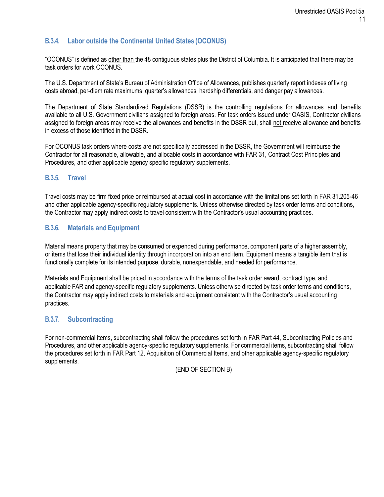#### <span id="page-10-0"></span>**B.3.4. Labor outside the Continental United States (OCONUS)**

"OCONUS" is defined as other than the 48 contiguous states plus the District of Columbia. It is anticipated that there may be task orders for work OCONUS.

The U.S. Department of State's Bureau of Administration Office of Allowances, publishes quarterly report indexes of living costs abroad, per-diem rate maximums, quarter's allowances, hardship differentials, and danger pay allowances.

The Department of State Standardized Regulations (DSSR) is the controlling regulations for allowances and benefits available to all U.S. Government civilians assigned to foreign areas. For task orders issued under OASIS, Contractor civilians assigned to foreign areas may receive the allowances and benefits in the DSSR but, shall not receive allowance and benefits in excess of those identified in the DSSR.

For OCONUS task orders where costs are not specifically addressed in the DSSR, the Government will reimburse the Contractor for all reasonable, allowable, and allocable costs in accordance with FAR 31, Contract Cost Principles and Procedures, and other applicable agency specific regulatory supplements.

#### <span id="page-10-1"></span>**B.3.5. Travel**

Travel costs may be firm fixed price or reimbursed at actual cost in accordance with the limitations set forth in FAR 31.205-46 and other applicable agency-specific regulatory supplements. Unless otherwise directed by task order terms and conditions, the Contractor may apply indirect costs to travel consistent with the Contractor's usual accounting practices.

#### <span id="page-10-2"></span>**B.3.6. Materials and Equipment**

Material means property that may be consumed or expended during performance, component parts of a higher assembly, or items that lose their individual identity through incorporation into an end item. Equipment means a tangible item that is functionally complete for its intended purpose, durable, nonexpendable, and needed for performance.

Materials and Equipment shall be priced in accordance with the terms of the task order award, contract type, and applicable FAR and agency-specific regulatory supplements. Unless otherwise directed by task order terms and conditions, the Contractor may apply indirect costs to materials and equipment consistent with the Contractor's usual accounting practices.

#### <span id="page-10-3"></span>**B.3.7. Subcontracting**

For non-commercial items, subcontracting shall follow the procedures set forth in FAR Part 44, Subcontracting Policies and Procedures, and other applicable agency-specific regulatory supplements. For commercial items, subcontracting shall follow the procedures set forth in FAR Part 12, Acquisition of Commercial Items, and other applicable agency-specific regulatory supplements.

(END OF SECTION B)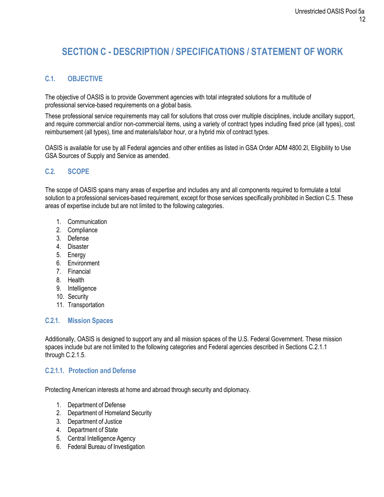## <span id="page-11-0"></span>**SECTION C - DESCRIPTION / SPECIFICATIONS / STATEMENT OF WORK**

#### <span id="page-11-1"></span>**C.1. OBJECTIVE**

The objective of OASIS is to provide Government agencies with total integrated solutions for a multitude of professional service-based requirements on a global basis.

These professional service requirements may call for solutions that cross over multiple disciplines, include ancillary support, and require commercial and/or non-commercial items, using a variety of contract types including fixed price (all types), cost reimbursement (all types), time and materials/labor hour, or a hybrid mix of contract types.

OASIS is available for use by all Federal agencies and other entities as listed in GSA Order ADM 4800.2I, Eligibility to Use GSA Sources of Supply and Service as amended.

#### <span id="page-11-2"></span>**C.2. SCOPE**

The scope of OASIS spans many areas of expertise and includes any and all components required to formulate a total solution to a professional services-based requirement, except for those services specifically prohibited in Section C.5. These areas of expertise include but are not limited to the following categories.

- 1. Communication
- 2. Compliance
- 3. Defense
- 4. Disaster
- 5. Energy
- 6. Environment
- 7. Financial
- 8. Health
- 9. Intelligence
- 10. Security
- 11. Transportation

#### <span id="page-11-3"></span>**C.2.1. Mission Spaces**

Additionally, OASIS is designed to support any and all mission spaces of the U.S. Federal Government. These mission spaces include but are not limited to the following categories and Federal agencies described in Sections C.2.1.1 through C.2.1.5.

#### <span id="page-11-4"></span>**C.2.1.1. Protection and Defense**

Protecting American interests at home and abroad through security and diplomacy.

- 1. Department of Defense
- 2. Department of Homeland Security
- 3. Department of Justice
- 4. Department of State
- 5. Central Intelligence Agency
- 6. Federal Bureau of Investigation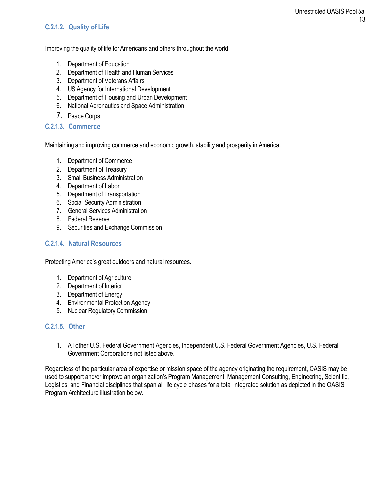#### <span id="page-12-0"></span>**C.2.1.2. Quality of Life**

Improving the quality of life for Americans and others throughout the world.

- 1. Department of Education
- 2. Department of Health and Human Services
- 3. Department of Veterans Affairs
- 4. US Agency for International Development
- 5. Department of Housing and Urban Development
- 6. National Aeronautics and Space Administration
- 7. Peace Corps

#### <span id="page-12-1"></span>**C.2.1.3. Commerce**

Maintaining and improving commerce and economic growth, stability and prosperity in America.

- 1. Department of Commerce
- 2. Department of Treasury
- 3. Small Business Administration
- 4. Department of Labor
- 5. Department of Transportation
- 6. Social Security Administration
- 7. General Services Administration
- 8. Federal Reserve
- 9. Securities and Exchange Commission

#### <span id="page-12-2"></span>**C.2.1.4. Natural Resources**

Protecting America's great outdoors and natural resources.

- 1. Department of Agriculture
- 2. Department of Interior
- 3. Department of Energy
- 4. Environmental Protection Agency
- 5. Nuclear Regulatory Commission

#### <span id="page-12-3"></span>**C.2.1.5. Other**

1. All other U.S. Federal Government Agencies, Independent U.S. Federal Government Agencies, U.S. Federal Government Corporations not listed above.

Regardless of the particular area of expertise or mission space of the agency originating the requirement, OASIS may be used to support and/or improve an organization's Program Management, Management Consulting, Engineering, Scientific, Logistics, and Financial disciplines that span all life cycle phases for a total integrated solution as depicted in the OASIS Program Architecture illustration below.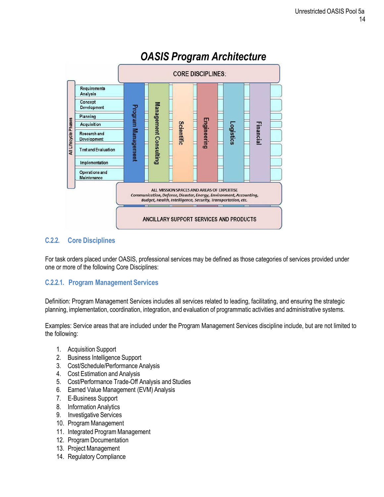

#### <span id="page-13-0"></span>**C.2.2. Core Disciplines**

For task orders placed under OASIS, professional services may be defined as those categories of services provided under one or more of the following Core Disciplines:

#### <span id="page-13-1"></span>**C.2.2.1. Program Management Services**

Definition: Program Management Services includes all services related to leading, facilitating, and ensuring the strategic planning, implementation, coordination, integration, and evaluation of programmatic activities and administrative systems.

Examples: Service areas that are included under the Program Management Services discipline include, but are not limited to the following:

- 1. Acquisition Support
- 2. Business Intelligence Support
- 3. Cost/Schedule/Performance Analysis
- 4. Cost Estimation and Analysis
- 5. Cost/Performance Trade-Off Analysis and Studies
- 6. Earned Value Management (EVM) Analysis
- 7. E-Business Support
- 8. Information Analytics
- 9. Investigative Services
- 10. Program Management
- 11. Integrated Program Management
- 12. Program Documentation
- 13. Project Management
- 14. Regulatory Compliance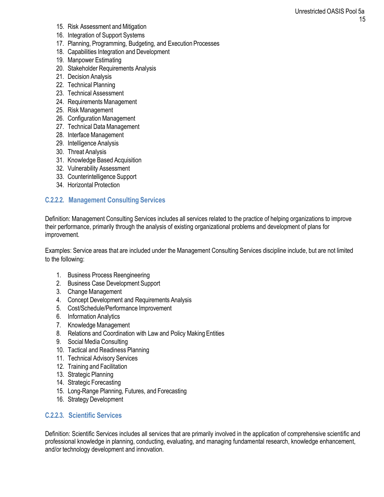- 15. Risk Assessment and Mitigation
- 16. Integration of Support Systems
- 17. Planning, Programming, Budgeting, and Execution Processes
- 18. Capabilities Integration and Development
- 19. Manpower Estimating
- 20. Stakeholder Requirements Analysis
- 21. Decision Analysis
- 22. Technical Planning
- 23. Technical Assessment
- 24. Requirements Management
- 25. Risk Management
- 26. Configuration Management
- 27. Technical Data Management
- 28. Interface Management
- 29. Intelligence Analysis
- 30. Threat Analysis
- 31. Knowledge Based Acquisition
- 32. Vulnerability Assessment
- 33. Counterintelligence Support
- 34. Horizontal Protection

#### <span id="page-14-0"></span>**C.2.2.2. Management Consulting Services**

Definition: Management Consulting Services includes all services related to the practice of helping organizations to improve their performance, primarily through the analysis of existing organizational problems and development of plans for improvement.

Examples: Service areas that are included under the Management Consulting Services discipline include, but are not limited to the following:

- 1. Business Process Reengineering
- 2. Business Case Development Support
- 3. Change Management
- 4. Concept Development and Requirements Analysis
- 5. Cost/Schedule/Performance Improvement
- 6. Information Analytics
- 7. Knowledge Management
- 8. Relations and Coordination with Law and Policy Making Entities
- 9. Social Media Consulting
- 10. Tactical and Readiness Planning
- 11. Technical Advisory Services
- 12. Training and Facilitation
- 13. Strategic Planning
- 14. Strategic Forecasting
- 15. Long-Range Planning, Futures, and Forecasting
- 16. Strategy Development

#### <span id="page-14-1"></span>**C.2.2.3. Scientific Services**

Definition: Scientific Services includes all services that are primarily involved in the application of comprehensive scientific and professional knowledge in planning, conducting, evaluating, and managing fundamental research, knowledge enhancement, and/or technology development and innovation.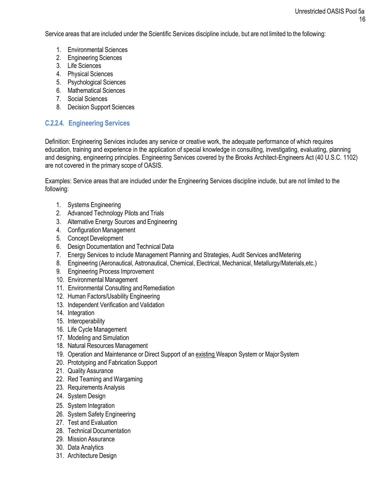Service areas that are included under the Scientific Services discipline include, but are not limited to the following:

- 1. Environmental Sciences
- 2. Engineering Sciences
- 3. Life Sciences
- 4. Physical Sciences
- 5. Psychological Sciences
- 6. Mathematical Sciences
- 7. Social Sciences
- 8. Decision Support Sciences

#### <span id="page-15-0"></span>**C.2.2.4. Engineering Services**

Definition: Engineering Services includes any service or creative work, the adequate performance of which requires education, training and experience in the application of special knowledge in consulting, investigating, evaluating, planning and designing, engineering principles. Engineering Services covered by the Brooks Architect-Engineers Act (40 U.S.C. 1102) are not covered in the primary scope of OASIS.

Examples: Service areas that are included under the Engineering Services discipline include, but are not limited to the following:

- 1. Systems Engineering
- 2. Advanced Technology Pilots and Trials
- 3. Alternative Energy Sources and Engineering
- 4. Configuration Management
- 5. Concept Development
- 6. Design Documentation and Technical Data
- 7. Energy Services to include Management Planning and Strategies, Audit Services andMetering
- 8. Engineering (Aeronautical, Astronautical, Chemical, Electrical, Mechanical, Metallurgy/Materials,etc.)
- 9. Engineering Process Improvement
- 10. Environmental Management
- 11. Environmental Consulting and Remediation
- 12. Human Factors/Usability Engineering
- 13. Independent Verification and Validation
- 14. Integration
- 15. Interoperability
- 16. Life Cycle Management
- 17. Modeling and Simulation
- 18. Natural Resources Management
- 19. Operation and Maintenance or Direct Support of an existing Weapon System or MajorSystem
- 20. Prototyping and Fabrication Support
- 21. Quality Assurance
- 22. Red Teaming and Wargaming
- 23. Requirements Analysis
- 24. System Design
- 25. System Integration
- 26. System Safety Engineering
- 27. Test and Evaluation
- 28. Technical Documentation
- 29. Mission Assurance
- 30. Data Analytics
- 31. Architecture Design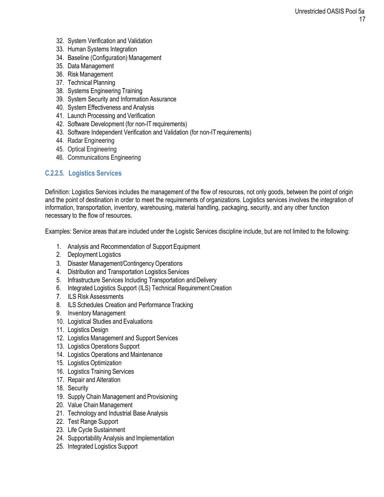- 32. System Verification and Validation
- 33. Human Systems Integration
- 34. Baseline (Configuration) Management
- 35. Data Management
- 36. Risk Management
- 37. Technical Planning
- 38. Systems Engineering Training
- 39. System Security and Information Assurance
- 40. System Effectiveness and Analysis
- 41. Launch Processing and Verification
- 42. Software Development (for non-IT requirements)
- 43. Software Independent Verification and Validation (for non-IT requirements)
- 44. Radar Engineering
- 45. Optical Engineering
- 46. Communications Engineering

#### <span id="page-16-0"></span>**C.2.2.5. Logistics Services**

Definition: Logistics Services includes the management of the flow of resources, not only goods, between the point of origin and the point of destination in order to meet the requirements of organizations. Logistics services involves the integration of information[, transportation, inventory,](http://en.wikipedia.org/wiki/Transportation) [warehousing, material handling,](http://en.wikipedia.org/wiki/Warehousing) [packaging, security, a](http://en.wikipedia.org/wiki/Packaging)nd any other function necessary to the flow of resources.

Examples: Service areas that are included under the Logistic Services discipline include, but are not limited to the following:

- 1. Analysis and Recommendation of Support Equipment
- 2. Deployment Logistics
- 3. Disaster Management/Contingency Operations
- 4. Distribution and Transportation Logistics Services
- 5. Infrastructure Services Including Transportation and Delivery
- 6. Integrated Logistics Support (ILS) Technical Requirement Creation
- 7. ILS Risk Assessments
- 8. ILS Schedules Creation and Performance Tracking
- 9. Inventory Management
- 10. Logistical Studies and Evaluations
- 11. Logistics Design
- 12. Logistics Management and Support Services
- 13. Logistics Operations Support
- 14. Logistics Operations and Maintenance
- 15. Logistics Optimization
- 16. Logistics Training Services
- 17. Repair and Alteration
- 18. Security
- 19. Supply Chain Management and Provisioning
- 20. Value Chain Management
- 21. Technology and Industrial Base Analysis
- 22. Test Range Support
- 23. Life Cycle Sustainment
- 24. Supportability Analysis and Implementation
- 25. Integrated Logistics Support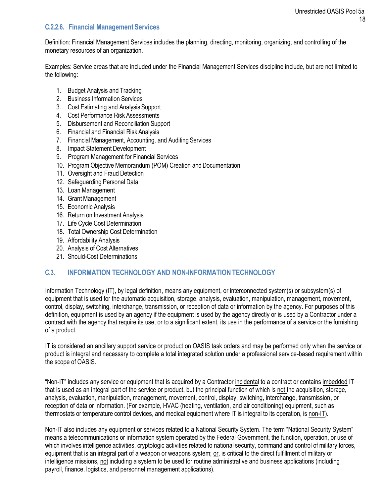#### <span id="page-17-0"></span>**C.2.2.6. Financial Management Services**

Definition: Financial Management Services includes the [planning, directing,](http://www.businessdictionary.com/definition/planning.html) [monitoring, organizing, a](http://www.businessdictionary.com/definition/monitoring.html)n[d controlling o](http://www.businessdictionary.com/definition/controlling.html)f the [monetary resources](http://www.businessdictionary.com/definition/monetary.html) of an [organization.](http://www.businessdictionary.com/definition/organization.html)

Examples: Service areas that are included under the Financial Management Services discipline include, but are not limited to the following:

- 1. Budget Analysis and Tracking
- 2. Business Information Services
- 3. Cost Estimating and Analysis Support
- 4. Cost Performance Risk Assessments
- 5. Disbursement and Reconciliation Support
- 6. Financial and Financial Risk Analysis
- 7. Financial Management, Accounting, and Auditing Services
- 8. Impact Statement Development
- 9. Program Management for Financial Services
- 10. Program Objective Memorandum (POM) Creation and Documentation
- 11. Oversight and Fraud Detection
- 12. Safeguarding Personal Data
- 13. Loan Management
- 14. Grant Management
- 15. Economic Analysis
- 16. Return on Investment Analysis
- 17. Life Cycle Cost Determination
- 18. Total Ownership Cost Determination
- 19. Affordability Analysis
- 20. Analysis of Cost Alternatives
- 21. Should-Cost Determinations

#### <span id="page-17-1"></span>**C.3. INFORMATION TECHNOLOGY AND NON-INFORMATIONTECHNOLOGY**

Information Technology (IT), by legal definition, means any equipment, or interconnected system(s) or subsystem(s) of equipment that is used for the automatic acquisition, storage, analysis, evaluation, manipulation, management, movement, control, display, switching, interchange, transmission, or reception of data or information by the agency. For purposes of this definition, equipment is used by an agency if the equipment is used by the agency directly or is used by a Contractor under a contract with the agency that require its use, or to a significant extent, its use in the performance of a service or the furnishing of a product.

IT is considered an ancillary support service or product on OASIS task orders and may be performed only when the service or product is integral and necessary to complete a total integrated solution under a professional service-based requirement within the scope of OASIS.

"Non-IT" includes any service or equipment that is acquired by a Contractor incidental to a contract or contains imbedded IT that is used as an integral part of the service or product, but the principal function of which is not the acquisition, storage, analysis, evaluation, manipulation, management, movement, control, display, switching, interchange, transmission, or reception of data or information. (For example, HVAC (heating, ventilation, and air conditioning) equipment, such as thermostats or temperature control devices, and medical equipment where IT is integral to its operation, is non-IT).

Non-IT also includes any equipment or services related to a National Security System. The term "National Security System" means a telecommunications or information system operated by the Federal Government, the function, operation, or use of which involves intelligence activities, cryptologic activities related to national security, command and control of military forces, equipment that is an integral part of a weapon or weapons system; or, is critical to the direct fulfillment of military or intelligence missions, not including a system to be used for routine administrative and business applications (including payroll, finance, logistics, and personnel management applications).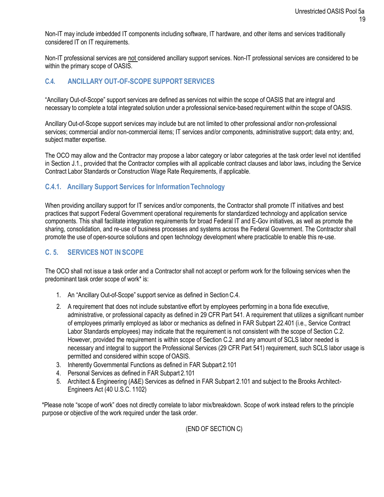Non-IT may include imbedded IT components including software, IT hardware, and other items and services traditionally considered IT on IT requirements.

Non-IT professional services are not considered ancillary support services. Non-IT professional services are considered to be within the primary scope of OASIS.

#### <span id="page-18-0"></span>**C.4. ANCILLARY OUT-OF-SCOPE SUPPORT SERVICES**

"Ancillary Out-of-Scope" support services are defined as services not within the scope of OASIS that are integral and necessary to complete a total integrated solution under a professional service-based requirement within the scope of OASIS.

Ancillary Out-of-Scope support services may include but are not limited to other professional and/or non-professional services; commercial and/or non-commercial items; IT services and/or components, administrative support; data entry; and, subject matter expertise.

The OCO may allow and the Contractor may propose a labor category or labor categories at the task order level not identified in Section J.1., provided that the Contractor complies with all applicable contract clauses and labor laws, including the Service Contract Labor Standards or Construction Wage Rate Requirements, if applicable.

#### <span id="page-18-1"></span>**C.4.1. Ancillary Support Services for InformationTechnology**

When providing ancillary support for IT services and/or components, the Contractor shall promote IT initiatives and best practices that support Federal Government operational requirements for standardized technology and application service components. This shall facilitate integration requirements for broad Federal IT and E-Gov initiatives, as well as promote the sharing, consolidation, and re-use of business processes and systems across the Federal Government. The Contractor shall promote the use of open-source solutions and open technology development where practicable to enable this re-use.

#### <span id="page-18-2"></span>**C. 5. SERVICES NOT IN SCOPE**

The OCO shall not issue a task order and a Contractor shall not accept or perform work for the following services when the predominant task order scope of work\* is:

- 1. An "Ancillary Out-of-Scope" support service as defined in SectionC.4.
- 2. A requirement that does not include substantive effort by employees performing in a bona fide executive, administrative, or professional capacity as defined in 29 CFR Part 541. A requirement that utilizes a significant number of employees primarily employed as labor or mechanics as defined in FAR Subpart 22.401 (i.e., Service Contract Labor Standards employees) may indicate that the requirement is not consistent with the scope of Section C.2. However, provided the requirement is within scope of Section C.2. and any amount of SCLS labor needed is necessary and integral to support the Professional Services (29 CFR Part 541) requirement, such SCLS labor usage is permitted and considered within scope of OASIS.
- 3. Inherently Governmental Functions as defined in FAR Subpart 2.101
- 4. Personal Services as defined in FAR Subpart 2.101
- 5. Architect & Engineering (A&E) Services as defined in FAR Subpart 2.101 and subject to the Brooks Architect-Engineers Act (40 U.S.C. 1102)

\*Please note "scope of work" does not directly correlate to labor mix/breakdown. Scope of work instead refers to the principle purpose or objective of the work required under the task order.

(END OF SECTION C)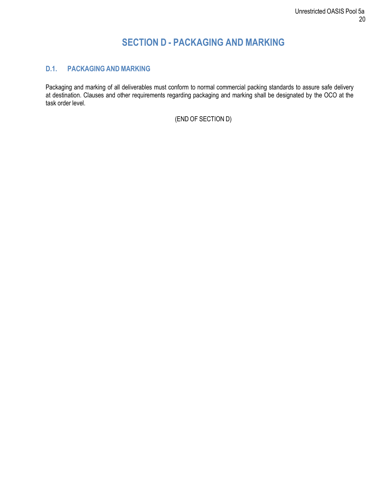## **SECTION D - PACKAGING AND MARKING**

#### <span id="page-19-1"></span><span id="page-19-0"></span>**D.1. PACKAGING AND MARKING**

Packaging and marking of all deliverables must conform to normal commercial packing standards to assure safe delivery at destination. Clauses and other requirements regarding packaging and marking shall be designated by the OCO at the task order level.

(END OF SECTION D)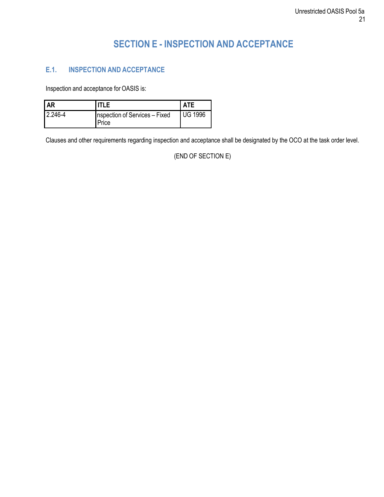## **SECTION E - INSPECTION AND ACCEPTANCE**

#### <span id="page-20-1"></span><span id="page-20-0"></span>**E.1. INSPECTION AND ACCEPTANCE**

Inspection and acceptance for OASIS is:

| l AR    | <b>ITI F</b>                            | <b>ATE</b>     |
|---------|-----------------------------------------|----------------|
| 2.246-4 | Inspection of Services - Fixed<br>Price | <b>UG 1996</b> |

Clauses and other requirements regarding inspection and acceptance shall be designated by the OCO at the task order level.

(END OF SECTION E)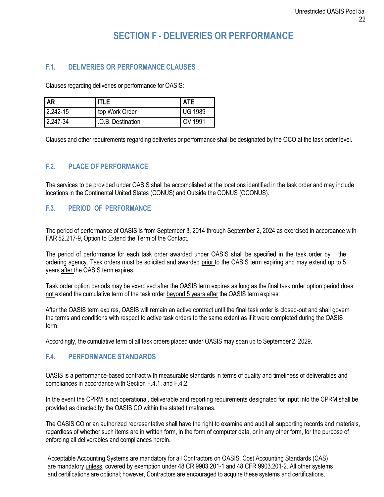### **SECTION F - DELIVERIES OR PERFORMANCE**

#### <span id="page-21-1"></span><span id="page-21-0"></span>**F.1. DELIVERIES OR PERFORMANCE CLAUSES**

Clauses regarding deliveries or performance for OASIS:

| <b>AR</b> | <b>ITLE</b>       | <b>ATE</b>     |
|-----------|-------------------|----------------|
| 2.242-15  | top Work Order    | <b>UG 1989</b> |
| 2.247-34  | .O.B. Destination | <b>OV 1991</b> |

Clauses and other requirements regarding deliveries or performance shall be designated by the OCO at the task order level.

#### <span id="page-21-2"></span>**F.2. PLACE OF PERFORMANCE**

The services to be provided under OASIS shall be accomplished at the locations identified in the task order and may include locations in the Continental United States (CONUS) and Outside the CONUS (OCONUS).

#### <span id="page-21-3"></span>**F.3. PERIOD OF PERFORMANCE**

The period of performance of OASIS is from September 3, 2014 through September 2, 2024 as exercised in accordance with FAR 52.217-9, Option to Extend the Term of the Contact.

The period of performance for each task order awarded under OASIS shall be specified in the task order by the ordering agency. Task orders must be solicited and awarded prior to the OASIS term expiring and may extend up to 5 years after the OASIS term expires.

Task order option periods may be exercised after the OASIS term expires as long as the final task order option period does not extend the cumulative term of the task order beyond 5 years after the OASIS term expires.

After the OASIS term expires, OASIS will remain an active contract until the final task order is closed-out and shall govern the terms and conditions with respect to active task orders to the same extent as if it were completed during the OASIS term.

Accordingly, the cumulative term of all task orders placed under OASIS may span up to September 2, 2029.

#### <span id="page-21-4"></span>**F.4. PERFORMANCE STANDARDS**

OASIS is a performance-based contract with measurable standards in terms of quality and timeliness of deliverables and compliances in accordance with Section F.4.1. and F.4.2.

In the event the CPRM is not operational, deliverable and reporting requirements designated for input into the CPRM shall be provided as directed by the OASIS CO within the stated timeframes.

The OASIS CO or an authorized representative shall have the right to examine and audit all supporting records and materials, regardless of whether such items are in written form, in the form of computer data, or in any other form, for the purpose of enforcing all deliverables and compliances herein.

Acceptable Accounting Systems are mandatory for all Contractors on OASIS. Cost Accounting Standards (CAS) are mandatory unless, covered by exemption under 48 CR 9903.201-1 and 48 CFR 9903.201-2. All other systems and certifications are optional; however, Contractors are encouraged to acquire these systems and certifications.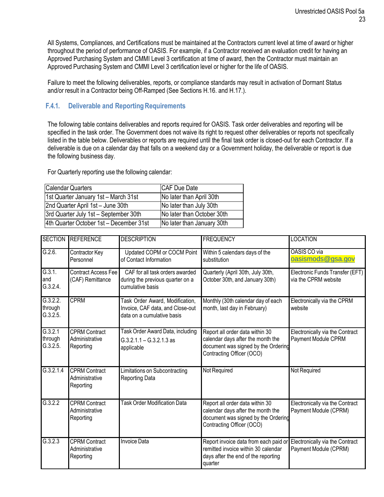All Systems, Compliances, and Certifications must be maintained at the Contractors current level at time of award or higher throughout the period of performance of OASIS. For example, if a Contractor received an evaluation credit for having an Approved Purchasing System and CMMI Level 3 certification at time of award, then the Contractor must maintain an Approved Purchasing System and CMMI Level 3 certification level or higher for the life of OASIS.

Failure to meet the following deliverables, reports, or compliance standards may result in activation of Dormant Status and/or result in a Contractor being Off-Ramped (See Sections H.16. and H.17.).

#### <span id="page-22-0"></span>**F.4.1. Deliverable and ReportingRequirements**

The following table contains deliverables and reports required for OASIS. Task order deliverables and reporting will be specified in the task order. The Government does not waive its right to request other deliverables or reports not specifically listed in the table below. Deliverables or reports are required until the final task order is closed-out for each Contractor. If a deliverable is due on a calendar day that falls on a weekend day or a Government holiday, the deliverable or report is due the following business day.

For Quarterly reporting use the following calendar:

| <b>Calendar Quarters</b>                | <b>CAF Due Date</b>        |
|-----------------------------------------|----------------------------|
| 1st Quarter January 1st - March 31st    | No later than April 30th   |
| 2nd Quarter April 1st - June 30th       | No later than July 30th    |
| 3rd Quarter July 1st - September 30th   | No later than October 30th |
| 4th Quarter October 1st - December 31st | No later than January 30th |

| <b>SECTION</b>                  | <b>REFERENCE</b>                                    | <b>DESCRIPTION</b>                                                                                | <b>FREQUENCY</b>                                                                                                                         | <b>LOCATION</b>                                          |
|---------------------------------|-----------------------------------------------------|---------------------------------------------------------------------------------------------------|------------------------------------------------------------------------------------------------------------------------------------------|----------------------------------------------------------|
| G.2.6.                          | Contractor Key<br>Personnel                         | Updated COPM or COCM Point<br>of Contact Information                                              | Within 5 calendars days of the<br>substitution                                                                                           | OASIS CO via<br>oasismods@gsa.gov                        |
| G.3.1.<br>and<br>G.3.2.4.       | Contract Access Fee<br>(CAF) Remittance             | CAF for all task orders awarded<br>during the previous quarter on a<br>cumulative basis           | Quarterly (April 30th, July 30th,<br>October 30th, and January 30th)                                                                     | Electronic Funds Transfer (EFT)<br>via the CPRM website  |
| G.3.2.2.<br>through<br>G.3.2.5. | <b>CPRM</b>                                         | Task Order Award, Modification,<br>Invoice, CAF data, and Close-out<br>data on a cumulative basis | Monthly (30th calendar day of each<br>month, last day in February)                                                                       | Electronically via the CPRM<br>website                   |
| G.3.2.1<br>through<br>G.3.2.5.  | <b>CPRM Contract</b><br>Administrative<br>Reporting | Task Order Award Data, including<br>$G.3.2.1.1 - G.3.2.1.3$ as<br>applicable                      | Report all order data within 30<br>calendar days after the month the<br>document was signed by the Ordering<br>Contracting Officer (OCO) | Electronically via the Contract<br>Payment Module CPRM   |
| G.3.2.1.4                       | <b>CPRM Contract</b><br>Administrative<br>Reporting | Limitations on Subcontracting<br>Reporting Data                                                   | Not Required                                                                                                                             | Not Required                                             |
| G.3.2.2                         | <b>CPRM Contract</b><br>Administrative<br>Reporting | <b>Task Order Modification Data</b>                                                               | Report all order data within 30<br>calendar days after the month the<br>document was signed by the Ordering<br>Contracting Officer (OCO) | Electronically via the Contract<br>Payment Module (CPRM) |
| G.3.2.3                         | <b>CPRM Contract</b><br>Administrative<br>Reporting | <b>Invoice Data</b>                                                                               | Report invoice data from each paid or<br>remitted invoice within 30 calendar<br>days after the end of the reporting<br>quarter           | Electronically via the Contract<br>Payment Module (CPRM) |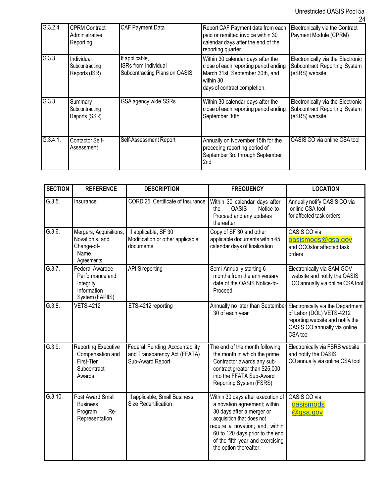|          |                                                     |                                                                                |                                                                                                                                                            | 24                                                                                  |
|----------|-----------------------------------------------------|--------------------------------------------------------------------------------|------------------------------------------------------------------------------------------------------------------------------------------------------------|-------------------------------------------------------------------------------------|
| G.3.2.4  | <b>CPRM Contract</b><br>Administrative<br>Reporting | <b>CAF Payment Data</b>                                                        | Report CAF Payment data from each<br>paid or remitted invoice within 30<br>calendar days after the end of the<br>reporting quarter                         | Electronically via the Contract<br>Payment Module (CPRM)                            |
| G.3.3.   | Individual<br>Subcontracting<br>Reports (ISR)       | If applicable,<br><b>ISRs from Individual</b><br>Subcontracting Plans on OASIS | Within 30 calendar days after the<br>close of each reporting period ending<br>March 31st, September 30th, and<br>within 30<br>days of contract completion. | Electronically via the Electronic<br>Subcontract Reporting System<br>(eSRS) website |
| G.3.3.   | Summary<br>Subcontracting<br>Reports (SSR)          | GSA agency wide SSRs                                                           | Within 30 calendar days after the<br>close of each reporting period ending<br>September 30th                                                               | Electronically via the Electronic<br>Subcontract Reporting System<br>(eSRS) website |
| G.3.4.1. | Contactor Self-<br>Assessment                       | Self-Assessment Report                                                         | Annually on November 15th for the<br>preceding reporting period of<br>September 3rd through September<br>2nd                                               | OASIS CO via online CSA tool                                                        |

| <b>SECTION</b> | <b>REFERENCE</b>                                                                         | <b>DESCRIPTION</b>                                                                 | <b>FREQUENCY</b>                                                                                                                                                                                                                                                | <b>LOCATION</b>                                                                                                                                                                |
|----------------|------------------------------------------------------------------------------------------|------------------------------------------------------------------------------------|-----------------------------------------------------------------------------------------------------------------------------------------------------------------------------------------------------------------------------------------------------------------|--------------------------------------------------------------------------------------------------------------------------------------------------------------------------------|
| G.3.5.         | Insurance                                                                                | CORD 25, Certificate of Insurance                                                  | Within 30 calendar days after<br>Notice-to-<br><b>OASIS</b><br>the<br>Proceed and any updates<br>thereafter                                                                                                                                                     | Annually notify OASIS CO via<br>online CSA tool<br>for affected task orders                                                                                                    |
| G.3.6.         | Mergers, Acquisitions,<br>Novation's, and<br>Change-of-<br>Name<br>Agreements            | If applicable, SF 30<br>Modification or other applicable<br>documents              | Copy of SF 30 and other<br>applicable documents within 45<br>calendar days of finalization                                                                                                                                                                      | OASIS CO via<br>oasismods@gsa.gov<br>and OCOsfor affected task<br>orders                                                                                                       |
| G.3.7.         | <b>Federal Awardee</b><br>Performance and<br>Integrity<br>Information<br>System (FAPIIS) | <b>APIIS</b> reporting                                                             | Semi-Annually starting 6<br>months from the anniversary<br>date of the OASIS Notice-to-<br>Proceed.                                                                                                                                                             | Electronically via SAM.GOV<br>website and notify the OASIS<br>CO annually via online CSA tool                                                                                  |
| G.3.8.         | <b>VETS-4212</b>                                                                         | ETS-4212 reporting                                                                 | 30 of each year                                                                                                                                                                                                                                                 | Annually no later than September Electronically via the Department<br>of Labor (DOL) VETS-4212<br>reporting website and notify the<br>OASIS CO annually via online<br>CSA tool |
| G.3.9.         | <b>Reporting Executive</b><br>Compensation and<br>First-Tier<br>Subcontract<br>Awards    | Federal Funding Accountability<br>and Transparency Act (FFATA)<br>Sub-Award Report | The end of the month following<br>the month in which the prime<br>Contractor awards any sub-<br>contract greater than \$25,000<br>into the FFATA Sub-Award<br>Reporting System (FSRS)                                                                           | Electronically via FSRS website<br>and notify the OASIS<br>CO annually via online CSA tool                                                                                     |
| G.3.10.        | Post Award Small<br><b>Business</b><br>Re-<br>Program<br>Representation                  | If applicable, Small Business<br>Size Recertification                              | Within 30 days after execution of<br>a novation agreement; within<br>30 days after a merger or<br>acquisition that does not<br>require a novation; and, within<br>60 to 120 days prior to the end<br>of the fifth year and exercising<br>the option thereafter. | OASIS CO via<br>oasismods<br>@gsa.gov                                                                                                                                          |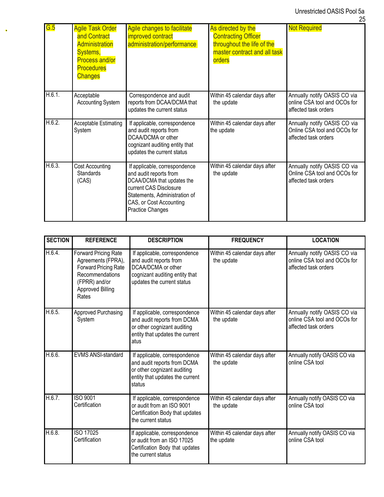|        |                                                                                                                                |                                                                                                                                                                                                        |                                                                                                                          | 25                                                                                   |
|--------|--------------------------------------------------------------------------------------------------------------------------------|--------------------------------------------------------------------------------------------------------------------------------------------------------------------------------------------------------|--------------------------------------------------------------------------------------------------------------------------|--------------------------------------------------------------------------------------|
| G.5    | <b>Agile Task Order</b><br>and Contract<br>Administration<br>Systems,<br>Process and/or<br><b>Procedures</b><br><b>Changes</b> | <b>Agile changes to facilitate</b><br>improved contract<br>administration/performance                                                                                                                  | As directed by the<br><b>Contracting Officer</b><br>throughout the life of the<br>master contract and all task<br>orders | <b>Not Required</b>                                                                  |
| H.6.1. | Acceptable<br><b>Accounting System</b>                                                                                         | Correspondence and audit<br>reports from DCAA/DCMA that<br>updates the current status                                                                                                                  | Within 45 calendar days after<br>the update                                                                              | Annually notify OASIS CO via<br>online CSA tool and OCOs for<br>affected task orders |
| H.6.2. | Acceptable Estimating<br>System                                                                                                | If applicable, correspondence<br>and audit reports from<br>DCAA/DCMA or other<br>cognizant auditing entity that<br>updates the current status                                                          | Within 45 calendar days after<br>the update                                                                              | Annually notify OASIS CO via<br>Online CSA tool and OCOs for<br>affected task orders |
| H.6.3. | Cost Accounting<br><b>Standards</b><br>(CAS)                                                                                   | If applicable, correspondence<br>and audit reports from<br>DCAA/DCMA that updates the<br>current CAS Disclosure<br>Statements, Administration of<br>CAS, or Cost Accounting<br><b>Practice Changes</b> | Within 45 calendar days after<br>the update                                                                              | Annually notify OASIS CO via<br>Online CSA tool and OCOs for<br>affected task orders |

| <b>SECTION</b> | <b>REFERENCE</b>                                                                                                                           | <b>DESCRIPTION</b>                                                                                                                            | <b>FREQUENCY</b>                            | <b>LOCATION</b>                                                                      |
|----------------|--------------------------------------------------------------------------------------------------------------------------------------------|-----------------------------------------------------------------------------------------------------------------------------------------------|---------------------------------------------|--------------------------------------------------------------------------------------|
| H.6.4.         | Forward Pricing Rate<br>Agreements (FPRA),<br>Forward Pricing Rate<br>Recommendations<br>(FPRR) and/or<br><b>Approved Billing</b><br>Rates | If applicable, correspondence<br>and audit reports from<br>DCAA/DCMA or other<br>cognizant auditing entity that<br>updates the current status | Within 45 calendar days after<br>the update | Annually notify OASIS CO via<br>online CSA tool and OCOs for<br>affected task orders |
| H.6.5.         | Approved Purchasing<br>System                                                                                                              | If applicable, correspondence<br>and audit reports from DCMA<br>or other cognizant auditing<br>entity that updates the current<br>atus        | Within 45 calendar days after<br>the update | Annually notify OASIS CO via<br>online CSA tool and OCOs for<br>affected task orders |
| H.6.6.         | EVMS ANSI-standard                                                                                                                         | If applicable, correspondence<br>and audit reports from DCMA<br>or other cognizant auditing<br>entity that updates the current<br>status      | Within 45 calendar days after<br>the update | Annually notify OASIS CO via<br>online CSA tool                                      |
| H.6.7.         | <b>ISO 9001</b><br>Certification                                                                                                           | If applicable, correspondence<br>or audit from an ISO 9001<br>Certification Body that updates<br>the current status                           | Within 45 calendar days after<br>the update | Annually notify OASIS CO via<br>online CSA tool                                      |
| H.6.8.         | <b>ISO 17025</b><br>Certification                                                                                                          | If applicable, correspondence<br>or audit from an ISO 17025<br>Certification Body that updates<br>the current status                          | Within 45 calendar days after<br>the update | Annually notify OASIS CO via<br>online CSA tool                                      |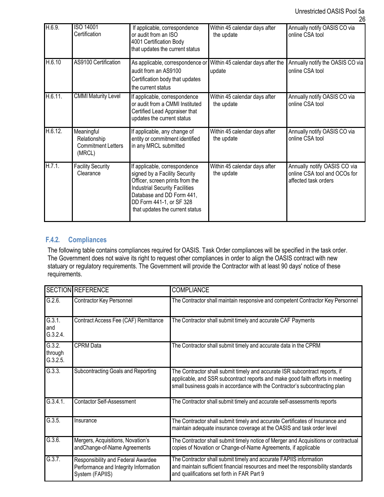|         |                                                                   |                                                                                                                                                                                                                                        |                                             | Zυ                                                                                   |
|---------|-------------------------------------------------------------------|----------------------------------------------------------------------------------------------------------------------------------------------------------------------------------------------------------------------------------------|---------------------------------------------|--------------------------------------------------------------------------------------|
| H.6.9.  | <b>ISO 14001</b><br>Certification                                 | If applicable, correspondence<br>or audit from an ISO<br>4001 Certification Body<br>that updates the current status                                                                                                                    | Within 45 calendar days after<br>the update | Annually notify OASIS CO via<br>online CSA tool                                      |
| H.6.10  | AS9100 Certification                                              | As applicable, correspondence or<br>audit from an AS9100<br>Certification body that updates<br>the current status                                                                                                                      | Within 45 calendar days after the<br>update | Annually notify the OASIS CO via<br>online CSA tool                                  |
| H.6.11. | <b>CMMI Maturity Level</b>                                        | If applicable, correspondence<br>or audit from a CMMI Instituted<br>Certified Lead Appraiser that<br>updates the current status                                                                                                        | Within 45 calendar days after<br>the update | Annually notify OASIS CO via<br>online CSA tool                                      |
| H.6.12. | Meaningful<br>Relationship<br><b>Commitment Letters</b><br>(MRCL) | If applicable, any change of<br>entity or commitment identified<br>in any MRCL submitted                                                                                                                                               | Within 45 calendar days after<br>the update | Annually notify OASIS CO via<br>online CSA tool                                      |
| H.7.1.  | <b>Facility Security</b><br>Clearance                             | If applicable, correspondence<br>signed by a Facility Security<br>Officer, screen prints from the<br><b>Industrial Security Facilities</b><br>Database and DD Form 441,<br>DD Form 441-1, or SF 328<br>that updates the current status | Within 45 calendar days after<br>the update | Annually notify OASIS CO via<br>online CSA tool and OCOs for<br>affected task orders |

#### <span id="page-25-0"></span>**F.4.2. Compliances**

The following table contains compliances required for OASIS. Task Order compliances will be specified in the task order. The Government does not waive its right to request other compliances in order to align the OASIS contract with new statuary or regulatory requirements. The Government will provide the Contractor with at least 90 days' notice of these requirements.

|                               | <b>SECTION REFERENCE</b>                                                                       | <b>COMPLIANCE</b>                                                                                                                                                                                                                             |
|-------------------------------|------------------------------------------------------------------------------------------------|-----------------------------------------------------------------------------------------------------------------------------------------------------------------------------------------------------------------------------------------------|
| G.2.6.                        | Contractor Key Personnel                                                                       | The Contractor shall maintain responsive and competent Contractor Key Personnel                                                                                                                                                               |
| G.3.1.<br>and<br>G.3.2.4.     | Contract Access Fee (CAF) Remittance                                                           | The Contractor shall submit timely and accurate CAF Payments                                                                                                                                                                                  |
| G.3.2.<br>through<br>G.3.2.5. | <b>CPRM</b> Data                                                                               | The Contractor shall submit timely and accurate data in the CPRM                                                                                                                                                                              |
| G.3.3.                        | Subcontracting Goals and Reporting                                                             | The Contractor shall submit timely and accurate ISR subcontract reports, if<br>applicable, and SSR subcontract reports and make good faith efforts in meeting<br>small business goals in accordance with the Contractor's subcontracting plan |
| G.3.4.1.                      | <b>Contactor Self-Assessment</b>                                                               | The Contractor shall submit timely and accurate self-assessments reports                                                                                                                                                                      |
| G.3.5.                        | Insurance                                                                                      | The Contractor shall submit timely and accurate Certificates of Insurance and<br>maintain adequate insurance coverage at the OASIS and task order level                                                                                       |
| G.3.6.                        | Mergers, Acquisitions, Novation's<br>andChange-of-Name Agreements                              | The Contractor shall submit timely notice of Merger and Acquisitions or contractual<br>copies of Novation or Change-of-Name Agreements, if applicable                                                                                         |
| G.3.7.                        | Responsibility and Federal Awardee<br>Performance and Integrity Information<br>System (FAPIIS) | The Contractor shall submit timely and accurate FAPIIS information<br>and maintain sufficient financial resources and meet the responsibility standards<br>and qualifications set forth in FAR Part 9                                         |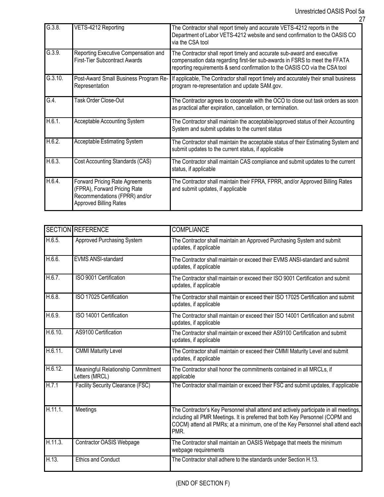| G.3.8.  | VETS-4212 Reporting                                                                                                                      | The Contractor shall report timely and accurate VETS-4212 reports in the<br>Department of Labor VETS-4212 website and send confirmation to the OASIS CO<br>via the CSA tool                                                           |
|---------|------------------------------------------------------------------------------------------------------------------------------------------|---------------------------------------------------------------------------------------------------------------------------------------------------------------------------------------------------------------------------------------|
| G.3.9.  | Reporting Executive Compensation and<br><b>First-Tier Subcontract Awards</b>                                                             | The Contractor shall report timely and accurate sub-award and executive<br>compensation data regarding first-tier sub-awards in FSRS to meet the FFATA<br>reporting requirements & send confirmation to the OASIS CO via the CSA tool |
| G.3.10. | Post-Award Small Business Program Re-<br>Representation                                                                                  | If applicable, The Contractor shall report timely and accurately their small business<br>program re-representation and update SAM.gov.                                                                                                |
| G.4.    | Task Order Close-Out                                                                                                                     | The Contractor agrees to cooperate with the OCO to close out task orders as soon<br>as practical after expiration, cancellation, or termination.                                                                                      |
| H.6.1.  | <b>Acceptable Accounting System</b>                                                                                                      | The Contractor shall maintain the acceptable/approved status of their Accounting<br>System and submit updates to the current status                                                                                                   |
| H.6.2.  | <b>Acceptable Estimating System</b>                                                                                                      | The Contractor shall maintain the acceptable status of their Estimating System and<br>submit updates to the current status, if applicable                                                                                             |
| H.6.3.  | Cost Accounting Standards (CAS)                                                                                                          | The Contractor shall maintain CAS compliance and submit updates to the current<br>status, if applicable                                                                                                                               |
| H.6.4.  | <b>Forward Pricing Rate Agreements</b><br>(FPRA), Forward Pricing Rate<br>Recommendations (FPRR) and/or<br><b>Approved Billing Rates</b> | The Contractor shall maintain their FPRA, FPRR, and/or Approved Billing Rates<br>and submit updates, if applicable                                                                                                                    |

|         | <b>SECTION REFERENCE</b>                             | <b>COMPLIANCE</b>                                                                                                                                                                                                                                                 |
|---------|------------------------------------------------------|-------------------------------------------------------------------------------------------------------------------------------------------------------------------------------------------------------------------------------------------------------------------|
| H.6.5.  | Approved Purchasing System                           | The Contractor shall maintain an Approved Purchasing System and submit<br>updates, if applicable                                                                                                                                                                  |
| H.6.6.  | EVMS ANSI-standard                                   | The Contractor shall maintain or exceed their EVMS ANSI-standard and submit<br>updates, if applicable                                                                                                                                                             |
| H.6.7.  | ISO 9001 Certification                               | The Contractor shall maintain or exceed their ISO 9001 Certification and submit<br>updates, if applicable                                                                                                                                                         |
| H.6.8.  | ISO 17025 Certification                              | The Contractor shall maintain or exceed their ISO 17025 Certification and submit<br>updates, if applicable                                                                                                                                                        |
| H.6.9.  | ISO 14001 Certification                              | The Contractor shall maintain or exceed their ISO 14001 Certification and submit<br>updates, if applicable                                                                                                                                                        |
| H.6.10. | AS9100 Certification                                 | The Contractor shall maintain or exceed their AS9100 Certification and submit<br>updates, if applicable                                                                                                                                                           |
| H.6.11. | <b>CMMI Maturity Level</b>                           | The Contractor shall maintain or exceed their CMMI Maturity Level and submit<br>updates, if applicable                                                                                                                                                            |
| H.6.12. | Meaningful Relationship Commitment<br>Letters (MRCL) | The Contractor shall honor the commitments contained in all MRCLs, if<br>applicable                                                                                                                                                                               |
| H.7.1   | Facility Security Clearance (FSC)                    | The Contractor shall maintain or exceed their FSC and submit updates, if applicable                                                                                                                                                                               |
| H.11.1. | Meetings                                             | The Contractor's Key Personnel shall attend and actively participate in all meetings,<br>including all PMR Meetings. It is preferred that both Key Personnel (COPM and<br>COCM) attend all PMRs; at a minimum, one of the Key Personnel shall attend each<br>PMR. |
| H.11.3. | Contractor OASIS Webpage                             | The Contractor shall maintain an OASIS Webpage that meets the minimum<br>webpage requirements                                                                                                                                                                     |
| H.13.   | <b>Ethics and Conduct</b>                            | The Contractor shall adhere to the standards under Section H.13.                                                                                                                                                                                                  |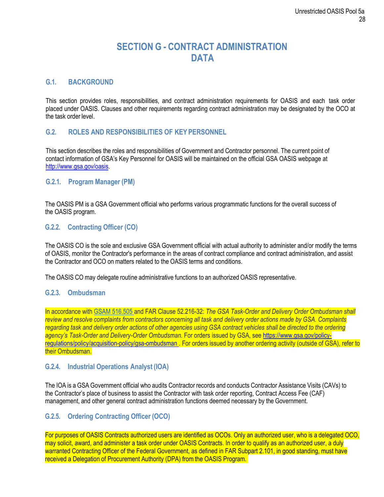### **SECTION G - CONTRACT ADMINISTRATION DATA**

#### <span id="page-27-1"></span><span id="page-27-0"></span>**G.1. BACKGROUND**

This section provides roles, responsibilities, and contract administration requirements for OASIS and each task order placed under OASIS. Clauses and other requirements regarding contract administration may be designated by the OCO at the task order level.

#### <span id="page-27-2"></span>**G.2. ROLES AND RESPONSIBILITIES OF KEY PERSONNEL**

This section describes the roles and responsibilities of Government and Contractor personnel. The current point of contact information of GSA's Key Personnel for OASIS will be maintained on the official GSA OASIS webpage at [http://www.gsa.gov/oasis.](http://www.gsa.gov/oasis)

#### <span id="page-27-3"></span>**G.2.1. Program Manager (PM)**

The OASIS PM is a GSA Government official who performs various programmatic functions for the overall success of the OASIS program.

#### <span id="page-27-4"></span>**G.2.2. Contracting Officer (CO)**

The OASIS CO is the sole and exclusive GSA Government official with actual authority to administer and/or modify the terms of OASIS, monitor the Contractor's performance in the areas of contract compliance and contract administration, and assist the Contractor and OCO on matters related to the OASIS terms and conditions.

The OASIS CO may delegate routine administrative functions to an authorized OASIS representative.

#### <span id="page-27-5"></span>**G.2.3. Ombudsman**

In accordance wit[h GSAM 516.505 a](https://www.acquisition.gov/content/part-516-types-contracts#FYMUACIX)nd FAR Clause 52.216-32: *The GSA Task-Order and Delivery Order Ombudsman shall review and resolve complaints from contractors concerning all task and delivery order actions made by GSA. Complaints regarding task and delivery order actions of other agencies using GSA contract vehicles shall be directed to the ordering agency's Task-Order and Delivery-Order Ombudsman.* For orders issued by GSA, see [https://www.gsa.gov/policy](https://www.gsa.gov/policy-regulations/policy/acquisition-policy/gsa-ombudsman)[regulations/policy/acquisition-policy/gsa-ombudsman .](https://www.gsa.gov/policy-regulations/policy/acquisition-policy/gsa-ombudsman) For orders issued by another ordering activity (outside of GSA), refer to their Ombudsman.

#### <span id="page-27-6"></span>**G.2.4. Industrial Operations Analyst (IOA)**

The IOA is a GSA Government official who audits Contractor records and conducts Contractor Assistance Visits (CAVs) to the Contractor's place of business to assist the Contractor with task order reporting, Contract Access Fee (CAF) management, and other general contract administration functions deemed necessary by the Government.

#### <span id="page-27-7"></span>**G.2.5. Ordering Contracting Officer (OCO)**

For purposes of OASIS Contracts authorized users are identified as OCOs. Only an authorized user, who is a delegated OCO, may solicit, award, and administer a task order under OASIS Contracts. In order to qualify as an authorized user, a duly warranted Contracting Officer of the Federal Government, as defined in FAR Subpart 2.101, in good standing, must have received a Delegation of Procurement Authority (DPA) from the OASIS Program.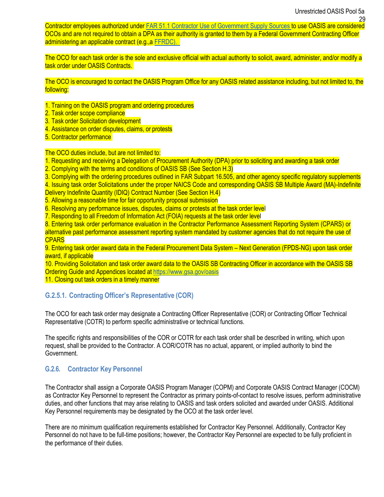29

Contractor employees authorized under [FAR 51.1 Contractor Use of Government Supply Sources to](https://www.acquisition.gov/far/subpart-51.1) use OASIS are considered OCOs and are not required to obtain a DPA as their authority is granted to them by a Federal Government Contracting Officer administering an applicable contract (e.g.,a [FFRDC\).](https://www.nsf.gov/statistics/ffrdclist/) 

The OCO for each task order is the sole and exclusive official with actual authority to solicit, award, administer, and/or modify a task order under OASIS Contracts.

The OCO is encouraged to contact the OASIS Program Office for any OASIS related assistance including, but not limited to, the following:

- 1. Training on the OASIS program and ordering procedures
- 2. Task order scope compliance
- 3. Task order Solicitation development
- 4. Assistance on order disputes, claims, or protests
- 5. Contractor performance

The OCO duties include, but are not limited to:

- 1. Requesting and receiving a Delegation of Procurement Authority (DPA) prior to soliciting and awarding a task order
- 2. Complying with the terms and conditions of OASIS SB (See Section H.3)
- 3. Complying with the ordering procedures outlined in FAR Subpart 16.505, and other agency specific regulatory supplements

4. Issuing task order Solicitations under the proper NAICS Code and corresponding OASIS SB Multiple Award (MA)-Indefinite

- Delivery Indefinite Quantity (IDIQ) Contract Number (See Section H.4)
- 5. Allowing a reasonable time for fair opportunity proposal submission
- 6. Resolving any performance issues, disputes, claims or protests at the task order level
- 7. Responding to all Freedom of Information Act (FOIA) requests at the task order level
- 8. Entering task order performance evaluation in the Contractor Performance Assessment Reporting System (CPARS) or

alternative past performance assessment reporting system mandated by customer agencies that do not require the use of **CPARS** 

9. Entering task order award data in the Federal Procurement Data System – Next Generation (FPDS-NG) upon task order award, if applicable

10. Providing Solicitation and task order award data to the OASIS SB Contracting Officer in accordance with the OASIS SB Ordering Guide and Appendices located at <https://www.gsa.gov/oasis>

11. Closing out task orders in a timely manner

#### <span id="page-28-0"></span>**G.2.5.1. Contracting Officer's Representative (COR)**

The OCO for each task order may designate a Contracting Officer Representative (COR) or Contracting Officer Technical Representative (COTR) to perform specific administrative or technical functions.

The specific rights and responsibilities of the COR or COTR for each task order shall be described in writing, which upon request, shall be provided to the Contractor. A COR/COTR has no actual, apparent, or implied authority to bind the Government.

#### <span id="page-28-1"></span>**G.2.6. Contractor Key Personnel**

The Contractor shall assign a Corporate OASIS Program Manager (COPM) and Corporate OASIS Contract Manager (COCM) as Contractor Key Personnel to represent the Contractor as primary points-of-contact to resolve issues, perform administrative duties, and other functions that may arise relating to OASIS and task orders solicited and awarded under OASIS. Additional Key Personnel requirements may be designated by the OCO at the task order level.

There are no minimum qualification requirements established for Contractor Key Personnel. Additionally, Contractor Key Personnel do not have to be full-time positions; however, the Contractor Key Personnel are expected to be fully proficient in the performance of their duties.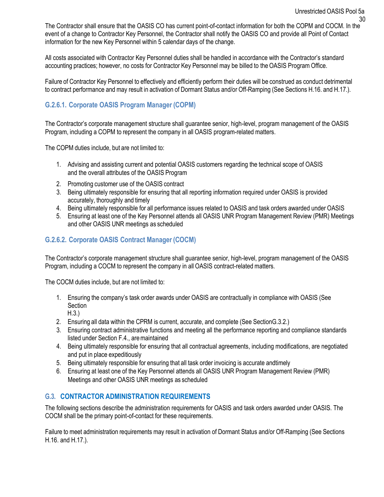The Contractor shall ensure that the OASIS CO has current point-of-contact information for both the COPM and COCM. In the event of a change to Contractor Key Personnel, the Contractor shall notify the OASIS CO and provide all Point of Contact information for the new Key Personnel within 5 calendar days of the change.

All costs associated with Contractor Key Personnel duties shall be handled in accordance with the Contractor's standard accounting practices; however, no costs for Contractor Key Personnel may be billed to the OASIS Program Office.

Failure of Contractor Key Personnel to effectively and efficiently perform their duties will be construed as conduct detrimental to contract performance and may result in activation of Dormant Status and/or Off-Ramping (See Sections H.16. and H.17.).

#### <span id="page-29-0"></span>**G.2.6.1. Corporate OASIS Program Manager (COPM)**

The Contractor's corporate management structure shall guarantee senior, high-level, program management of the OASIS Program, including a COPM to represent the company in all OASIS program-related matters.

The COPM duties include, but are not limited to:

- 1. Advising and assisting current and potential OASIS customers regarding the technical scope of OASIS and the overall attributes of the OASIS Program
- 2. Promoting customer use of the OASIS contract
- 3. Being ultimately responsible for ensuring that all reporting information required under OASIS is provided accurately, thoroughly and timely
- 4. Being ultimately responsible for all performance issues related to OASIS and task orders awarded under OASIS
- 5. Ensuring at least one of the Key Personnel attends all OASIS UNR Program Management Review (PMR) Meetings and other OASIS UNR meetings as scheduled

#### <span id="page-29-1"></span>**G.2.6.2. Corporate OASIS Contract Manager (COCM)**

The Contractor's corporate management structure shall guarantee senior, high-level, program management of the OASIS Program, including a COCM to represent the company in all OASIS contract-related matters.

The COCM duties include, but are not limited to:

- 1. Ensuring the company's task order awards under OASIS are contractually in compliance with OASIS (See Section H.3.)
- 2. Ensuring all data within the CPRM is current, accurate, and complete (See SectionG.3.2.)
- 3. Ensuring contract administrative functions and meeting all the performance reporting and compliance standards listed under Section F.4., aremaintained
- 4. Being ultimately responsible for ensuring that all contractual agreements, including modifications, are negotiated and put in place expeditiously
- <span id="page-29-2"></span>5. Being ultimately responsible for ensuring that all task order invoicing is accurate andtimely
- 6. Ensuring at least one of the Key Personnel attends all OASIS UNR Program Management Review (PMR) Meetings and other OASIS UNR meetings as scheduled

#### **G.3. CONTRACTOR ADMINISTRATION REQUIREMENTS**

The following sections describe the administration requirements for OASIS and task orders awarded under OASIS. The COCM shall be the primary point-of-contact for these requirements.

Failure to meet administration requirements may result in activation of Dormant Status and/or Off-Ramping (See Sections H.16. and H.17.).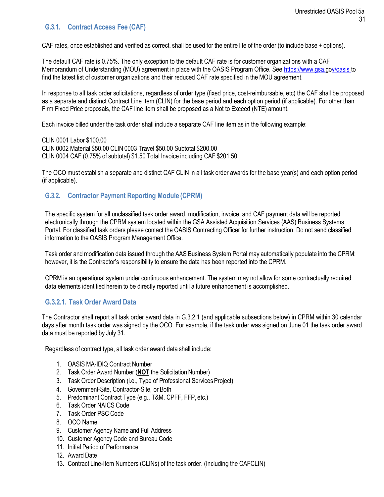#### <span id="page-30-0"></span>**G.3.1. Contract Access Fee (CAF)**

CAF rates, once established and verified as correct, shall be used for the entire life of the order (to include base + options).

The default CAF rate is 0.75%. The only exception to the default CAF rate is for customer organizations with a CAF Memorandum of Understanding (MOU) agreement in place with the OASIS Program Office. See [https://www.gsa.gov/oasis to](http://www.gsa.gov/oasis) find the latest list of customer organizations and their reduced CAF rate specified in the MOU agreement.

In response to all task order solicitations, regardless of order type (fixed price, cost-reimbursable, etc) the CAF shall be proposed as a separate and distinct Contract Line Item (CLIN) for the base period and each option period (if applicable). For other than Firm Fixed Price proposals, the CAF line item shall be proposed as a Not to Exceed (NTE) amount.

Each invoice billed under the task order shall include a separate CAF line item as in the following example:

CLIN 0001 Labor \$100.00 CLIN 0002 Material \$50.00 CLIN 0003 Travel \$50.00 Subtotal \$200.00 CLIN 0004 CAF (0.75% of subtotal) \$1.50 Total Invoice including CAF \$201.50

The OCO must establish a separate and distinct CAF CLIN in all task order awards for the base year(s) and each option period (if applicable).

#### <span id="page-30-1"></span>**G.3.2. Contractor Payment Reporting Module (CPRM)**

The specific system for all unclassified task order award, modification, invoice, and CAF payment data will be reported electronically through the CPRM system located within the GSA Assisted Acquisition Services (AAS) Business Systems Portal. For classified task orders please contact the OASIS Contracting Officer for further instruction. Do not send classified information to the OASIS Program Management Office.

Task order and modification data issued through the AAS Business System Portal may automatically populate into the CPRM; however, it is the Contractor's responsibility to ensure the data has been reported into the CPRM.

CPRM is an operational system under continuous enhancement. The system may not allow for some contractually required data elements identified herein to be directly reported until a future enhancement is accomplished.

#### <span id="page-30-2"></span>**G.3.2.1. Task Order Award Data**

The Contractor shall report all task order award data in G.3.2.1 (and applicable subsections below) in CPRM within 30 calendar days after month task order was signed by the OCO. For example, if the task order was signed on June 01 the task order award data must be reported by July 31.

Regardless of contract type, all task order award data shall include:

- 1. OASIS MA-IDIQ Contract Number
- 2. Task Order Award Number (**NOT** the Solicitation Number)
- 3. Task Order Description (i.e., Type of Professional Services Project)
- 4. Government-Site, Contractor-Site, or Both
- 5. Predominant Contract Type (e.g., T&M, CPFF, FFP, etc.)
- 6. Task Order NAICS Code
- 7. Task Order PSC Code
- 8. OCO Name
- 9. Customer Agency Name and Full Address
- 10. Customer Agency Code and Bureau Code
- 11. Initial Period of Performance
- 12. Award Date
- 13. Contract Line-Item Numbers (CLINs) of the task order. (Including the CAFCLIN)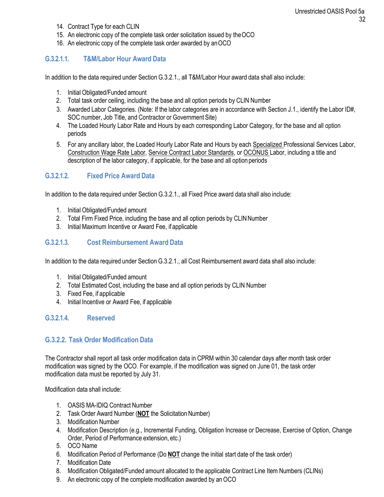- 14. Contract Type for each CLIN
- 15. An electronic copy of the complete task order solicitation issued by theOCO
- 16. An electronic copy of the complete task order awarded by anOCO

#### <span id="page-31-0"></span>**G.3.2.1.1. T&M/Labor Hour Award Data**

In addition to the data required under Section G.3.2.1., all T&M/Labor Hour award data shall also include:

- 1. Initial Obligated/Funded amount
- 2. Total task order ceiling, including the base and all option periods by CLIN Number
- 3. Awarded Labor Categories. (Note: If the labor categories are in accordance with Section J.1., identify the Labor ID#, SOC number, Job Title, and Contractor or Government Site)
- 4. The Loaded Hourly Labor Rate and Hours by each corresponding Labor Category, for the base and all option periods
- 5. For any ancillary labor, the Loaded Hourly Labor Rate and Hours by each Specialized Professional Services Labor, Construction Wage Rate Labor, Service Contract Labor Standards, or OCONUS Labor, including a title and description of the labor category, if applicable, for the base and all option periods

#### <span id="page-31-1"></span>**G.3.2.1.2. Fixed Price Award Data**

In addition to the data required under Section G.3.2.1., all Fixed Price award data shall also include:

- 1. Initial Obligated/Funded amount
- 2. Total Firm Fixed Price, including the base and all option periods by CLINNumber
- 3. Initial Maximum Incentive or Award Fee, if applicable

#### <span id="page-31-2"></span>**G.3.2.1.3. Cost Reimbursement Award Data**

In addition to the data required under Section G.3.2.1., all Cost Reimbursement award data shall also include:

- 1. Initial Obligated/Funded amount
- 2. Total Estimated Cost, including the base and all option periods by CLIN Number
- 3. Fixed Fee, if applicable
- 4. Initial Incentive or Award Fee, if applicable

#### <span id="page-31-3"></span>**G.3.2.1.4. Reserved**

#### <span id="page-31-4"></span>**G.3.2.2. Task Order Modification Data**

The Contractor shall report all task order modification data in CPRM within 30 calendar days after month task order modification was signed by the OCO. For example, if the modification was signed on June 01, the task order modification data must be reported by July 31.

Modification data shall include:

- 1. OASIS MA-IDIQ Contract Number
- 2. Task Order Award Number (**NOT** the Solicitation Number)
- 3. Modification Number
- 4. Modification Description (e.g., Incremental Funding, Obligation Increase or Decrease, Exercise of Option, Change Order, Period of Performance extension, etc.)
- 5. OCO Name
- 6. Modification Period of Performance (Do **NOT** change the initial start date of the task order)
- <span id="page-31-5"></span>7. Modification Date
- 8. Modification Obligated/Funded amount allocated to the applicable Contract Line Item Numbers (CLINs)
- 9. An electronic copy of the complete modification awarded by an OCO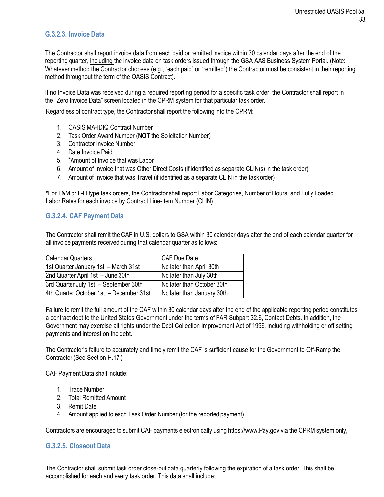#### **G.3.2.3. Invoice Data**

The Contractor shall report invoice data from each paid or remitted invoice within 30 calendar days after the end of the reporting quarter, including the invoice data on task orders issued through the GSA AAS Business System Portal. (Note: Whatever method the Contractor chooses (e.g., "each paid" or "remitted") the Contractor must be consistent in their reporting method throughout the term of the OASIS Contract).

If no Invoice Data was received during a required reporting period for a specific task order, the Contractor shall report in the "Zero Invoice Data" screen located in the CPRM system for that particular task order.

Regardless of contract type, the Contractor shall report the following into the CPRM:

- 1. OASIS MA-IDIQ Contract Number
- 2. Task Order Award Number (**NOT** the Solicitation Number)
- 3. Contractor Invoice Number
- 4. Date Invoice Paid
- 5. \*Amount of Invoice that was Labor
- 6. Amount of Invoice that was Other Direct Costs (if identified as separate CLIN(s) in the task order)
- 7. Amount of Invoice that was Travel (if identified as a separate CLIN in the task order)

<span id="page-32-0"></span>\*For T&M or L-H type task orders, the Contractor shall report Labor Categories, Number of Hours, and Fully Loaded Labor Rates for each invoice by Contract Line-Item Number (CLIN)

#### **G.3.2.4. CAF Payment Data**

The Contractor shall remit the CAF in U.S. dollars to GSA within 30 calendar days after the end of each calendar quarter for all invoice payments received during that calendar quarter as follows:

| <b>Calendar Quarters</b>                | <b>CAF Due Date</b>        |
|-----------------------------------------|----------------------------|
| 1st Quarter January 1st - March 31st    | No later than April 30th   |
| 2nd Quarter April 1st - June 30th       | No later than July 30th    |
| 3rd Quarter July 1st - September 30th   | No later than October 30th |
| 4th Quarter October 1st - December 31st | No later than January 30th |

Failure to remit the full amount of the CAF within 30 calendar days after the end of the applicable reporting period constitutes a contract debt to the United States Government under the terms of FAR Subpart 32.6, Contact Debts. In addition, the Government may exercise all rights under the Debt Collection Improvement Act of 1996, including withholding or off setting payments and interest on the debt.

The Contractor's failure to accurately and timely remit the CAF is sufficient cause for the Government to Off-Ramp the Contractor (See Section H.17.)

CAF Payment Data shall include:

- 1. Trace Number
- 2. Total Remitted Amount
- 3. Remit Date
- 4. Amount applied to each Task Order Number (for the reported payment)

Contractors are encouraged to submit CAF payments electronically using htt[ps://www.Pay.gov](http://www.pay.gov/) via the CPRM system only,

#### <span id="page-32-1"></span>**G.3.2.5. Closeout Data**

The Contractor shall submit task order close-out data quarterly following the expiration of a task order. This shall be accomplished for each and every task order. This data shall include: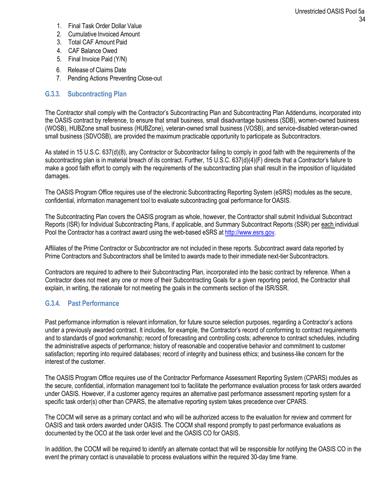- 1. Final Task Order Dollar Value
- 2. Cumulative Invoiced Amount
- 3. Total CAF Amount Paid
- 4. CAF Balance Owed
- 5. Final Invoice Paid (Y/N)
- 6. Release of Claims Date
- 7. Pending Actions Preventing Close-out

#### <span id="page-33-0"></span>**G.3.3. Subcontracting Plan**

The Contractor shall comply with the Contractor's Subcontracting Plan and Subcontracting Plan Addendums, incorporated into the OASIS contract by reference, to ensure that small business, small disadvantage business (SDB), women-owned business (WOSB), HUBZone small business (HUBZone), veteran-owned small business (VOSB), and service-disabled veteran-owned small business (SDVOSB), are provided the maximum practicable opportunity to participate as Subcontractors.

As stated in 15 U.S.C. 637(d)(8), any Contractor or Subcontractor failing to comply in good faith with the requirements of the subcontracting plan is in material breach of its contract. Further, 15 U.S.C. 637(d)(4)(F) directs that a Contractor's failure to make a good faith effort to comply with the requirements of the subcontracting plan shall result in the imposition of liquidated damages.

The OASIS Program Office requires use of the electronic Subcontracting Reporting System (eSRS) modules as the secure, confidential, information management tool to evaluate subcontracting goal performance for OASIS.

The Subcontracting Plan covers the OASIS program as whole, however, the Contractor shall submit Individual Subcontract Reports (ISR) for Individual Subcontracting Plans, if applicable, and Summary Subcontract Reports (SSR) per each individual Pool the Contractor has a contract award using the web-based eSRS at [http://www.esrs.gov](http://www.esrs.gov/)*.*

Affiliates of the Prime Contractor or Subcontractor are not included in these reports. Subcontract award data reported by Prime Contractors and Subcontractors shall be limited to awards made to their immediate next-tier Subcontractors.

Contractors are required to adhere to their Subcontracting Plan, incorporated into the basic contract by reference. When a Contractor does not meet any one or more of their Subcontracting Goals for a given reporting period, the Contractor shall explain, in writing, the rationale for not meeting the goals in the comments section of the ISR/SSR.

#### <span id="page-33-1"></span>**G.3.4. Past Performance**

Past performance information is relevant information, for future source selection purposes, regarding a Contractor's actions under a previously awarded contract. It includes, for example, the Contractor's record of conforming to contract requirements and to standards of good workmanship; record of forecasting and controlling costs; adherence to contract schedules, including the administrative aspects of performance; history of reasonable and cooperative behavior and commitment to customer satisfaction; reporting into required databases; record of integrity and business ethics; and business-like concern for the interest of the customer.

The OASIS Program Office requires use of the Contractor Performance Assessment Reporting System (CPARS) modules as the secure, confidential, information management tool to facilitate the performance evaluation process for task orders awarded under OASIS. However, if a customer agency requires an alternative past performance assessment reporting system for a specific task order(s) other than CPARS, the alternative reporting system takes precedence over CPARS.

The COCM will serve as a primary contact and who will be authorized access to the evaluation for review and comment for OASIS and task orders awarded under OASIS. The COCM shall respond promptly to past performance evaluations as documented by the OCO at the task order level and the OASIS CO for OASIS.

In addition, the COCM will be required to identify an alternate contact that will be responsible for notifying the OASIS CO in the event the primary contact is unavailable to process evaluations within the required 30-day time frame.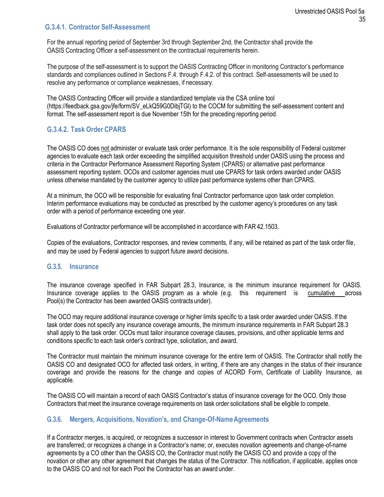#### <span id="page-34-0"></span>**G.3.4.1. Contractor Self-Assessment**

For the annual reporting period of September 3rd through September 2nd, the Contractor shall provide the OASIS Contracting Officer a self-assessment on the contractual requirements herein.

The purpose of the self-assessment is to support the OASIS Contracting Officer in monitoring Contractor's performance standards and compliances outlined in Sections F.4. through F.4.2. of this contract. Self-assessments will be used to resolve any performance or compliance weaknesses, if necessary.

<span id="page-34-1"></span>The OASIS Contracting Officer will provide a standardized template via the CSA online tool (https://feedback.gsa.gov/jfe/form/SV\_eLkQ59G0DibjTGl) to the COCM for submitting the self-assessment content and format. The self-assessment report is due November 15th for the preceding reporting period.

#### **G.3.4.2. Task Order CPARS**

The OASIS CO does not administer or evaluate task order performance. It is the sole responsibility of Federal customer agencies to evaluate each task order exceeding the simplified acquisition threshold under OASIS using the process and criteria in the Contractor Performance Assessment Reporting System (CPARS) or alternative past performance assessment reporting system. OCOs and customer agencies must use CPARS for task orders awarded under OASIS unless otherwise mandated by the customer agency to utilize past performance systems other than CPARS.

At a minimum, the OCO will be responsible for evaluating final Contractor performance upon task order completion. Interim performance evaluations may be conducted as prescribed by the customer agency's procedures on any task order with a period of performance exceeding one year.

Evaluations of Contractor performance will be accomplished in accordance with FAR 42.1503.

<span id="page-34-2"></span>Copies of the evaluations, Contractor responses, and review comments, if any, will be retained as part of the task order file, and may be used by Federal agencies to support future award decisions.

#### **G.3.5. Insurance**

The insurance coverage specified in FAR Subpart 28.3, Insurance, is the minimum insurance requirement for OASIS. Insurance coverage applies to the OASIS program as a whole (e.g. this requirement is cumulative across Pool(s) the Contractor has been awarded OASIS contracts under).

The OCO may require additional insurance coverage or higher limits specific to a task order awarded under OASIS. If the task order does not specify any insurance coverage amounts, the minimum insurance requirements in FAR Subpart 28.3 shall apply to the task order. OCOs must tailor insurance coverage clauses, provisions, and other applicable terms and conditions specific to each task order's contract type, solicitation, and award.

The Contractor must maintain the minimum insurance coverage for the entire term of OASIS. The Contractor shall notify the OASIS CO and designated OCO for affected task orders, in writing, if there are any changes in the status of their insurance coverage and provide the reasons for the change and copies of ACORD Form, Certificate of Liability Insurance, as applicable.

<span id="page-34-3"></span>The OASIS CO will maintain a record of each OASIS Contractor's status of insurance coverage for the OCO. Only those Contractors that meet the insurance coverage requirements on task order solicitations shall be eligible to compete.

#### **G.3.6. Mergers, Acquisitions, Novation's, and Change-Of-NameAgreements**

If a Contractor merges, is acquired, or recognizes a successor in interest to Government contracts when Contractor assets are transferred; or recognizes a change in a Contractor's name; or, executes novation agreements and change-of-name agreements by a CO other than the OASIS CO, the Contractor must notify the OASIS CO and provide a copy of the novation or other any other agreement that changes the status of the Contractor. This notification, if applicable, applies once to the OASIS CO and not for each Pool the Contractor has an award under.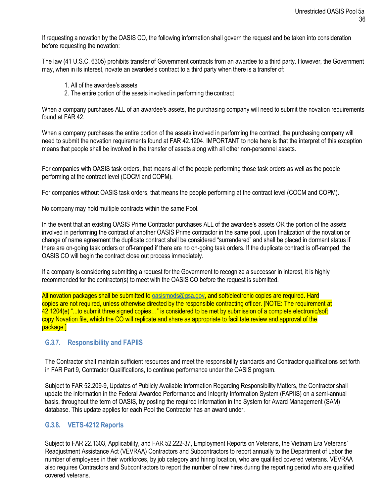If requesting a novation by the OASIS CO, the following information shall govern the request and be taken into consideration before requesting the novation:

The law (41 U.S.C. 6305) prohibits transfer of Government contracts from an awardee to a third party. However, the Government may, when in its interest, novate an awardee's contract to a third party when there is a transfer of:

- 1. All of the awardee's assets
- 2. The entire portion of the assets involved in performing the contract

When a company purchases ALL of an awardee's assets, the purchasing company will need to submit the novation requirements found at FAR 42.

When a company purchases the entire portion of the assets involved in performing the contract, the purchasing company will need to submit the novation requirements found at FAR 42.1204. IMPORTANT to note here is that the interpret of this exception means that people shall be involved in the transfer of assets along with all other non-personnel assets.

For companies with OASIS task orders, that means all of the people performing those task orders as well as the people performing at the contract level (COCM and COPM).

For companies without OASIS task orders, that means the people performing at the contract level (COCM and COPM).

No company may hold multiple contracts within the same Pool.

In the event that an existing OASIS Prime Contractor purchases ALL of the awardee's assets OR the portion of the assets involved in performing the contract of another OASIS Prime contractor in the same pool, upon finalization of the novation or change of name agreement the duplicate contract shall be considered "surrendered" and shall be placed in dormant status if there are on-going task orders or off-ramped if there are no on-going task orders. If the duplicate contract is off-ramped, the OASIS CO will begin the contract close out process immediately.

If a company is considering submitting a request for the Government to recognize a successor in interest, it is highly recommended for the contractor(s) to meet with the OASIS CO before the request is submitted.

All novation packages shall be submitted to [oasismods@gsa.gov,](mailto:oassimods@gsa.gov) and soft/electronic copies are required. Hard copies are not required, unless otherwise directed by the responsible contracting officer. [NOTE: The requirement at 42.1204(e) "...to submit three signed copies…" is considered to be met by submission of a complete electronic/soft copy Novation file, which the CO will replicate and share as appropriate to facilitate review and approval of the package.]

#### <span id="page-35-0"></span>**G.3.7. Responsibility and FAPIIS**

The Contractor shall maintain sufficient resources and meet the responsibility standards and Contractor qualifications set forth in FAR Part 9, Contractor Qualifications, to continue performance under the OASIS program.

Subject to FAR 52.209-9, Updates of Publicly Available Information Regarding Responsibility Matters, the Contractor shall update the information in the Federal Awardee Performance and Integrity Information System (FAPIIS) on a semi-annual basis, throughout the term of OASIS, by posting the required information in the System for Award Management (SAM) database. This update applies for each Pool the Contractor has an award under.

#### <span id="page-35-1"></span>**G.3.8. VETS-4212 Reports**

Subject to FAR 22.1303, Applicability, and FAR 52.222-37, Employment Reports on Veterans, the Vietnam Era Veterans' Readjustment Assistance Act (VEVRAA) Contractors and Subcontractors to report annually to the Department of Labor the number of employees in their workforces, by job category and hiring location, who are qualified covered veterans. VEVRAA also requires Contractors and Subcontractors to report the number of new hires during the reporting period who are qualified covered veterans.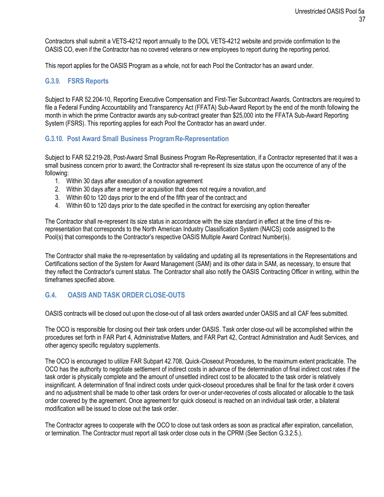Contractors shall submit a VETS-4212 report annually to the DOL VETS-4212 website and provide confirmation to the OASIS CO, even if the Contractor has no covered veterans or new employees to report during the reporting period.

This report applies for the OASIS Program as a whole, not for each Pool the Contractor has an award under.

#### <span id="page-36-0"></span>**G.3.9. FSRS Reports**

Subject to FAR 52.204-10, Reporting Executive Compensation and First-Tier Subcontract Awards, Contractors are required to file a Federal Funding Accountability and Transparency Act (FFATA) Sub-Award Report by the end of the month following the month in which the prime Contractor awards any sub-contract greater than \$25,000 into the FFATA Sub-Award Reporting System (FSRS). This reporting applies for each Pool the Contractor has an award under.

#### <span id="page-36-1"></span>**G.3.10. Post Award Small Business ProgramRe-Representation**

Subject to FAR 52.219-28, Post-Award Small Business Program Re-Representation, if a Contractor represented that it was a small business concern prior to award; the Contractor shall re-represent its size status upon the occurrence of any of the following:

- 1. Within 30 days after execution of a novation agreement
- 2. Within 30 days after a merger or acquisition that does not require a novation,and
- 3. Within 60 to 120 days prior to the end of the fifth year of the contract; and
- 4. Within 60 to 120 days prior to the date specified in the contract for exercising any option thereafter

The Contractor shall re-represent its size status in accordance with the size standard in effect at the time of this rerepresentation that corresponds to the North American Industry Classification System (NAICS) code assigned to the Pool(s) that corresponds to the Contractor's respective OASIS Multiple Award Contract Number(s).

The Contractor shall make the re-representation by validating and updating all its representations in the Representations and Certifications section of the System for Award Management (SAM) and its other data in SAM, as necessary, to ensure that they reflect the Contractor's current status. The Contractor shall also notify the OASIS Contracting Officer in writing, within the timeframes specified above.

#### <span id="page-36-2"></span>**G.4. OASIS AND TASK ORDERCLOSE-OUTS**

OASIS contracts will be closed out upon the close-out of all task orders awarded under OASIS and all CAF fees submitted.

The OCO is responsible for closing out their task orders under OASIS. Task order close-out will be accomplished within the procedures set forth in FAR Part 4, Administrative Matters, and FAR Part 42, Contract Administration and Audit Services, and other agency specific regulatory supplements.

The OCO is encouraged to utilize FAR Subpart 42.708, Quick-Closeout Procedures, to the maximum extent practicable. The OCO has the authority to negotiate settlement of indirect costs in advance of the determination of final indirect cost rates if the task order is physically complete and the amount of unsettled indirect cost to be allocated to the task order is relatively insignificant. A determination of final indirect costs under quick-closeout procedures shall be final for the task order it covers and no adjustment shall be made to other task orders for over-or under-recoveries of costs allocated or allocable to the task order covered by the agreement. Once agreement for quick closeout is reached on an individual task order, a bilateral modification will be issued to close out the task order.

The Contractor agrees to cooperate with the OCO to close out task orders as soon as practical after expiration, cancellation, or termination. The Contractor must report all task order close outs in the CPRM (See Section G.3.2.5.).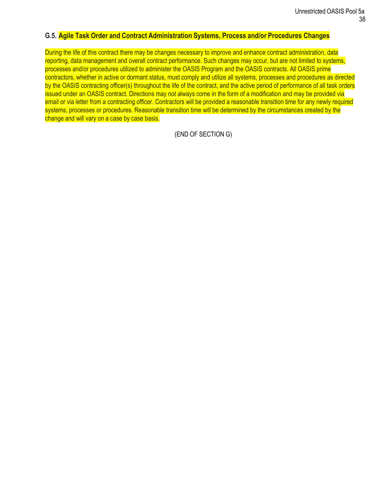#### <span id="page-37-0"></span>**G.5. Agile Task Order and Contract Administration Systems, Process and/or Procedures Changes**

During the life of this contract there may be changes necessary to improve and enhance contract administration, data reporting, data management and overall contract performance. Such changes may occur, but are not limited to systems, processes and/or procedures utilized to administer the OASIS Program and the OASIS contracts. All OASIS prime contractors, whether in active or dormant status, must comply and utilize all systems, processes and procedures as directed by the OASIS contracting officer(s) throughout the life of the contract, and the active period of performance of all task orders issued under an OASIS contract. Directions may not always come in the form of a modification and may be provided via email or via letter from a contracting officer. Contractors will be provided a reasonable transition time for any newly required systems, processes or procedures. Reasonable transition time will be determined by the circumstances created by the change and will vary on a case by case basis.

#### (END OF SECTION G)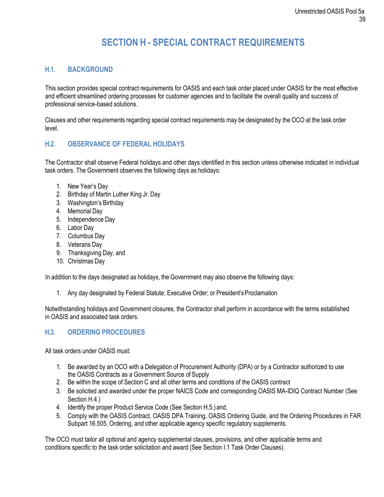## **SECTION H - SPECIAL CONTRACT REQUIREMENTS**

#### <span id="page-38-1"></span><span id="page-38-0"></span>**H.1. BACKGROUND**

This section provides special contract requirements for OASIS and each task order placed under OASIS for the most effective and efficient streamlined ordering processes for customer agencies and to facilitate the overall quality and success of professional service-based solutions.

Clauses and other requirements regarding special contract requirements may be designated by the OCO at the task order level.

#### <span id="page-38-2"></span>**H.2. OBSERVANCE OF FEDERAL HOLIDAYS**

The Contractor shall observe Federal holidays and other days identified in this section unless otherwise indicated in individual task orders. The Government observes the following days as holidays:

- 1. New Year's Day
- 2. Birthday of Martin Luther King Jr. Day
- 3. Washington's Birthday
- 4. Memorial Day
- 5. Independence Day
- 6. Labor Day
- 7. Columbus Day
- 8. Veterans Day
- 9. Thanksgiving Day, and
- 10. Christmas Day

In addition to the days designated as holidays, the Government may also observe the following days:

1. Any day designated by Federal Statute; Executive Order; or President'sProclamation

Notwithstanding holidays and Government closures, the Contractor shall perform in accordance with the terms established in OASIS and associated task orders.

#### <span id="page-38-3"></span>**H.3. ORDERING PROCEDURES**

All task orders under OASIS must:

- 1. Be awarded by an OCO with a Delegation of Procurement Authority (DPA) or by a Contractor authorized to use the OASIS Contracts as a Government Source of Supply
- 2. Be within the scope of Section C and all other terms and conditions of the OASIS contract
- 3. Be solicited and awarded under the proper NAICS Code and corresponding OASIS MA-IDIQ Contract Number (See Section H.4.)
- 4. Identify the proper Product Service Code (See Section H.5.) and,
- 5. Comply with the OASIS Contract, OASIS DPA Training, OASIS Ordering Guide, and the Ordering Procedures in FAR Subpart 16.505, Ordering, and other applicable agency specific regulatory supplements.

The OCO must tailor all optional and agency supplemental clauses, provisions, and other applicable terms and conditions specific to the task order solicitation and award (See Section I.1 Task Order Clauses).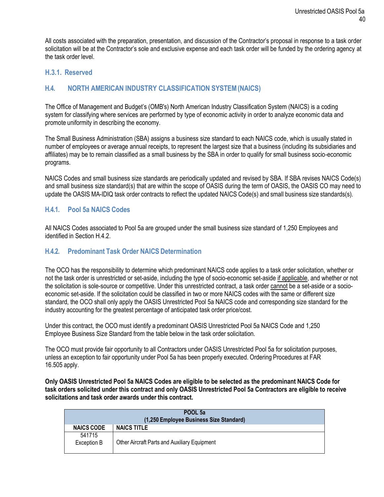All costs associated with the preparation, presentation, and discussion of the Contractor's proposal in response to a task order solicitation will be at the Contractor's sole and exclusive expense and each task order will be funded by the ordering agency at the task order level.

#### <span id="page-39-0"></span>**H.3.1. Reserved**

#### <span id="page-39-1"></span>**H.4. NORTH AMERICAN INDUSTRY CLASSIFICATION SYSTEM(NAICS)**

The Office of Management and Budget's (OMB's) North American Industry Classification System (NAICS) is a coding system for classifying where services are performed by type of economic activity in order to analyze economic data and promote uniformity in describing the economy.

The Small Business Administration (SBA) assigns a business size standard to each NAICS code, which is usually stated in number of employees or average annual receipts, to represent the largest size that a business (including its subsidiaries and affiliates) may be to remain classified as a small business by the SBA in order to qualify for small business socio-economic programs.

NAICS Codes and small business size standards are periodically updated and revised by SBA. If SBA revises NAICS Code(s) and small business size standard(s) that are within the scope of OASIS during the term of OASIS, the OASIS CO may need to update the OASIS MA-IDIQ task order contracts to reflect the updated NAICS Code(s) and small business size standards(s).

#### <span id="page-39-2"></span>**H.4.1. Pool 5a NAICS Codes**

All NAICS Codes associated to Pool 5a are grouped under the small business size standard of 1,250 Employees and identified in Section H.4.2.

#### <span id="page-39-3"></span>**H.4.2. Predominant Task Order NAICS Determination**

The OCO has the responsibility to determine which predominant NAICS code applies to a task order solicitation, whether or not the task order is unrestricted or set-aside, including the type of socio-economic set-aside if applicable, and whether or not the solicitation is sole-source or competitive. Under this unrestricted contract, a task order cannot be a set-aside or a socioeconomic set-aside. If the solicitation could be classified in two or more NAICS codes with the same or different size standard, the OCO shall only apply the OASIS Unrestricted Pool 5a NAICS code and corresponding size standard for the industry accounting for the greatest percentage of anticipated task order price/cost.

Under this contract, the OCO must identify a predominant OASIS Unrestricted Pool 5a NAICS Code and 1,250 Employee Business Size Standard from the table below in the task order solicitation.

The OCO must provide fair opportunity to all Contractors under OASIS Unrestricted Pool 5a for solicitation purposes, unless an exception to fair opportunity under Pool 5a has been properly executed. Ordering Procedures at FAR 16.505 apply.

**Only OASIS Unrestricted Pool 5a NAICS Codes are eligible to be selected as the predominant NAICS Code for task orders solicited under this contract and only OASIS Unrestricted Pool 5a Contractors are eligible to receive solicitations and task order awards under this contract.**

| POOL 5a<br>(1,250 Employee Business Size Standard) |                                              |  |
|----------------------------------------------------|----------------------------------------------|--|
| <b>NAICS CODE</b>                                  | <b>NAICS TITLE</b>                           |  |
| 541715<br>Exception B                              | Other Aircraft Parts and Auxiliary Equipment |  |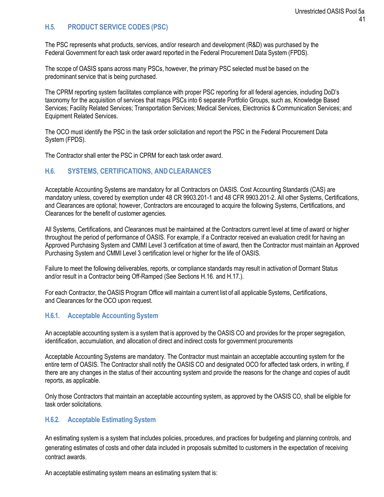#### <span id="page-40-0"></span>**H.5. PRODUCT SERVICE CODES (PSC)**

The PSC represents what products, services, and/or research and development (R&D) was purchased by the Federal Government for each task order award reported in the Federal Procurement Data System (FPDS).

The scope of OASIS spans across many PSCs, however, the primary PSC selected must be based on the predominant service that is being purchased.

The CPRM reporting system facilitates compliance with proper PSC reporting for all federal agencies, including DoD's taxonomy for the acquisition of services that maps PSCs into 6 separate Portfolio Groups, such as, Knowledge Based Services; Facility Related Services; Transportation Services; Medical Services, Electronics & Communication Services; and Equipment Related Services.

The OCO must identify the PSC in the task order solicitation and report the PSC in the Federal Procurement Data System (FPDS).

The Contractor shall enter the PSC in CPRM for each task order award.

#### <span id="page-40-1"></span>**H.6. SYSTEMS, CERTIFICATIONS, ANDCLEARANCES**

Acceptable Accounting Systems are mandatory for all Contractors on OASIS. Cost Accounting Standards (CAS) are mandatory unless, covered by exemption under 48 CR 9903.201-1 and 48 CFR 9903.201-2. All other Systems, Certifications, and Clearances are optional; however, Contractors are encouraged to acquire the following Systems, Certifications, and Clearances for the benefit of customer agencies.

All Systems, Certifications, and Clearances must be maintained at the Contractors current level at time of award or higher throughout the period of performance of OASIS. For example, if a Contractor received an evaluation credit for having an Approved Purchasing System and CMMI Level 3 certification at time of award, then the Contractor must maintain an Approved Purchasing System and CMMI Level 3 certification level or higher for the life of OASIS.

Failure to meet the following deliverables, reports, or compliance standards may result in activation of Dormant Status and/or result in a Contractor being Off-Ramped (See Sections H.16. and H.17.).

For each Contractor, the OASIS Program Office will maintain a current list of all applicable Systems, Certifications, and Clearances for the OCO upon request.

#### <span id="page-40-2"></span>**H.6.1. Acceptable Accounting System**

An acceptable accounting system is a system that is approved by the OASIS CO and provides for the proper segregation, identification, accumulation, and allocation of direct and indirect costs for government procurements

Acceptable Accounting Systems are mandatory. The Contractor must maintain an acceptable accounting system for the entire term of OASIS. The Contractor shall notify the OASIS CO and designated OCO for affected task orders, in writing, if there are any changes in the status of their accounting system and provide the reasons for the change and copies of audit reports, as applicable.

Only those Contractors that maintain an acceptable accounting system, as approved by the OASIS CO, shall be eligible for task order solicitations.

#### <span id="page-40-3"></span>**H.6.2. Acceptable Estimating System**

An estimating system is a system that includes policies, procedures, and practices for budgeting and planning controls, and generating estimates of costs and other data included in proposals submitted to customers in the expectation of receiving contract awards.

An acceptable estimating system means an estimating system that is: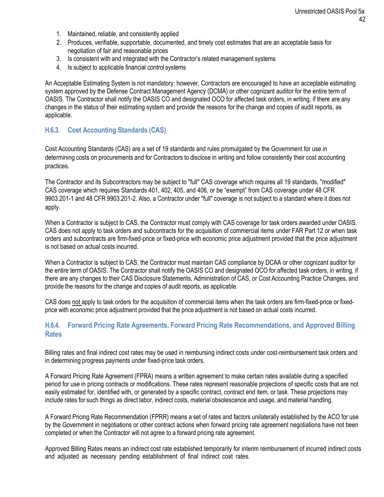- 1. Maintained, reliable, and consistently applied
- 2. Produces, verifiable, supportable, documented, and timely cost estimates that are an acceptable basis for negotiation of fair and reasonable prices
- 3. Is consistent with and integrated with the Contractor's related management systems
- 4. Is subject to applicable financial control systems

An Acceptable Estimating System is not mandatory; however, Contractors are encouraged to have an acceptable estimating system approved by the Defense Contract Management Agency (DCMA) or other cognizant auditor for the entire term of OASIS. The Contractor shall notify the OASIS CO and designated OCO for affected task orders, in writing, if there are any changes in the status of their estimating system and provide the reasons for the change and copies of audit reports, as applicable.

#### <span id="page-41-0"></span>**H.6.3. Cost Accounting Standards (CAS)**

Cost Accounting Standards (CAS) are a set of 19 standards and rules promulgated by the Government for use in determining costs on procurements and for Contractors to disclose in writing and follow consistently their cost accounting practices.

The Contractor and its Subcontractors may be subject to "full" CAS coverage which requires all 19 standards, "modified" CAS coverage which requires Standards 401, 402, 405, and 406, or be "exempt" from CAS coverage under 48 CFR 9903.201-1 and 48 CFR 9903.201-2. Also, a Contractor under "full" coverage is not subject to a standard where it does not apply.

When a Contractor is subject to CAS, the Contractor must comply with CAS coverage for task orders awarded under OASIS. CAS does not apply to task orders and subcontracts for the acquisition of commercial items under FAR Part 12 or when task orders and subcontracts are firm-fixed-price or fixed-price with economic price adjustment provided that the price adjustment is not based on actual costs incurred.

When a Contractor is subject to CAS, the Contractor must maintain CAS compliance by DCAA or other cognizant auditor for the entire term of OASIS. The Contractor shall notify the OASIS CO and designated OCO for affected task orders, in writing, if there are any changes to their CAS Disclosure Statements, Administration of CAS, or Cost Accounting Practice Changes, and provide the reasons for the change and copies of audit reports, as applicable.

CAS does not apply to task orders for the acquisition of commercial items when the task orders are firm-fixed-price or fixedprice with economic price adjustment provided that the price adjustment is not based on actual costs incurred.

#### <span id="page-41-1"></span>**H.6.4. Forward Pricing Rate Agreements, Forward Pricing Rate Recommendations, and Approved Billing Rates**

Billing rates and final indirect cost rates may be used in reimbursing indirect costs under cost-reimbursement task orders and in determining progress payments under fixed-price task orders.

A Forward Pricing Rate Agreement (FPRA) means a written agreement to make certain rates available during a specified period for use in pricing contracts or modifications. These rates represent reasonable projections of specific costs that are not easily estimated for, identified with, or generated by a specific contract, contract end item, or task. These projections may include rates for such things as direct labor, indirect costs, material obsolescence and usage, and material handling.

A Forward Pricing Rate Recommendation (FPRR) means a set of rates and factors unilaterally established by the ACO for use by the Government in negotiations or other contract actions when forward pricing rate agreement negotiations have not been completed or when the Contractor will not agree to a forward pricing rate agreement.

Approved Billing Rates means an indirect cost rate established temporarily for interim reimbursement of incurred indirect costs and adjusted as necessary pending establishment of final indirect cost rates.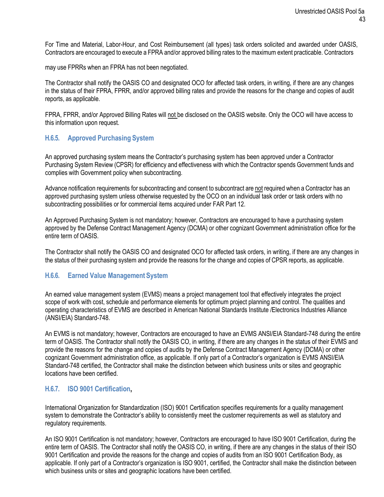For Time and Material, Labor-Hour, and Cost Reimbursement (all types) task orders solicited and awarded under OASIS, Contractors are encouraged to execute a FPRA and/or approved billing rates to the maximum extent practicable. Contractors

may use FPRRs when an FPRA has not been negotiated.

The Contractor shall notify the OASIS CO and designated OCO for affected task orders, in writing, if there are any changes in the status of their FPRA, FPRR, and/or approved billing rates and provide the reasons for the change and copies of audit reports, as applicable.

<span id="page-42-0"></span>FPRA, FPRR, and/or Approved Billing Rates will not be disclosed on the OASIS website. Only the OCO will have access to this information upon request.

#### **H.6.5. Approved Purchasing System**

An approved purchasing system means the Contractor's purchasing system has been approved under a Contractor Purchasing System Review (CPSR) for efficiency and effectiveness with which the Contractor spends Government funds and complies with Government policy when subcontracting.

Advance notification requirements for subcontracting and consent to subcontract are not required when a Contractor has an approved purchasing system unless otherwise requested by the OCO on an individual task order or task orders with no subcontracting possibilities or for commercial items acquired under FAR Part 12.

An Approved Purchasing System is not mandatory; however, Contractors are encouraged to have a purchasing system approved by the Defense Contract Management Agency (DCMA) or other cognizant Government administration office for the entire term of OASIS.

The Contractor shall notify the OASIS CO and designated OCO for affected task orders, in writing, if there are any changes in the status of their purchasing system and provide the reasons for the change and copies of CPSR reports, as applicable.

#### <span id="page-42-1"></span>**H.6.6. Earned Value Management System**

An earned value management system (EVMS) means a project management tool that effectively integrates the project scope of work with cost, schedule and performance elements for optimum project planning and control. The qualities and operating characteristics of EVMS are described in American National Standards Institute /Electronics Industries Alliance (ANSI/EIA) Standard-748.

An EVMS is not mandatory; however, Contractors are encouraged to have an EVMS ANSI/EIA Standard-748 during the entire term of OASIS. The Contractor shall notify the OASIS CO, in writing, if there are any changes in the status of their EVMS and provide the reasons for the change and copies of audits by the Defense Contract Management Agency (DCMA) or other cognizant Government administration office, as applicable. If only part of a Contractor's organization is EVMS ANSI/EIA Standard-748 certified, the Contractor shall make the distinction between which business units or sites and geographic locations have been certified.

#### <span id="page-42-2"></span>**H.6.7. ISO 9001 Certification,**

International Organization for Standardization (ISO) 9001 Certification specifies requirements for a quality management system to demonstrate the Contractor's ability to consistently meet the customer requirements as well as statutory and regulatory requirements.

An ISO 9001 Certification is not mandatory; however, Contractors are encouraged to have ISO 9001 Certification, during the entire term of OASIS. The Contractor shall notify the OASIS CO, in writing, if there are any changes in the status of their ISO 9001 Certification and provide the reasons for the change and copies of audits from an ISO 9001 Certification Body, as applicable. If only part of a Contractor's organization is ISO 9001, certified, the Contractor shall make the distinction between which business units or sites and geographic locations have been certified.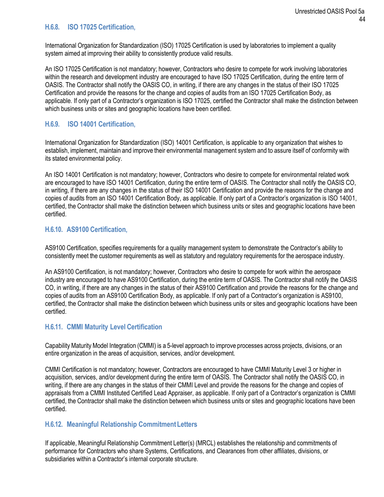#### <span id="page-43-0"></span>**H.6.8. ISO 17025 Certification,**

International Organization for Standardization (ISO) 17025 Certification is used by laboratories to implement a quality system aimed at improving their ability to consistently produce valid results.

An ISO 17025 Certification is not mandatory; however, Contractors who desire to compete for work involving laboratories within the research and development industry are encouraged to have ISO 17025 Certification, during the entire term of OASIS. The Contractor shall notify the OASIS CO, in writing, if there are any changes in the status of their ISO 17025 Certification and provide the reasons for the change and copies of audits from an ISO 17025 Certification Body, as applicable. If only part of a Contractor's organization is ISO 17025, certified the Contractor shall make the distinction between which business units or sites and geographic locations have been certified.

#### <span id="page-43-1"></span>**H.6.9. ISO 14001 Certification,**

International Organization for Standardization (ISO) 14001 Certification, is applicable to any organization that wishes to establish, implement, maintain and improve their environmental management system and to assure itself of conformity with its stated environmental policy.

An ISO 14001 Certification is not mandatory; however, Contractors who desire to compete for environmental related work are encouraged to have ISO 14001 Certification, during the entire term of OASIS. The Contractor shall notify the OASIS CO, in writing, if there are any changes in the status of their ISO 14001 Certification and provide the reasons for the change and copies of audits from an ISO 14001 Certification Body, as applicable. If only part of a Contractor's organization is ISO 14001, certified, the Contractor shall make the distinction between which business units or sites and geographic locations have been certified.

#### <span id="page-43-2"></span>**H.6.10. AS9100 Certification,**

AS9100 Certification, specifies requirements for a quality management system to demonstrate the Contractor's ability to consistently meet the customer requirements as well as statutory and regulatory requirements for the aerospace industry.

An AS9100 Certification, is not mandatory; however, Contractors who desire to compete for work within the aerospace industry are encouraged to have AS9100 Certification, during the entire term of OASIS. The Contractor shall notify the OASIS CO, in writing, if there are any changes in the status of their AS9100 Certification and provide the reasons for the change and copies of audits from an AS9100 Certification Body, as applicable. If only part of a Contractor's organization is AS9100, certified, the Contractor shall make the distinction between which business units or sites and geographic locations have been certified.

#### <span id="page-43-3"></span>**H.6.11. CMMI Maturity Level Certification**

Capability Maturity Model Integration (CMMI) is a 5-level approach to improve processes across projects, divisions, or an entire organization in the areas of acquisition, services, and/or development.

CMMI Certification is not mandatory; however, Contractors are encouraged to have CMMI Maturity Level 3 or higher in acquisition, services, and/or development during the entire term of OASIS. The Contractor shall notify the OASIS CO, in writing, if there are any changes in the status of their CMMI Level and provide the reasons for the change and copies of appraisals from a CMMI Instituted Certified Lead Appraiser, as applicable. If only part of a Contractor's organization is CMMI certified, the Contractor shall make the distinction between which business units or sites and geographic locations have been certified.

#### <span id="page-43-4"></span>**H.6.12. Meaningful Relationship Commitment Letters**

If applicable, Meaningful Relationship Commitment Letter(s) (MRCL) establishes the relationship and commitments of performance for Contractors who share Systems, Certifications, and Clearances from other affiliates, divisions, or subsidiaries within a Contractor's internal corporate structure.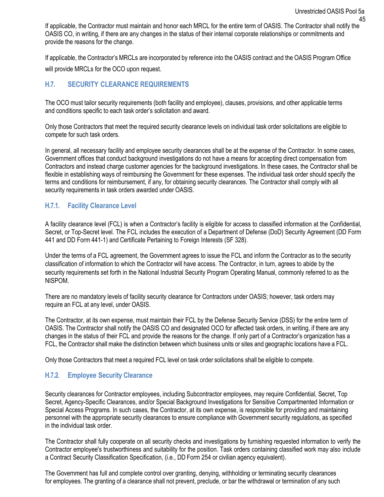If applicable, the Contractor must maintain and honor each MRCL for the entire term of OASIS. The Contractor shall notify the OASIS CO, in writing, if there are any changes in the status of their internal corporate relationships or commitments and provide the reasons for the change.

If applicable, the Contractor's MRCLs are incorporated by reference into the OASIS contract and the OASIS Program Office will provide MRCLs for the OCO upon request.

#### <span id="page-44-0"></span>**H.7. SECURITY CLEARANCE REQUIREMENTS**

The OCO must tailor security requirements (both facility and employee), clauses, provisions, and other applicable terms and conditions specific to each task order's solicitation and award.

Only those Contractors that meet the required security clearance levels on individual task order solicitations are eligible to compete for such task orders.

In general, all necessary facility and employee security clearances shall be at the expense of the Contractor. In some cases, Government offices that conduct background investigations do not have a means for accepting direct compensation from Contractors and instead charge customer agencies for the background investigations. In these cases, the Contractor shall be flexible in establishing ways of reimbursing the Government for these expenses. The individual task order should specify the terms and conditions for reimbursement, if any, for obtaining security clearances. The Contractor shall comply with all security requirements in task orders awarded under OASIS.

#### <span id="page-44-1"></span>**H.7.1. Facility Clearance Level**

A facility clearance level (FCL) is when a Contractor's facility is eligible for access to classified information at the Confidential, Secret, or Top-Secret level. The FCL includes the execution of a Department of Defense (DoD) Security Agreement (DD Form 441 and DD Form 441-1) and Certificate Pertaining to Foreign Interests (SF 328).

Under the terms of a FCL agreement, the Government agrees to issue the FCL and inform the Contractor as to the security classification of information to which the Contractor will have access. The Contractor, in turn, agrees to abide by the security requirements set forth in the National Industrial Security Program Operating Manual, commonly referred to as the NISPOM.

There are no mandatory levels of facility security clearance for Contractors under OASIS; however, task orders may require an FCL at any level, under OASIS.

The Contractor, at its own expense, must maintain their FCL by the Defense Security Service (DSS) for the entire term of OASIS. The Contractor shall notify the OASIS CO and designated OCO for affected task orders, in writing, if there are any changes in the status of their FCL and provide the reasons for the change. If only part of a Contractor's organization has a FCL, the Contractor shall make the distinction between which business units or sites and geographic locations have a FCL.

Only those Contractors that meet a required FCL level on task order solicitations shall be eligible to compete.

#### <span id="page-44-2"></span>**H.7.2. Employee Security Clearance**

Security clearances for Contractor employees, including Subcontractor employees, may require Confidential, Secret, Top Secret, Agency-Specific Clearances, and/or Special Background Investigations for Sensitive Compartmented Information or Special Access Programs. In such cases, the Contractor, at its own expense, is responsible for providing and maintaining personnel with the appropriate security clearances to ensure compliance with Government security regulations, as specified in the individual task order.

The Contractor shall fully cooperate on all security checks and investigations by furnishing requested information to verify the Contractor employee's trustworthiness and suitability for the position. Task orders containing classified work may also include a Contract Security Classification Specification, (i.e., DD Form 254 or civilian agency equivalent).

The Government has full and complete control over granting, denying, withholding or terminating security clearances for employees. The granting of a clearance shall not prevent, preclude, or bar the withdrawal or termination of any such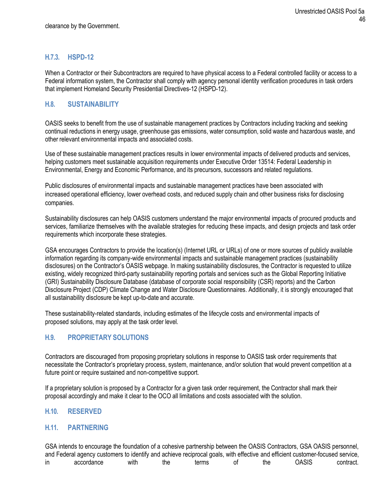#### <span id="page-45-0"></span>**H.7.3. HSPD-12**

When a Contractor or their Subcontractors are required to have physical access to a Federal controlled facility or access to a Federal information system, the Contractor shall comply with agency personal identity verification procedures in task orders that implement Homeland Security Presidential Directives-12 (HSPD-12).

#### <span id="page-45-1"></span>**H.8. SUSTAINABILITY**

OASIS seeks to benefit from the use of sustainable management practices by Contractors including tracking and seeking continual reductions in energy usage, greenhouse gas emissions, water consumption, solid waste and hazardous waste, and other relevant environmental impacts and associated costs.

Use of these sustainable management practices results in lower environmental impacts of delivered products and services, helping customers meet sustainable acquisition requirements under Executive Order 13514: Federal Leadership in Environmental, Energy and Economic Performance, and its precursors, successors and related regulations.

Public disclosures of environmental impacts and sustainable management practices have been associated with increased operational efficiency, lower overhead costs, and reduced supply chain and other business risks for disclosing companies.

Sustainability disclosures can help OASIS customers understand the major environmental impacts of procured products and services, familiarize themselves with the available strategies for reducing these impacts, and design projects and task order requirements which incorporate these strategies.

GSA encourages Contractors to provide the location(s) (Internet URL or URLs) of one or more sources of publicly available information regarding its company-wide environmental impacts and sustainable management practices (sustainability disclosures) on the Contractor's OASIS webpage. In making sustainability disclosures, the Contractor is requested to utilize existing, widely recognized third-party sustainability reporting portals and services such as the Global Reporting Initiative (GRI) Sustainability Disclosure Database (database of corporate social responsibility (CSR) reports) and the Carbon Disclosure Project (CDP) Climate Change and Water Disclosure Questionnaires. Additionally, it is strongly encouraged that all sustainability disclosure be kept up-to-date and accurate.

These sustainability-related standards, including estimates of the lifecycle costs and environmental impacts of proposed solutions, may apply at the task order level.

#### <span id="page-45-2"></span>**H.9. PROPRIETARY SOLUTIONS**

Contractors are discouraged from proposing proprietary solutions in response to OASIS task order requirements that necessitate the Contractor's proprietary process, system, maintenance, and/or solution that would prevent competition at a future point or require sustained and non-competitive support.

If a proprietary solution is proposed by a Contractor for a given task order requirement, the Contractor shall mark their proposal accordingly and make it clear to the OCO all limitations and costs associated with the solution.

#### <span id="page-45-4"></span><span id="page-45-3"></span>**H.10. RESERVED**

#### **H.11. PARTNERING**

GSA intends to encourage the foundation of a cohesive partnership between the OASIS Contractors, GSA OASIS personnel, and Federal agency customers to identify and achieve reciprocal goals, with effective and efficient customer-focused service, in accordance with the terms of the OASIS contract.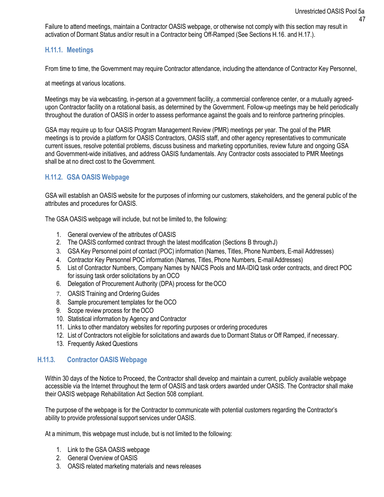Failure to attend meetings, maintain a Contractor OASIS webpage, or otherwise not comply with this section may result in activation of Dormant Status and/or result in a Contractor being Off-Ramped (See Sections H.16. and H.17.).

#### <span id="page-46-0"></span>**H.11.1. Meetings**

From time to time, the Government may require Contractor attendance, including the attendance of Contractor Key Personnel,

at meetings at various locations.

Meetings may be via webcasting, in-person at a government facility, a commercial conference center, or a mutually agreedupon Contractor facility on a rotational basis, as determined by the Government. Follow-up meetings may be held periodically throughout the duration of OASIS in order to assess performance against the goals and to reinforce partnering principles.

GSA may require up to four OASIS Program Management Review (PMR) meetings per year. The goal of the PMR meetings is to provide a platform for OASIS Contractors, OASIS staff, and other agency representatives to communicate current issues, resolve potential problems, discuss business and marketing opportunities, review future and ongoing GSA and Government-wide initiatives, and address OASIS fundamentals. Any Contractor costs associated to PMR Meetings shall be at no direct cost to the Government.

#### <span id="page-46-1"></span>**H.11.2. GSA OASIS Webpage**

GSA will establish an OASIS website for the purposes of informing our customers, stakeholders, and the general public of the attributes and procedures for OASIS.

The GSA OASIS webpage will include, but not be limited to, the following:

- 1. General overview of the attributes of OASIS
- 2. The OASIS conformed contract through the latest modification (Sections B throughJ)
- 3. GSA Key Personnel point of contact (POC) information (Names, Titles, Phone Numbers, E-mail Addresses)
- 4. Contractor Key Personnel POC information (Names, Titles, Phone Numbers, E-mailAddresses)
- 5. List of Contractor Numbers, Company Names by NAICS Pools and MA-IDIQ task order contracts, and direct POC for issuing task order solicitations by an OCO
- 6. Delegation of Procurement Authority (DPA) process for theOCO
- 7. OASIS Training and Ordering Guides
- 8. Sample procurement templates for the OCO
- 9. Scope review process for the OCO
- 10. Statistical information by Agency and Contractor
- 11. Links to other mandatory websites for reporting purposes or ordering procedures
- 12. List of Contractors not eligible for solicitations and awards due to Dormant Status or Off Ramped, if necessary.
- 13. Frequently Asked Questions

#### <span id="page-46-2"></span>**H.11.3. Contractor OASIS Webpage**

Within 30 days of the Notice to Proceed, the Contractor shall develop and maintain a current, publicly available webpage accessible via the Internet throughout the term of OASIS and task orders awarded under OASIS. The Contractor shall make their OASIS webpage Rehabilitation Act Section 508 compliant.

The purpose of the webpage is for the Contractor to communicate with potential customers regarding the Contractor's ability to provide professional support services under OASIS.

At a minimum, this webpage must include, but is not limited to the following:

- 1. Link to the GSA OASIS webpage
- 2. General Overview of OASIS
- 3. OASIS related marketing materials and news releases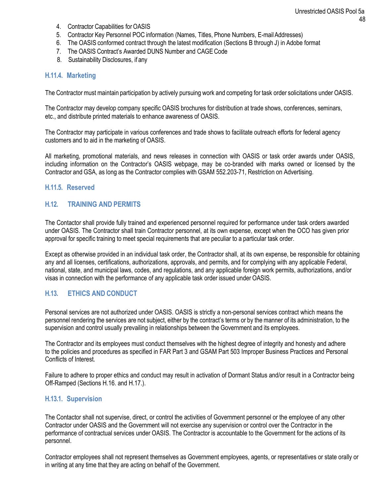- 4. Contractor Capabilities for OASIS
- 5. Contractor Key Personnel POC information (Names, Titles, Phone Numbers, E-mailAddresses)
- 6. The OASIS conformed contract through the latest modification (Sections B through J) in Adobe format
- 7. The OASIS Contract's Awarded DUNS Number and CAGECode
- 8. Sustainability Disclosures, if any

#### <span id="page-47-0"></span>**H.11.4. Marketing**

The Contractor must maintain participation by actively pursuing work and competing for task order solicitations under OASIS.

The Contractor may develop company specific OASIS brochures for distribution at trade shows, conferences, seminars, etc., and distribute printed materials to enhance awareness of OASIS.

The Contractor may participate in various conferences and trade shows to facilitate outreach efforts for federal agency customers and to aid in the marketing of OASIS.

All marketing, promotional materials, and news releases in connection with OASIS or task order awards under OASIS, including information on the Contractor's OASIS webpage, may be co-branded with marks owned or licensed by the Contractor and GSA, as long as the Contractor complies with GSAM 552.203-71, Restriction on Advertising.

#### <span id="page-47-1"></span>**H.11.5. Reserved**

#### <span id="page-47-2"></span>**H.12. TRAINING AND PERMITS**

The Contactor shall provide fully trained and experienced personnel required for performance under task orders awarded under OASIS. The Contractor shall train Contractor personnel, at its own expense, except when the OCO has given prior approval for specific training to meet special requirements that are peculiar to a particular task order.

Except as otherwise provided in an individual task order, the Contractor shall, at its own expense, be responsible for obtaining any and all licenses, certifications, authorizations, approvals, and permits, and for complying with any applicable Federal, national, state, and municipal laws, codes, and regulations, and any applicable foreign work permits, authorizations, and/or visas in connection with the performance of any applicable task order issued under OASIS.

#### <span id="page-47-3"></span>**H.13. ETHICS AND CONDUCT**

Personal services are not authorized under OASIS. OASIS is strictly a non-personal services contract which means the personnel rendering the services are not subject, either by the contract's terms or by the manner of its administration, to the supervision and control usually prevailing in relationships between the Government and its employees.

The Contractor and its employees must conduct themselves with the highest degree of integrity and honesty and adhere to the policies and procedures as specified in FAR Part 3 and GSAM Part 503 Improper Business Practices and Personal Conflicts of Interest.

Failure to adhere to proper ethics and conduct may result in activation of Dormant Status and/or result in a Contractor being Off-Ramped (Sections H.16. and H.17.).

#### <span id="page-47-4"></span>**H.13.1. Supervision**

The Contactor shall not supervise, direct, or control the activities of Government personnel or the employee of any other Contractor under OASIS and the Government will not exercise any supervision or control over the Contractor in the performance of contractual services under OASIS. The Contractor is accountable to the Government for the actions of its personnel.

Contractor employees shall not represent themselves as Government employees, agents, or representatives or state orally or in writing at any time that they are acting on behalf of the Government.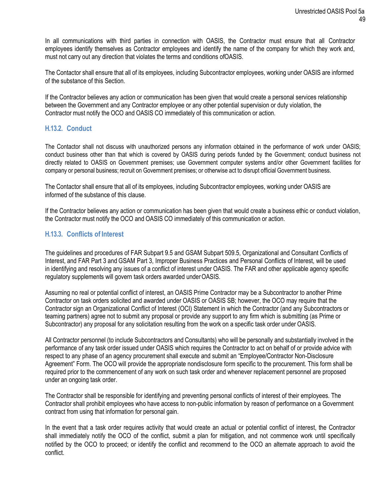In all communications with third parties in connection with OASIS, the Contractor must ensure that all Contractor employees identify themselves as Contractor employees and identify the name of the company for which they work and, must not carry out any direction that violates the terms and conditions ofOASIS.

The Contactor shall ensure that all of its employees, including Subcontractor employees, working under OASIS are informed of the substance of this Section.

If the Contractor believes any action or communication has been given that would create a personal services relationship between the Government and any Contractor employee or any other potential supervision or duty violation, the Contractor must notify the OCO and OASIS CO immediately of this communication or action.

#### <span id="page-48-0"></span>**H.13.2. Conduct**

The Contactor shall not discuss with unauthorized persons any information obtained in the performance of work under OASIS; conduct business other than that which is covered by OASIS during periods funded by the Government; conduct business not directly related to OASIS on Government premises; use Government computer systems and/or other Government facilities for company or personal business; recruit on Government premises; or otherwise act to disrupt official Government business.

The Contactor shall ensure that all of its employees, including Subcontractor employees, working under OASIS are informed of the substance of this clause.

If the Contractor believes any action or communication has been given that would create a business ethic or conduct violation, the Contractor must notify the OCO and OASIS CO immediately of this communication or action.

#### <span id="page-48-1"></span>**H.13.3. Conflicts of Interest**

The guidelines and procedures of FAR Subpart 9.5 and GSAM Subpart 509.5, Organizational and Consultant Conflicts of Interest, and FAR Part 3 and GSAM Part 3, Improper Business Practices and Personal Conflicts of Interest, will be used in identifying and resolving any issues of a conflict of interest under OASIS. The FAR and other applicable agency specific regulatory supplements will govern task orders awarded under OASIS.

Assuming no real or potential conflict of interest, an OASIS Prime Contractor may be a Subcontractor to another Prime Contractor on task orders solicited and awarded under OASIS or OASIS SB; however, the OCO may require that the Contractor sign an Organizational Conflict of Interest (OCI) Statement in which the Contractor (and any Subcontractors or teaming partners) agree not to submit any proposal or provide any support to any firm which is submitting (as Prime or Subcontractor) any proposal for any solicitation resulting from the work on a specific task order under OASIS.

All Contractor personnel (to include Subcontractors and Consultants) who will be personally and substantially involved in the performance of any task order issued under OASIS which requires the Contractor to act on behalf of or provide advice with respect to any phase of an agency procurement shall execute and submit an "Employee/Contractor Non-Disclosure Agreement" Form. The OCO will provide the appropriate nondisclosure form specific to the procurement. This form shall be required prior to the commencement of any work on such task order and whenever replacement personnel are proposed under an ongoing task order.

The Contractor shall be responsible for identifying and preventing personal conflicts of interest of their employees. The Contractor shall prohibit employees who have access to non-public information by reason of performance on a Government contract from using that information for personal gain.

In the event that a task order requires activity that would create an actual or potential conflict of interest, the Contractor shall immediately notify the OCO of the conflict, submit a plan for mitigation, and not commence work until specifically notified by the OCO to proceed; or identify the conflict and recommend to the OCO an alternate approach to avoid the conflict.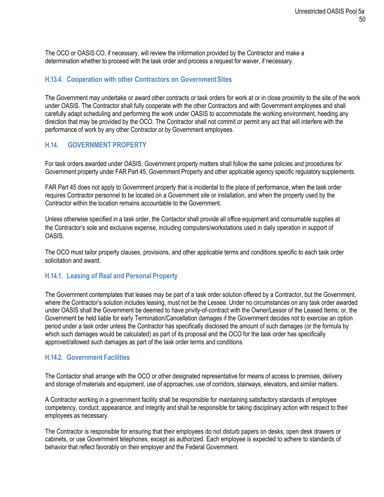The OCO or OASIS CO, if necessary, will review the information provided by the Contractor and make a determination whether to proceed with the task order and process a request for waiver, if necessary.

#### <span id="page-49-0"></span>**H.13.4. Cooperation with other Contractors on GovernmentSites**

The Government may undertake or award other contracts or task orders for work at or in close proximity to the site of the work under OASIS. The Contractor shall fully cooperate with the other Contractors and with Government employees and shall carefully adapt scheduling and performing the work under OASIS to accommodate the working environment, heeding any direction that may be provided by the OCO. The Contractor shall not commit or permit any act that will interfere with the performance of work by any other Contractor or by Government employees.

#### <span id="page-49-1"></span>**H.14. GOVERNMENT PROPERTY**

For task orders awarded under OASIS, Government property matters shall follow the same policies and procedures for Government property under FAR Part 45, Government Property and other applicable agency specific regulatory supplements.

FAR Part 45 does not apply to Government property that is incidental to the place of performance, when the task order requires Contractor personnel to be located on a Government site or installation, and when the property used by the Contractor within the location remains accountable to the Government.

Unless otherwise specified in a task order, the Contactor shall provide all office equipment and consumable supplies at the Contractor's sole and exclusive expense, including computers/workstations used in daily operation in support of OASIS.

The OCO must tailor property clauses, provisions, and other applicable terms and conditions specific to each task order solicitation and award.

#### <span id="page-49-2"></span>**H.14.1. Leasing of Real and Personal Property**

The Government contemplates that leases may be part of a task order solution offered by a Contractor, but the Government, where the Contractor's solution includes leasing, must not be the Lessee. Under no circumstances on any task order awarded under OASIS shall the Government be deemed to have privity-of-contract with the Owner/Lessor of the Leased Items; or, the Government be held liable for early Termination/Cancellation damages if the Government decides not to exercise an option period under a task order unless the Contractor has specifically disclosed the amount of such damages (or the formula by which such damages would be calculated) as part of its proposal and the OCO for the task order has specifically approved/allowed such damages as part of the task order terms and conditions.

#### <span id="page-49-3"></span>**H.14.2. Government Facilities**

The Contactor shall arrange with the OCO or other designated representative for means of access to premises, delivery and storage of materials and equipment, use of approaches, use of corridors, stairways, elevators, and similar matters.

A Contractor working in a government facility shall be responsible for maintaining satisfactory standards of employee competency, conduct, appearance, and integrity and shall be responsible for taking disciplinary action with respect to their employees as necessary.

The Contractor is responsible for ensuring that their employees do not disturb papers on desks, open desk drawers or cabinets, or use Government telephones, except as authorized. Each employee is expected to adhere to standards of behavior that reflect favorably on their employer and the Federal Government.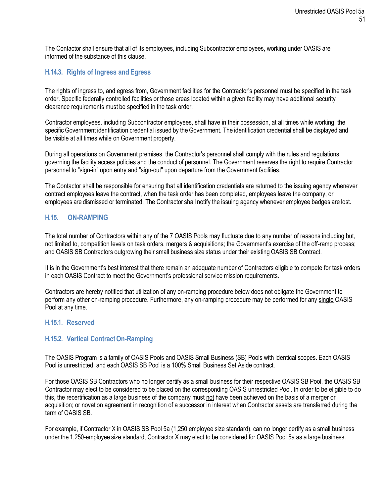The Contactor shall ensure that all of its employees, including Subcontractor employees, working under OASIS are informed of the substance of this clause.

#### <span id="page-50-0"></span>**H.14.3. Rights of Ingress and Egress**

The rights of ingress to, and egress from, Government facilities for the Contractor's personnel must be specified in the task order. Specific federally controlled facilities or those areas located within a given facility may have additional security clearance requirements must be specified in the task order.

Contractor employees, including Subcontractor employees, shall have in their possession, at all times while working, the specific Government identification credential issued by the Government. The identification credential shall be displayed and be visible at all times while on Government property.

During all operations on Government premises, the Contractor's personnel shall comply with the rules and regulations governing the facility access policies and the conduct of personnel. The Government reserves the right to require Contractor personnel to "sign-in" upon entry and "sign-out" upon departure from the Government facilities.

The Contactor shall be responsible for ensuring that all identification credentials are returned to the issuing agency whenever contract employees leave the contract, when the task order has been completed, employees leave the company, or employees are dismissed or terminated. The Contractor shall notify the issuing agency whenever employee badges are lost.

#### <span id="page-50-1"></span>**H.15. ON-RAMPING**

The total number of Contractors within any of the 7 OASIS Pools may fluctuate due to any number of reasons including but, not limited to, competition levels on task orders, mergers & acquisitions; the Government's exercise of the off-ramp process; and OASIS SB Contractors outgrowing their small business size status under their existing OASIS SB Contract.

It is in the Government's best interest that there remain an adequate number of Contractors eligible to compete for task orders in each OASIS Contract to meet the Government's professional service mission requirements.

Contractors are hereby notified that utilization of any on-ramping procedure below does not obligate the Government to perform any other on-ramping procedure. Furthermore, any on-ramping procedure may be performed for any single OASIS Pool at any time.

#### <span id="page-50-2"></span>**H.15.1. Reserved**

#### **H.15.2. Vertical ContractOn-Ramping**

The OASIS Program is a family of OASIS Pools and OASIS Small Business (SB) Pools with identical scopes. Each OASIS Pool is unrestricted, and each OASIS SB Pool is a 100% Small Business Set Aside contract.

For those OASIS SB Contractors who no longer certify as a small business for their respective OASIS SB Pool, the OASIS SB Contractor may elect to be considered to be placed on the corresponding OASIS unrestricted Pool. In order to be eligible to do this, the recertification as a large business of the company must not have been achieved on the basis of a merger or acquisition; or novation agreement in recognition of a successor in interest when Contractor assets are transferred during the term of OASIS SB.

For example, if Contractor X in OASIS SB Pool 5a (1,250 employee size standard), can no longer certify as a small business under the 1,250-employee size standard, Contractor X may elect to be considered for OASIS Pool 5a as a large business.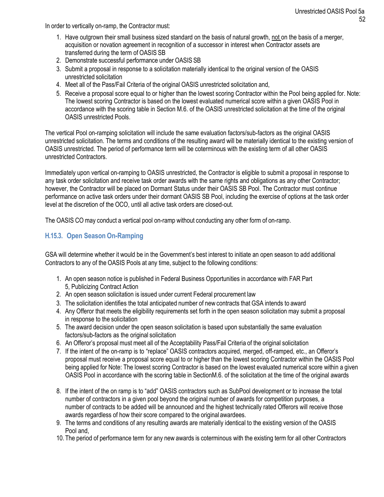In order to vertically on-ramp, the Contractor must:

- 1. Have outgrown their small business sized standard on the basis of natural growth, not on the basis of a merger, acquisition or novation agreement in recognition of a successor in interest when Contractor assets are transferred during the term of OASIS SB
- 2. Demonstrate successful performance under OASIS SB
- 3. Submit a proposal in response to a solicitation materially identical to the original version of the OASIS unrestricted solicitation
- 4. Meet all of the Pass/Fail Criteria of the original OASIS unrestricted solicitation and,
- 5. Receive a proposal score equal to or higher than the lowest scoring Contractor within the Pool being applied for. Note: The lowest scoring Contractor is based on the lowest evaluated numerical score within a given OASIS Pool in accordance with the scoring table in Section M.6. of the OASIS unrestricted solicitation at the time of the original OASIS unrestricted Pools.

The vertical Pool on-ramping solicitation will include the same evaluation factors/sub-factors as the original OASIS unrestricted solicitation. The terms and conditions of the resulting award will be materially identical to the existing version of OASIS unrestricted. The period of performance term will be coterminous with the existing term of all other OASIS unrestricted Contractors.

Immediately upon vertical on-ramping to OASIS unrestricted, the Contractor is eligible to submit a proposal in response to any task order solicitation and receive task order awards with the same rights and obligations as any other Contractor; however, the Contractor will be placed on Dormant Status under their OASIS SB Pool. The Contractor must continue performance on active task orders under their dormant OASIS SB Pool, including the exercise of options at the task order level at the discretion of the OCO, until all active task orders are closed-out.

The OASIS CO may conduct a vertical pool on-ramp without conducting any other form of on-ramp.

#### <span id="page-51-0"></span>**H.15.3. Open Season On-Ramping**

GSA will determine whether it would be in the Government's best interest to initiate an open season to add additional Contractors to any of the OASIS Pools at any time, subject to the following conditions:

- 1. An open season notice is published in Federal Business Opportunities in accordance with FAR Part 5, Publicizing Contract Action
- 2. An open season solicitation is issued under current Federal procurement law
- 3. The solicitation identifies the total anticipated number of new contracts that GSA intends to award
- 4. Any Offeror that meets the eligibility requirements set forth in the open season solicitation may submit a proposal in response to the solicitation
- 5. The award decision under the open season solicitation is based upon substantially the same evaluation factors/sub-factors as the original solicitation
- 6. An Offeror's proposal must meet all of the Acceptability Pass/Fail Criteria of the original solicitation
- 7. If the intent of the on-ramp is to "replace" OASIS contractors acquired, merged, off-ramped, etc., an Offeror's proposal must receive a proposal score equal to or higher than the lowest scoring Contractor within the OASIS Pool being applied for Note: The lowest scoring Contractor is based on the lowest evaluated numerical score within a given OASIS Pool in accordance with the scoring table in SectionM.6. of the solicitation at the time of the original awards
- 8. If the intent of the on ramp is to "add" OASIS contractors such as SubPool development or to increase the total number of contractors in a given pool beyond the original number of awards for competition purposes, a number of contracts to be added will be announced and the highest technically rated Offerors will receive those awards regardless of how their score compared to the original awardees.
- 9. The terms and conditions of any resulting awards are materially identical to the existing version of the OASIS Pool and,
- 10. The period of performance term for any new awards is coterminous with the existing term for all other Contractors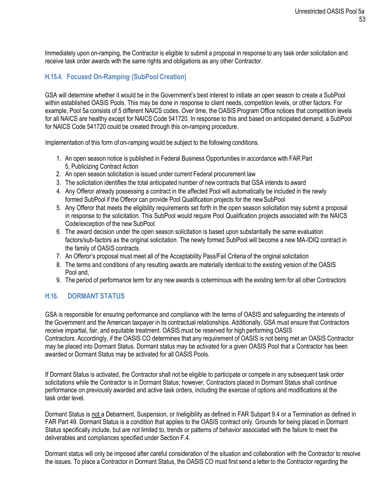Immediately upon on-ramping, the Contractor is eligible to submit a proposal in response to any task order solicitation and receive task order awards with the same rights and obligations as any other Contractor.

#### <span id="page-52-0"></span>**H.15.4. Focused On-Ramping (SubPoolCreation)**

GSA will determine whether it would be in the Government's best interest to initiate an open season to create a SubPool within established OASIS Pools. This may be done in response to client needs, competition levels, or other factors. For example, Pool 5a consists of 5 different NAICS codes. Over time, the OASIS Program Office notices that competition levels for all NAICS are healthy except for NAICS Code 541720. In response to this and based on anticipated demand, a SubPool for NAICS Code 541720 could be created through this on-ramping procedure.

Implementation of this form of on-ramping would be subject to the following conditions.

- 1. An open season notice is published in Federal Business Opportunities in accordance with FAR Part 5, Publicizing Contract Action
- 2. An open season solicitation is issued under current Federal procurement law
- 3. The solicitation identifies the total anticipated number of new contracts that GSA intends to award
- 4. Any Offeror already possessing a contract in the affected Pool will automatically be included in the newly formed SubPool if the Offeror can provide Pool Qualification projects for the new SubPool
- 5. Any Offeror that meets the eligibility requirements set forth in the open season solicitation may submit a proposal in response to the solicitation. This SubPool would require Pool Qualification projects associated with the NAICS Code/exception of the new SubPool.
- 6. The award decision under the open season solicitation is based upon substantially the same evaluation factors/sub-factors as the original solicitation. The newly formed SubPool will become a new MA-IDIQ contract in the family of OASIS contracts.
- 7. An Offeror's proposal must meet all of the Acceptability Pass/Fail Criteria of the original solicitation
- 8. The terms and conditions of any resulting awards are materially identical to the existing version of the OASIS Pool and,
- 9. The period of performance term for any new awards is coterminous with the existing term for all other Contractors

#### <span id="page-52-1"></span>**H.16. DORMANT STATUS**

GSA is responsible for ensuring performance and compliance with the terms of OASIS and safeguarding the interests of the Government and the American taxpayer in its contractual relationships. Additionally, GSA must ensure that Contractors receive impartial, fair, and equitable treatment. OASIS must be reserved for high performing OASIS Contractors. Accordingly, if the OASIS CO determines that any requirement of OASIS is not being met an OASIS Contractor may be placed into Dormant Status. Dormant status may be activated for a given OASIS Pool that a Contractor has been awarded or Dormant Status may be activated for all OASIS Pools.

If Dormant Status is activated, the Contractor shall not be eligible to participate or compete in any subsequent task order solicitations while the Contractor is in Dormant Status; however, Contractors placed in Dormant Status shall continue performance on previously awarded and active task orders, including the exercise of options and modifications at the task order level.

Dormant Status is not a Debarment, Suspension, or Ineligibility as defined in FAR Subpart 9.4 or a Termination as defined in FAR Part 49. Dormant Status is a condition that applies to the OASIS contract only. Grounds for being placed in Dormant Status specifically include, but are not limited to, trends or patterns of behavior associated with the failure to meet the deliverables and compliances specified under Section F.4.

Dormant status will only be imposed after careful consideration of the situation and collaboration with the Contractor to resolve the issues. To place a Contractor in Dormant Status, the OASIS CO must first send a letter to the Contractor regarding the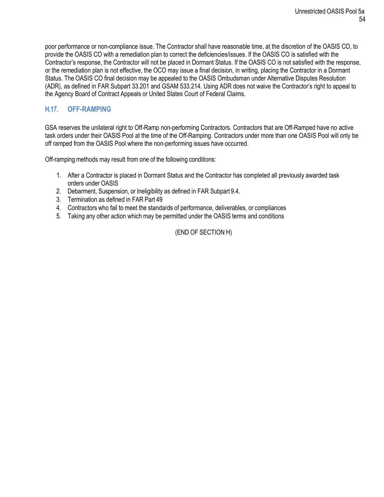poor performance or non-compliance issue. The Contractor shall have reasonable time, at the discretion of the OASIS CO, to provide the OASIS CO with a remediation plan to correct the deficiencies/issues. If the OASIS CO is satisfied with the Contractor's response, the Contractor will not be placed in Dormant Status. If the OASIS CO is not satisfied with the response, or the remediation plan is not effective, the OCO may issue a final decision, in writing, placing the Contractor in a Dormant Status. The OASIS CO final decision may be appealed to the OASIS Ombudsman under Alternative Disputes Resolution (ADR), as defined in FAR Subpart 33.201 and GSAM 533.214. Using ADR does not waive the Contractor's right to appeal to the Agency Board of Contract Appeals or United States Court of Federal Claims.

#### <span id="page-53-0"></span>**H.17. OFF-RAMPING**

GSA reserves the unilateral right to Off-Ramp non-performing Contractors. Contractors that are Off-Ramped have no active task orders under their OASIS Pool at the time of the Off-Ramping. Contractors under more than one OASIS Pool will only be off ramped from the OASIS Pool where the non-performing issues have occurred.

Off-ramping methods may result from one of the following conditions:

- 1. After a Contractor is placed in Dormant Status and the Contractor has completed all previously awarded task orders under OASIS
- 2. Debarment, Suspension, or Ineligibility as defined in FAR Subpart 9.4.
- 3. Termination as defined in FAR Part 49
- 4. Contractors who fail to meet the standards of performance, deliverables, or compliances
- 5. Taking any other action which may be permitted under the OASIS terms and conditions

(END OF SECTION H)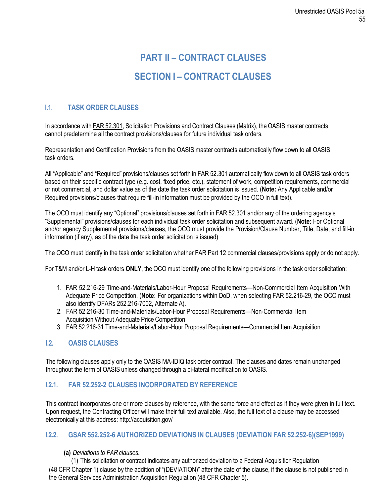## **PART II – CONTRACT CLAUSES SECTION I – CONTRACT CLAUSES**

#### <span id="page-54-1"></span><span id="page-54-0"></span>**I.1. TASK ORDER CLAUSES**

In accordance with FAR 52.301, Solicitation Provisions and Contract Clauses (Matrix), the OASIS master contracts cannot predetermine all the contract provisions/clauses for future individual task orders.

Representation and Certification Provisions from the OASIS master contracts automatically flow down to all OASIS task orders.

All "Applicable" and "Required" provisions/clauses set forth in FAR 52.301 automatically flow down to all OASIS task orders based on their specific contract type (e.g. cost, fixed price, etc.), statement of work, competition requirements, commercial or not commercial, and dollar value as of the date the task order solicitation is issued. (**Note:** Any Applicable and/or Required provisions/clauses that require fill-in information must be provided by the OCO in full text).

The OCO must identify any "Optional" provisions/clauses set forth in FAR 52.301 and/or any of the ordering agency's "Supplemental" provisions/clauses for each individual task order solicitation and subsequent award. (**Note:** For Optional and/or agency Supplemental provisions/clauses, the OCO must provide the Provision/Clause Number, Title, Date, and fill-in information (if any), as of the date the task order solicitation is issued)

The OCO must identify in the task order solicitation whether FAR Part 12 commercial clauses/provisions apply or do not apply.

For T&M and/or L-H task orders **ONLY**, the OCO must identify one of the following provisions in the task order solicitation:

- 1. FAR 52.216-29 Time-and-Materials/Labor-Hour Proposal Requirements—Non-Commercial Item Acquisition With Adequate Price Competition. (**Note:** For organizations within DoD, when selecting FAR 52.216-29, the OCO must also identify DFARs 252.216-7002, Alternate A).
- 2. FAR 52.216-30 Time-and-Materials/Labor-Hour Proposal Requirements—Non-Commercial Item Acquisition Without Adequate Price Competition
- 3. FAR 52.216-31 Time-and-Materials/Labor-Hour Proposal Requirements—Commercial Item Acquisition

#### <span id="page-54-2"></span>**I.2. OASIS CLAUSES**

The following clauses apply only to the OASIS MA-IDIQ task order contract. The clauses and dates remain unchanged throughout the term of OASIS unless changed through a bi-lateral modification to OASIS.

#### <span id="page-54-3"></span>**I.2.1. FAR 52.252-2 CLAUSES INCORPORATED BYREFERENCE**

This contract incorporates one or more clauses by reference, with the same force and effect as if they were given in full text. Upon request, the Contracting Officer will make their full text available. Also, the full text of a clause may be accessed electronically at this address: <http://acquisition.gov/>

#### <span id="page-54-4"></span>**I.2.2. GSAR 552.252-6 AUTHORIZED DEVIATIONS IN CLAUSES (DEVIATION FAR 52.252-6)(SEP1999)**

#### **(a)** *Deviations to FAR clauses***.**

(1) This solicitation or contract indicates any authorized deviation to a Federal AcquisitionRegulation (48 CFR Chapter 1) clause by the addition of "(DEVIATION)" after the date of the clause, if the clause is not published in the General Services Administration Acquisition Regulation (48 CFR Chapter 5).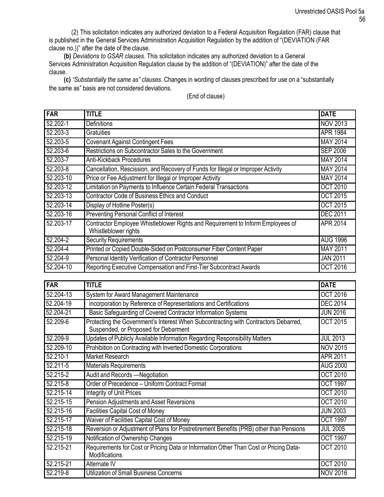(2) This solicitation indicates any authorized deviation to a Federal Acquisition Regulation (FAR) clause that is published in the General Services Administration Acquisition Regulation by the addition of "(DEVIATION (FAR clause no.))" after the date of the clause.

**(b)** *Deviations to GSAR clauses.* This solicitation indicates any authorized deviation to a General Services Administration Acquisition Regulation clause by the addition of "(DEVIATION)" after the date of the clause.

**(c)** *"Substantially the same as" clauses.* Changes in wording of clauses prescribed for use on a "substantially the same as" basis are not considered deviations.

| <b>TITLE</b>                                                                                            | <b>DATE</b>                                                                                                                         |
|---------------------------------------------------------------------------------------------------------|-------------------------------------------------------------------------------------------------------------------------------------|
| <b>Definitions</b>                                                                                      | <b>NOV 2013</b>                                                                                                                     |
| <b>Gratuities</b>                                                                                       | APR 1984                                                                                                                            |
| <b>Covenant Against Contingent Fees</b>                                                                 | <b>MAY 2014</b>                                                                                                                     |
| Restrictions on Subcontractor Sales to the Government                                                   | <b>SEP 2006</b>                                                                                                                     |
| <b>Anti-Kickback Procedures</b>                                                                         | <b>MAY 2014</b>                                                                                                                     |
|                                                                                                         | <b>MAY 2014</b>                                                                                                                     |
| Price or Fee Adjustment for Illegal or Improper Activity                                                | <b>MAY 2014</b>                                                                                                                     |
| Limitation on Payments to Influence Certain Federal Transactions                                        | <b>OCT 2010</b>                                                                                                                     |
| <b>Contractor Code of Business Ethics and Conduct</b>                                                   | <b>OCT 2015</b>                                                                                                                     |
| Display of Hotline Poster(s)                                                                            | <b>OCT 2015</b>                                                                                                                     |
|                                                                                                         | <b>DEC 2011</b>                                                                                                                     |
| Contractor Employee Whistleblower Rights and Requirement to Inform Employees of<br>Whistleblower rights | <b>APR 2014</b>                                                                                                                     |
| <b>Security Requirements</b>                                                                            | <b>AUG 1996</b>                                                                                                                     |
| Printed or Copied Double-Sided on Postconsumer Fiber Content Paper                                      | MAY 2011                                                                                                                            |
| Personal Identity Verification of Contractor Personnel                                                  | <b>JAN 2011</b>                                                                                                                     |
| Reporting Executive Compensation and First-Tier Subcontract Awards                                      | <b>OCT 2016</b>                                                                                                                     |
|                                                                                                         | Cancellation, Rescission, and Recovery of Funds for Illegal or Improper Activity<br><b>Preventing Personal Conflict of Interest</b> |

(End of clause)

| <b>FAR</b>   | <b>TITLE</b>                                                                                                                | <b>DATE</b>     |
|--------------|-----------------------------------------------------------------------------------------------------------------------------|-----------------|
| 52.204-13    | System for Award Management Maintenance                                                                                     | <b>OCT 2016</b> |
| 52.204-19    | incorporation by Reference of Representations and Certifications                                                            | <b>DEC 2014</b> |
| 52.204-21    | Basic Safeguarding of Covered Contractor Information Systems                                                                | <b>JUN 2016</b> |
| 52.209-6     | Protecting the Government's Interest When Subcontracting with Contractors Debarred,<br>Suspended, or Proposed for Debarment | <b>OCT 2015</b> |
| 52.209-9     | Updates of Publicly Available Information Regarding Responsibility Matters                                                  | <b>JUL 2013</b> |
| 52.209-10    | Prohibition on Contracting with Inverted Domestic Corporations                                                              | <b>NOV 2015</b> |
| 52.210-1     | Market Research                                                                                                             | <b>APR 2011</b> |
| $52.211 - 5$ | <b>Materials Requirements</b>                                                                                               | <b>AUG 2000</b> |
| 52.215-2     | Audit and Records -Negotiation                                                                                              | <b>OCT 2010</b> |
| 52.215-8     | Order of Precedence - Uniform Contract Format                                                                               | <b>OCT 1997</b> |
| 52.215-14    | Integrity of Unit Prices                                                                                                    | <b>OCT 2010</b> |
| 52.215-15    | Pension Adjustments and Asset Reversions                                                                                    | <b>OCT 2010</b> |
| 52.215-16    | <b>Facilities Capital Cost of Money</b>                                                                                     | <b>JUN 2003</b> |
| 52.215-17    | Waiver of Facilities Capital Cost of Money                                                                                  | <b>OCT 1997</b> |
| 52.215-18    | Reversion or Adjustment of Plans for Postretirement Benefits (PRB) other than Pensions                                      | <b>JUL 2005</b> |
| 52.215-19    | Notification of Ownership Changes                                                                                           | <b>OCT 1997</b> |
| 52.215-21    | Requirements for Cost or Pricing Data or Information Other Than Cost or Pricing Data-<br><b>Modifications</b>               | <b>OCT 2010</b> |
| 52.215-21    | Alternate IV                                                                                                                | <b>OCT 2010</b> |
| 52.219-8     | <b>Utilization of Small Business Concerns</b>                                                                               | <b>NOV 2016</b> |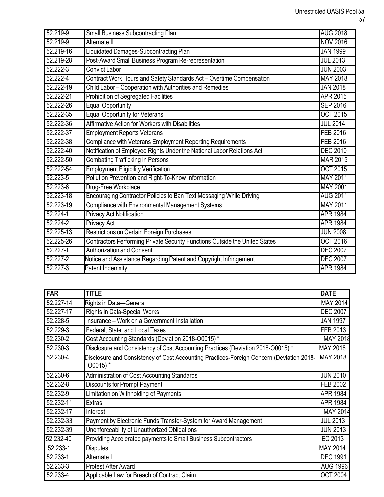| 52.219-9                | <b>Small Business Subcontracting Plan</b>                                   | <b>AUG 2018</b> |
|-------------------------|-----------------------------------------------------------------------------|-----------------|
|                         |                                                                             |                 |
| 52.219-9                | Alternate II                                                                | <b>NOV 2016</b> |
| 52.219-16               | Liquidated Damages-Subcontracting Plan                                      | <b>JAN 1999</b> |
| 52.219-28               | Post-Award Small Business Program Re-representation                         | <b>JUL 2013</b> |
| $52.222 - 3$            | <b>Convict Labor</b>                                                        | <b>JUN 2003</b> |
| 52.222-4                | Contract Work Hours and Safety Standards Act - Overtime Compensation        | <b>MAY 2018</b> |
| 52.222-19               | Child Labor - Cooperation with Authorities and Remedies                     | <b>JAN 2018</b> |
| 52.222-21               | <b>Prohibition of Segregated Facilities</b>                                 | <b>APR 2015</b> |
| 52.222-26               | <b>Equal Opportunity</b>                                                    | <b>SEP 2016</b> |
| 52.222-35               | <b>Equal Opportunity for Veterans</b>                                       | <b>OCT 2015</b> |
| 52.222-36               | Affirmative Action for Workers with Disabilities                            | <b>JUL 2014</b> |
| $\overline{52.222}$ -37 | <b>Employment Reports Veterans</b>                                          | <b>FEB 2016</b> |
| 52.222-38               | Compliance with Veterans Employment Reporting Requirements                  | <b>FEB 2016</b> |
| 52.222-40               | Notification of Employee Rights Under the National Labor Relations Act      | <b>DEC 2010</b> |
| 52.222-50               | <b>Combating Trafficking in Persons</b>                                     | <b>MAR 2015</b> |
| 52.222-54               | <b>Employment Eligibility Verification</b>                                  | <b>OCT 2015</b> |
| 52.223-5                | Pollution Prevention and Right-To-Know Information                          | <b>MAY 2011</b> |
| 52.223-6                | Drug-Free Workplace                                                         | <b>MAY 2001</b> |
| 52.223-18               | Encouraging Contractor Policies to Ban Text Messaging While Driving         | <b>AUG 2011</b> |
| 52.223-19               | Compliance with Environmental Management Systems                            | <b>MAY 2011</b> |
| $52.224 - 1$            | <b>Privacy Act Notification</b>                                             | <b>APR 1984</b> |
| 52.224-2                | <b>Privacy Act</b>                                                          | <b>APR 1984</b> |
| 52.225-13               | Restrictions on Certain Foreign Purchases                                   | <b>JUN 2008</b> |
| 52.225-26               | Contractors Performing Private Security Functions Outside the United States | <b>OCT 2016</b> |
| $52.227 - 1$            | <b>Authorization and Consent</b>                                            | <b>DEC 2007</b> |
| 52.227-2                | Notice and Assistance Regarding Patent and Copyright Infringement           | <b>DEC 2007</b> |
| 52.227-3                | <b>Patent Indemnity</b>                                                     | <b>APR 1984</b> |

| <b>FAR</b> | <b>TITLE</b>                                                                                                     | <b>DATE</b>     |
|------------|------------------------------------------------------------------------------------------------------------------|-----------------|
| 52.227-14  | Rights in Data-General                                                                                           | MAY 2014        |
| 52.227-17  | Rights in Data-Special Works                                                                                     | <b>DEC 2007</b> |
| 52.228-5   | insurance - Work on a Government Installation                                                                    | <b>JAN 1997</b> |
| 52.229-3   | Federal, State, and Local Taxes                                                                                  | <b>FEB 2013</b> |
| 52.230-2   | Cost Accounting Standards (Deviation 2018-O0015) *                                                               | MAY 2018        |
| 52.230-3   | Disclosure and Consistency of Cost Accounting Practices (Deviation 2018-00015) *                                 | <b>MAY 2018</b> |
| 52.230-4   | Disclosure and Consistency of Cost Accounting Practices-Foreign Concern (Deviation 2018-<br>$00015$ <sup>*</sup> | <b>MAY 2018</b> |
| 52.230-6   | Administration of Cost Accounting Standards                                                                      | <b>JUN 2010</b> |
| 52.232-8   | <b>Discounts for Prompt Payment</b>                                                                              | <b>FEB 2002</b> |
| 52.232-9   | Limitation on Withholding of Payments                                                                            | <b>APR 1984</b> |
| 52.232-11  | <b>Extras</b>                                                                                                    | APR 1984        |
| 52.232-17  | Interest                                                                                                         | MAY 2014        |
| 52.232-33  | Payment by Electronic Funds Transfer-System for Award Management                                                 | <b>JUL 2013</b> |
| 52.232-39  | Unenforceability of Unauthorized Obligations                                                                     | <b>JUN 2013</b> |
| 52.232-40  | Providing Accelerated payments to Small Business Subcontractors                                                  | EC 2013         |
| 52.233-1   | <b>Disputes</b>                                                                                                  | <b>MAY 2014</b> |
| 52.233-1   | Alternate I                                                                                                      | <b>DEC 1991</b> |
| 52.233-3   | <b>Protest After Award</b>                                                                                       | <b>AUG 1996</b> |
| 52.233-4   | Applicable Law for Breach of Contract Claim                                                                      | <b>OCT 2004</b> |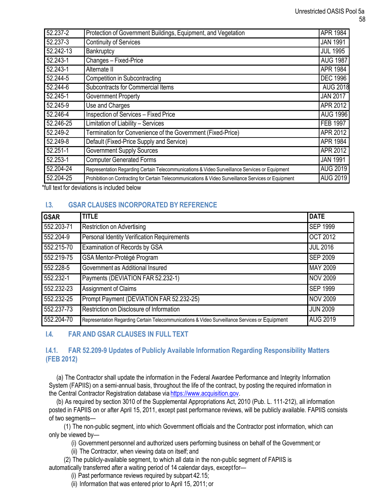| 52.237-2                | Protection of Government Buildings, Equipment, and Vegetation                                        | <b>APR 1984</b> |
|-------------------------|------------------------------------------------------------------------------------------------------|-----------------|
| 52.237-3                | <b>Continuity of Services</b>                                                                        | <b>JAN 1991</b> |
| 52.242-13               | Bankruptcy                                                                                           | <b>JUL 1995</b> |
| 52.243-1                | Changes - Fixed-Price                                                                                | <b>AUG 1987</b> |
| 52.243-1                | Alternate II                                                                                         | APR 1984        |
| 52.244-5                | <b>Competition in Subcontracting</b>                                                                 | <b>DEC 1996</b> |
| 52.244-6                | <b>Subcontracts for Commercial Items</b>                                                             | <b>AUG 2018</b> |
| 52.245-1                | Government Property                                                                                  | <b>JAN 2017</b> |
| 52.245-9                | Use and Charges                                                                                      | APR 2012        |
| 52.246-4                | <b>Inspection of Services - Fixed Price</b>                                                          | <b>AUG 1996</b> |
| $\overline{52.246}$ -25 | Limitation of Liability - Services                                                                   | <b>FEB 1997</b> |
| 52.249-2                | Termination for Convenience of the Government (Fixed-Price)                                          | <b>APR 2012</b> |
| 52.249-8                | Default (Fixed-Price Supply and Service)                                                             | <b>APR 1984</b> |
| $52.251 - 1$            | <b>Government Supply Sources</b>                                                                     | <b>APR 2012</b> |
| 52.253-1                | <b>Computer Generated Forms</b>                                                                      | <b>JAN 1991</b> |
| 52.204-24               | Representation Regarding Certain Telecommunications & Video Surveillance Services or Equipment       | <b>AUG 2019</b> |
| 52.204-25               | Prohibition on Contracting for Certain Telecommunications & Video Surveillance Services or Equipment | <b>AUG 2019</b> |

\*full text for deviations is included below

#### <span id="page-57-0"></span>**I.3. GSAR CLAUSES INCORPORATED BY REFERENCE**

| <b>GSAR</b> | <b>TITLE</b>                                                                                   | <b>DATE</b>     |
|-------------|------------------------------------------------------------------------------------------------|-----------------|
| 552.203-71  | <b>Restriction on Advertising</b>                                                              | <b>SEP 1999</b> |
| 552.204-9   | <b>Personal Identity Verification Requirements</b>                                             | <b>OCT 2012</b> |
| 552.215-70  | Examination of Records by GSA                                                                  | <b>JUL 2016</b> |
| 552.219-75  | GSA Mentor-Protégé Program                                                                     | <b>SEP 2009</b> |
| 552.228-5   | Government as Additional Insured                                                               | MAY 2009        |
| 552.232-1   | Payments (DEVIATION FAR 52.232-1)                                                              | <b>NOV 2009</b> |
| 552.232-23  | Assignment of Claims                                                                           | <b>SEP 1999</b> |
| 552.232-25  | Prompt Payment (DEVIATION FAR 52.232-25)                                                       | <b>NOV 2009</b> |
| 552.237-73  | Restriction on Disclosure of Information                                                       | <b>JUN 2009</b> |
| 552.204-70  | Representation Regarding Certain Telecommunications & Video Surveillance Services or Equipment | <b>AUG 2019</b> |

<span id="page-57-2"></span><span id="page-57-1"></span>**I.4. FAR AND GSAR CLAUSES IN FULL TEXT**

#### **I.4.1. FAR 52.209-9 Updates of Publicly Available Information Regarding Responsibility Matters (FEB 2012)**

(a) The Contractor shall update the information in the Federal Awardee Performance and Integrity Information System (FAPIIS) on a semi-annual basis, throughout the life of the contract, by posting the required information in the Central Contractor Registration database via [https://www.acquisition.gov.](https://www.acquisition.gov/)

(b) As required by section 3010 of the Supplemental Appropriations Act, 2010 (Pub. L. 111-212), all information posted in FAPIIS on or after April 15, 2011, except past performance reviews, will be publicly available. FAPIIS consists of two segments—

(1) The non-public segment, into which Government officials and the Contractor post information, which can only be viewed by—

(i) Government personnel and authorized users performing business on behalf of the Government;or

(ii) The Contractor, when viewing data on itself; and

(2) The publicly-available segment, to which all data in the non-public segment of FAPIIS is automatically transferred after a waiting period of 14 calendar days, exceptfor—

(i) Past performance reviews required by subpart [42.15;](https://www.acquisition.gov/far/current/html/Subpart%2042_15.html#wp1075411)

(ii) Information that was entered prior to April 15, 2011; or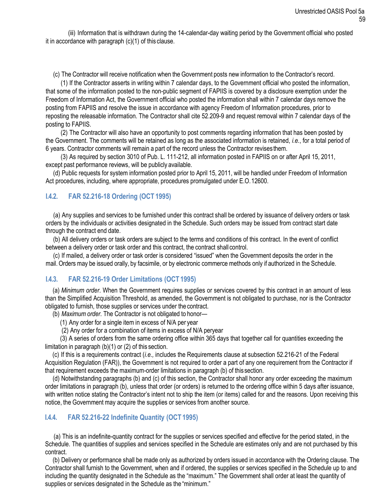(iii) Information that is withdrawn during the 14-calendar-day waiting period by the Government official who posted it in accordance with paragraph (c)(1) of this clause.

(c) The Contractor will receive notification when the Government posts new information to the Contractor's record.

(1) If the Contractor asserts in writing within 7 calendar days, to the Government official who posted the information, that some of the information posted to the non-public segment of FAPIIS is covered by a disclosure exemption under the Freedom of Information Act, the Government official who posted the information shall within 7 calendar days remove the posting from FAPIIS and resolve the issue in accordance with agency Freedom of Information procedures, prior to reposting the releasable information. The Contractor shall cit[e 52.209-9 a](https://www.acquisition.gov/far/current/html/52_207_211.html#wp1145644)nd request removal within 7 calendar days of the posting to FAPIIS.

(2) The Contractor will also have an opportunity to post comments regarding information that has been posted by the Government. The comments will be retained as long as the associated information is retained, *i.e.*, for a total period of 6 years. Contractor comments will remain a part of the record unless the Contractor revises them.

(3) As required by section 3010 of Pub. L. 111-212, all information posted in FAPIIS on or after April 15, 2011, except past performance reviews, will be publicly available.

(d) Public requests for system information posted prior to April 15, 2011, will be handled under Freedom of Information Act procedures, including, where appropriate, procedures promulgated under E.O.12600.

#### <span id="page-58-0"></span>**I.4.2. FAR 52.216-18 Ordering (OCT 1995)**

(a) Any supplies and services to be furnished under this contract shall be ordered by issuance of delivery orders or task orders by the individuals or activities designated in the Schedule. Such orders may be issued from contract start date through the contract end date.

(b) All delivery orders or task orders are subject to the terms and conditions of this contract. In the event of conflict between a delivery order or task order and this contract, the contract shall control.

(c) If mailed, a delivery order or task order is considered "issued" when the Government deposits the order in the mail.Orders may be issued orally, by facsimile, or by electronic commerce methods only if authorized in the Schedule.

#### <span id="page-58-1"></span>**I.4.3. FAR 52.216-19 Order Limitations (OCT 1995)**

(a) *Minimum order*. When the Government requires supplies or services covered by this contract in an amount of less than the Simplified Acquisition Threshold, as amended, the Government is not obligated to purchase, nor is the Contractor obligated to furnish, those supplies or services under the contract.

(b) *Maximum order*. The Contractor is not obligated to honor—

- (1) Any order for a single item in excess of N/A per year
- (2) Any order for a combination of items in excess of N/A peryear

(3) A series of orders from the same ordering office within 365 days that together call for quantities exceeding the limitation in paragraph (b)(1) or (2) of this section.

(c) If this is a requirements contract (*i.e.,* includes the Requirements clause at subsection [52.216-21 o](https://www.acquisition.gov/far/current/html/52_216.html#wp1115057)f the Federal Acquisition Regulation (FAR)), the Government is not required to order a part of any one requirement from the Contractor if that requirement exceeds the maximum-order limitations in paragraph (b) of this section.

(d) Notwithstanding paragraphs (b) and (c) of this section, the Contractor shall honor any order exceeding the maximum order limitations in paragraph (b), unless that order (or orders) is returned to the ordering office within 5 days after issuance, with written notice stating the Contractor's intent not to ship the item (or items) called for and the reasons. Upon receiving this notice, the Government may acquire the supplies or services from another source.

#### <span id="page-58-2"></span>**I.4.4. FAR 52.216-22 Indefinite Quantity (OCT 1995)**

(a) This is an indefinite-quantity contract for the supplies or services specified and effective for the period stated, in the Schedule. The quantities of supplies and services specified in the Schedule are estimates only and are not purchased by this contract.

(b) Delivery or performance shall be made only as authorized by orders issued in accordance with the Ordering clause. The Contractor shall furnish to the Government, when and if ordered, the supplies or services specified in the Schedule up to and including the quantity designated in the Schedule as the "maximum." The Government shall order at least the quantity of supplies or services designated in the Schedule as the "minimum."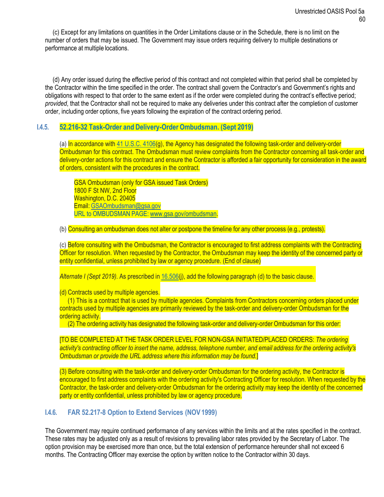(c) Except for any limitations on quantities in the Order Limitations clause or in the Schedule, there is no limit on the number of orders that may be issued. The Government may issue orders requiring delivery to multiple destinations or performance at multiple locations.

(d) Any order issued during the effective period of this contract and not completed within that period shall be completed by the Contractor within the time specified in the order. The contract shall govern the Contractor's and Government's rights and obligations with respect to that order to the same extent as if the order were completed during the contract's effective period; *provided*, that the Contractor shall not be required to make any deliveries under this contract after the completion of customer order, including order options, five years following the expiration of the contract ordering period.

#### <span id="page-59-0"></span>**I.4.5. 52.216-32 Task-Order and Delivery-Order Ombudsman. (Sept 2019)**

(a) In accordance with [41 U.S.C. 4106\(](https://www.govinfo.gov/content/pkg/USCODE-2017-title41/html/USCODE-2017-title41-subtitleI-divsnC-chap41-sec4106.htm)g), the Agency has designated the following task-order and delivery-order Ombudsman for this contract. The Ombudsman must review complaints from the Contractor concerning all task-order and delivery-order actions for this contract and ensure the Contractor is afforded a fair opportunity for consideration in the award of orders, consistent with the procedures in the contract.

GSA Ombudsman (only for GSA issued Task Orders) 1800 F St NW, 2nd Floor Washington, D.C. 20405 Email: [GSAOmbudsman@gsa.gov](mailto:GSAOmbudsman@gsa.gov) URL to OMBUDSMAN PAGE: [www.gsa.gov/ombudsman.](http://www.gsa.gov/ombudsman)

(b) Consulting an ombudsman does not alter or postpone the timeline for any other process (e.g., protests).

(c) Before consulting with the Ombudsman, the Contractor is encouraged to first address complaints with the Contracting Officer for resolution. When requested by the Contractor, the Ombudsman may keep the identity of the concerned party or entity confidential, unless prohibited by law or agency procedure. (End of clause)

*Alternate I (Sept 2019)*. As prescribed in [16.506\(](https://www.acquisition.gov/far/16.506#FAR_16_506)j), add the following paragraph (d) to the basic clause.

(d) Contracts used by multiple agencies.

(1) This is a contract that is used by multiple agencies. Complaints from Contractors concerning orders placed under contracts used by multiple agencies are primarily reviewed by the task-order and delivery-order Ombudsman for the ordering activity.

(2) The ordering activity has designated the following task-order and delivery-order Ombudsman for this order:

[TO BE COMPLETED AT THE TASK ORDER LEVEL FOR NON-GSA INITIATED/PLACED ORDERS: *The ordering* activity's contracting officer to insert the name, address, telephone number, and email address for the ordering activity's *Ombudsman or provide the URL address where this information may be found.*]

(3) Before consulting with the task-order and delivery-order Ombudsman for the ordering activity, the Contractor is encouraged to first address complaints with the ordering activity's Contracting Officer for resolution. When requested by the Contractor, the task-order and delivery-order Ombudsman for the ordering activity may keep the identity of the concerned party or entity confidential, unless prohibited by law or agency procedure.

#### **I.4.6. FAR 52.217-8 Option to Extend Services (NOV1999)**

The Government may require continued performance of any services within the limits and at the rates specified in the contract. These rates may be adjusted only as a result of revisions to prevailing labor rates provided by the Secretary of Labor. The option provision may be exercised more than once, but the total extension of performance hereunder shall not exceed 6 months. The Contracting Officer may exercise the option by written notice to the Contractor within 30 days.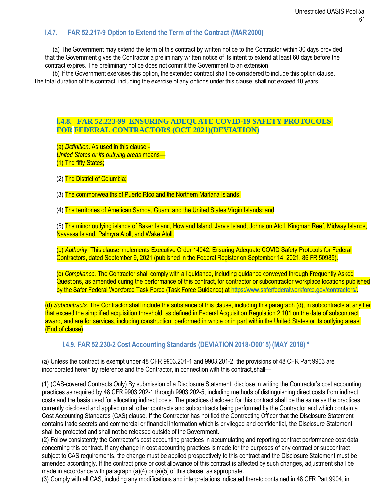#### <span id="page-60-0"></span>**I.4.7. FAR 52.217-9 Option to Extend the Term of the Contract (MAR2000)**

(a) The Government may extend the term of this contract by written notice to the Contractor within 30 days provided that the Government gives the Contractor a preliminary written notice of its intent to extend at least 60 days before the contract expires. The preliminary notice does not commit the Government to an extension.

(b) If the Government exercises this option, the extended contract shall be considered to include this option clause. The total duration of this contract, including the exercise of any options under this clause, shall not exceed 10 years.

#### **l.4.8. FAR 52.223-99 ENSURING ADEQUATE COVID-19 SAFETY PROTOCOLS FOR FEDERAL CONTRACTORS (OCT 2021)(DEVIATION)**

(a) *Definition*. As used in this clause - *United States or its outlying areas* means— (1) The fifty States;

(2) The District of Columbia;

(3) The commonwealths of Puerto Rico and the Northern Mariana Islands;

(4) The territories of American Samoa, Guam, and the United States Virgin Islands; and

(5) The minor outlying islands of Baker Island, Howland Island, Jarvis Island, Johnston Atoll, Kingman Reef, Midway Islands, Navassa Island, Palmyra Atoll, and Wake Atoll.

(b) *Authority.* This clause implements Executive Order 14042, Ensuring Adequate COVID Safety Protocols for Federal Contractors, dated September 9, 2021 (published in the Federal Register on September 14, 2021, 86 FR 50985).

(c) *Compliance.* The Contractor shall comply with all guidance, including guidance conveyed through Frequently Asked Questions, as amended during the performance of this contract, for contractor or subcontractor workplace locations published by the Safer Federal Workforce Task Force (Task Force Guidance) at https[:/www.saferfederalworkforce.gov/contractors/.](http://www.saferfederalworkforce.gov/contractors/)

(d) *Subcontracts*. The Contractor shall include the substance of this clause, including this paragraph (d), in subcontracts at any tier that exceed the simplified acquisition threshold, as defined in Federal Acquisition Regulation 2.101 on the date of subcontract award, and are for services, including construction, performed in whole or in part within the United States or its outlying areas. (End of clause)

#### **I.4.9. FAR 52.230-2 Cost Accounting Standards (DEVIATION 2018-O0015) (MAY 2018) \***

<span id="page-60-1"></span>(a) Unless the contract is exempt under 48 CFR 9903.201-1 and 9903.201-2, the provisions of 48 CFR Part 9903 are incorporated herein by reference and the Contractor, in connection with this contract, shall-

(1) (CAS-covered Contracts Only) By submission of a Disclosure Statement, disclose in writing the Contractor's cost accounting practices as required by 48 CFR 9903.202-1 through 9903.202-5, including methods of distinguishing direct costs from indirect costs and the basis used for allocating indirect costs. The practices disclosed for this contract shall be the same as the practices currently disclosed and applied on all other contracts and subcontracts being performed by the Contractor and which contain a Cost Accounting Standards (CAS) clause. If the Contractor has notified the Contracting Officer that the Disclosure Statement contains trade secrets and commercial or financial information which is privileged and confidential, the Disclosure Statement shall be protected and shall not be released outside of theGovernment.

(2) Follow consistently the Contractor's cost accounting practices in accumulating and reporting contract performance cost data concerning this contract. If any change in cost accounting practices is made for the purposes of any contract or subcontract subject to CAS requirements, the change must be applied prospectively to this contract and the Disclosure Statement must be amended accordingly. If the contract price or cost allowance of this contract is affected by such changes, adjustment shall be made in accordance with paragraph (a)(4) or (a)(5) of this clause, as appropriate.

(3) Comply with all CAS, including any modifications and interpretations indicated thereto contained in 48 CFR Part 9904, in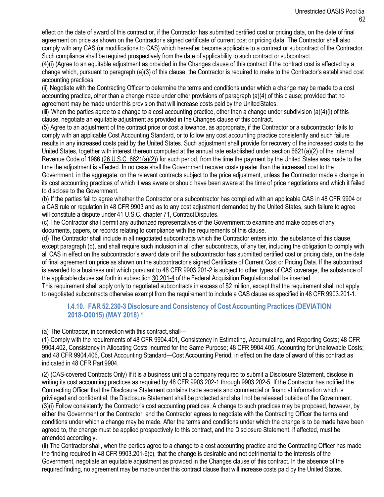effect on the date of award of this contract or, if the Contractor has submitted certified cost or pricing data, on the date of final agreement on price as shown on the Contractor's signed certificate of current cost or pricing data. The Contractor shall also comply with any CAS (or modifications to CAS) which hereafter become applicable to a contract or subcontract of the Contractor. Such compliance shall be required prospectively from the date of applicability to such contract or subcontract.

(4)(i) (Agree to an equitable adjustment as provided in the Changes clause of this contract if the contract cost is affected by a change which, pursuant to paragraph (a)(3) of this clause, the Contractor is required to make to the Contractor's established cost accounting practices.

(ii) Negotiate with the Contracting Officer to determine the terms and conditions under which a change may be made to a cost accounting practice, other than a change made under other provisions of paragraph (a)(4) of this clause; provided that no agreement may be made under this provision that will increase costs paid by the United States.

(iii) When the parties agree to a change to a cost accounting practice, other than a change under subdivision (a)(4)(i) of this clause, negotiate an equitable adjustment as provided in the Changes clause of this contract.

(5) Agree to an adjustment of the contract price or cost allowance, as appropriate, if the Contractor or a subcontractor fails to comply with an applicable Cost Accounting Standard, or to follow any cost accounting practice consistently and such failure results in any increased costs paid by the United States. Such adjustment shall provide for recovery of the increased costs to the United States, together with interest thereon computed at the annual rate established under section 6621(a)(2) of the Internal Revenue Code of 1986 [\(26 U.S.C. 6621\(a\)\(2\)\)](http://http/uscode.house.gov/) for such period, from the time the payment by the United States was made to the time the adjustment is affected. In no case shall the Government recover costs greater than the increased cost to the Government, in the aggregate, on the relevant contracts subject to the price adjustment, unless the Contractor made a change in its cost accounting practices of which it was aware or should have been aware at the time of price negotiations and which it failed to disclose to the Government.

(b) If the parties fail to agree whether the Contractor or a subcontractor has complied with an applicable CAS in 48 CFR 9904 or a CAS rule or regulation in 48 CFR 9903 and as to any cost adjustment demanded by the United States, such failure to agree will constitute a dispute under [41 U.S.C. chapter](http://uscode.house.gov/) 71, Contract Disputes.

(c) The Contractor shall permit any authorized representatives of the Government to examine and make copies of any documents, papers, or records relating to compliance with the requirements of this clause.

(d) The Contractor shall include in all negotiated subcontracts which the Contractor enters into, the substance of this clause, except paragraph (b), and shall require such inclusion in all other subcontracts, of any tier, including the obligation to comply with all CAS in effect on the subcontractor's award date or if the subcontractor has submitted certified cost or pricing data, on the date of final agreement on price as shown on the subcontractor's signed Certificate of Current Cost or Pricing Data. If the subcontract is awarded to a business unit which pursuant to 48 CFR 9903.201-2 is subject to other types of CAS coverage, the substance of the applicable clause set forth in subsection [30.201-4](https://www.acquisition.gov/sites/default/files/current/far/html/Subpart%2030_2.html#wp1068153) of the Federal Acquisition Regulation shall be inserted.

<span id="page-61-0"></span>This requirement shall apply only to negotiated subcontracts in excess of \$2 million, except that the requirement shall not apply to negotiated subcontracts otherwise exempt from the requirement to include a CAS clause as specified in 48 CFR 9903.201-1.

#### **I.4.10. FAR 52.230-3 Disclosure and Consistency of Cost Accounting Practices (DEVIATION 2018-O0015) (MAY 2018) \***

(a) The Contractor, in connection with this contract, shall—

(1) Comply with the requirements of 48 CFR 9904.401, Consistency in Estimating, Accumulating, and Reporting Costs; 48 CFR 9904.402, Consistency in Allocating Costs Incurred for the Same Purpose; 48 CFR 9904.405, Accounting for Unallowable Costs; and 48 CFR 9904.406, Cost Accounting Standard—Cost Accounting Period, in effect on the date of award of this contract as indicated in 48 CFR Part 9904.

(2) (CAS-covered Contracts Only) If it is a business unit of a company required to submit a Disclosure Statement, disclose in writing its cost accounting practices as required by 48 CFR 9903.202-1 through 9903.202-5. If the Contractor has notified the Contracting Officer that the Disclosure Statement contains trade secrets and commercial or financial information which is privileged and confidential, the Disclosure Statement shall be protected and shall not be released outside of the Government. (3)(i) Follow consistently the Contractor's cost accounting practices. A change to such practices may be proposed, however, by either the Government or the Contractor, and the Contractor agrees to negotiate with the Contracting Officer the terms and conditions under which a change may be made. After the terms and conditions under which the change is to be made have been agreed to, the change must be applied prospectively to this contract, and the Disclosure Statement, if affected, must be amended accordingly.

(ii) The Contractor shall, when the parties agree to a change to a cost accounting practice and the Contracting Officer has made the finding required in 48 CFR 9903.201-6(c), that the change is desirable and not detrimental to the interests of the Government, negotiate an equitable adjustment as provided in the Changes clause of this contract. In the absence of the required finding, no agreement may be made under this contract clause that will increase costs paid by the United States.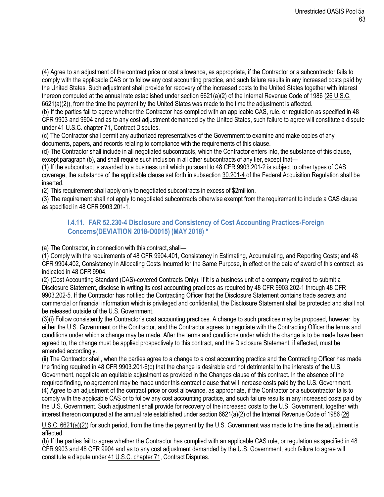(4) Agree to an adjustment of the contract price or cost allowance, as appropriate, if the Contractor or a subcontractor fails to comply with the applicable CAS or to follow any cost accounting practice, and such failure results in any increased costs paid by the United States. Such adjustment shall provide for recovery of the increased costs to the United States together with interest thereon computed at the annual rate established under section 6621(a)(2) of the Internal Revenue Code of 1986 [\(26 U.S.C.](http://uscode.house.gov/uscode) [6621\(a\)\(2\)\)](http://uscode.house.gov/uscode), from the time the payment by the United States was made to the time the adjustment is affected.

(b) If the parties fail to agree whether the Contractor has complied with an applicable CAS, rule, or regulation as specified in 48 CFR 9903 and 9904 and as to any cost adjustment demanded by the United States, such failure to agree will constitute a dispute under [41 U.S.C. chapter](http://uscode.house.gov/) 71, Contract Disputes.

(c) The Contractor shall permit any authorized representatives of the Government to examine and make copies of any documents, papers, and records relating to compliance with the requirements of this clause.

(d) The Contractor shall include in all negotiated subcontracts, which the Contractor enters into, the substance of this clause, except paragraph (b), and shall require such inclusion in all other subcontracts of any tier, except that—

(1) If the subcontract is awarded to a business unit which pursuant to 48 CFR 9903.201-2 is subject to other types of CAS coverage, the substance of the applicable clause set forth in subsectio[n 30.201-4 o](https://www.acquisition.gov/sites/default/files/current/far/html/Subpart%2030_2.html#wp1068153)f the Federal Acquisition Regulation shall be inserted.

(2) This requirement shall apply only to negotiated subcontracts in excess of \$2million.

<span id="page-62-0"></span>(3) The requirement shall not apply to negotiated subcontracts otherwise exempt from the requirement to include a CAS clause as specified in 48 CFR9903.201-1.

#### **I.4.11. FAR 52.230-4 Disclosure and Consistency of Cost Accounting Practices-Foreign Concerns(DEVIATION 2018-O0015) (MAY 2018) \***

(a) The Contractor, in connection with this contract, shall—

(1) Comply with the requirements of 48 CFR 9904.401, Consistency in Estimating, Accumulating, and Reporting Costs; and 48 CFR 9904.402, Consistency in Allocating Costs Incurred for the Same Purpose, in effect on the date of award of this contract, as indicated in 48 CFR 9904.

(2) (Cost Accounting Standard (CAS)-covered Contracts Only). If it is a business unit of a company required to submit a Disclosure Statement, disclose in writing its cost accounting practices as required by 48 CFR 9903.202-1 through 48 CFR 9903.202-5. If the Contractor has notified the Contracting Officer that the Disclosure Statement contains trade secrets and commercial or financial information which is privileged and confidential, the Disclosure Statement shall be protected and shall not be released outside of the U.S. Government.

(3)(i) Follow consistently the Contractor's cost accounting practices. A change to such practices may be proposed, however, by either the U.S. Government or the Contractor, and the Contractor agrees to negotiate with the Contracting Officer the terms and conditions under which a change may be made. After the terms and conditions under which the change is to be made have been agreed to, the change must be applied prospectively to this contract, and the Disclosure Statement, if affected, must be amended accordingly.

(ii) The Contractor shall, when the parties agree to a change to a cost accounting practice and the Contracting Officer has made the finding required in 48 CFR 9903.201-6(c) that the change is desirable and not detrimental to the interests of the U.S. Government, negotiate an equitable adjustment as provided in the Changes clause of this contract. In the absence of the required finding, no agreement may be made under this contract clause that will increase costs paid by the U.S. Government. (4) Agree to an adjustment of the contract price or cost allowance, as appropriate, if the Contractor or a subcontractor fails to comply with the applicable CAS or to follow any cost accounting practice, and such failure results in any increased costs paid by the U.S. Government. Such adjustment shall provide for recovery of the increased costs to the U.S. Government, together with interest thereon computed at the annual rate established under section 6621(a)(2) of the Internal Revenue Code of 1986 [\(26](http://uscode.house.gov/)

[U.S.C. 6621\(a\)\(2\)\)](http://uscode.house.gov/) for such period, from the time the payment by the U.S. Government was made to the time the adjustment is affected.

(b) If the parties fail to agree whether the Contractor has complied with an applicable CAS rule, or regulation as specified in 48 CFR 9903 and 48 CFR 9904 and as to any cost adjustment demanded by the U.S. Government, such failure to agree will constitute a dispute under 41 [U.S.C. chapter](http://uscode.house.gov/) 71, Contract Disputes.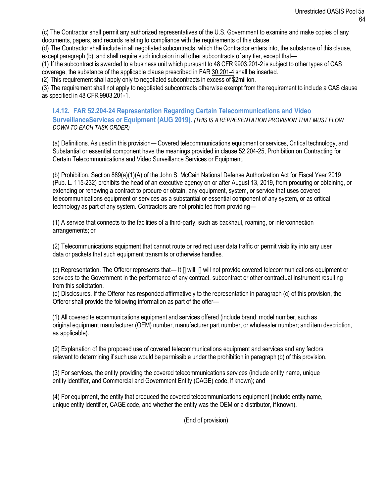(c) The Contractor shall permit any authorized representatives of the U.S. Government to examine and make copies of any documents, papers, and records relating to compliance with the requirements of this clause.

(d) The Contractor shall include in all negotiated subcontracts, which the Contractor enters into, the substance of this clause, except paragraph (b), and shall require such inclusion in all other subcontracts of any tier, except that—

(1) If the subcontract is awarded to a business unit which pursuant to 48 CFR 9903.201-2 is subject to other types of CAS coverage, the substance of the applicable clause prescribed in FAR [30.201-4](https://www.acquisition.gov/sites/default/files/current/far/html/Subpart%2030_2.html#wp1068153) shall be inserted.

(2) This requirement shall apply only to negotiated subcontracts in excess of \$2million.

(3) The requirement shall not apply to negotiated subcontracts otherwise exempt from the requirement to include a CAS clause as specified in 48 CFR9903.201-1.

#### <span id="page-63-0"></span>**I.4.12. FAR 52.204-24 Representation Regarding Certain Telecommunications and Video SurveillanceServices or Equipment (AUG 2019).** *(THIS IS A REPRESENTATION PROVISION THAT MUST FLOW DOWN TO EACH TASK ORDER)*

(a) Definitions. As used in this provision— Covered telecommunications equipment or services, Critical technology, and Substantial or essential component have the meanings provided in clause 52.204-25, Prohibition on Contracting for Certain Telecommunications and Video Surveillance Services or Equipment.

(b) Prohibition. Section 889(a)(1)(A) of the John S. McCain National Defense Authorization Act for Fiscal Year 2019 (Pub. L. 115-232) prohibits the head of an executive agency on or after August 13, 2019, from procuring or obtaining, or extending or renewing a contract to procure or obtain, any equipment, system, or service that uses covered telecommunications equipment or services as a substantial or essential component of any system, or as critical technology as part of any system. Contractors are not prohibited from providing—

(1) A service that connects to the facilities of a third-party, such as backhaul, roaming, or interconnection arrangements; or

(2) Telecommunications equipment that cannot route or redirect user data traffic or permit visibility into any user data or packets that such equipment transmits or otherwise handles.

(c) Representation. The Offeror represents that— It [] will, [] will not provide covered telecommunications equipment or services to the Government in the performance of any contract, subcontract or other contractual instrument resulting from this solicitation.

(d) Disclosures. If the Offeror has responded affirmatively to the representation in paragraph (c) of this provision, the Offeror shall provide the following information as part of the offer—

(1) All covered telecommunications equipment and services offered (include brand; model number, such as original equipment manufacturer (OEM) number, manufacturer part number, or wholesaler number; and item description, as applicable).

(2) Explanation of the proposed use of covered telecommunications equipment and services and any factors relevant to determining if such use would be permissible under the prohibition in paragraph (b) of this provision.

(3) For services, the entity providing the covered telecommunications services (include entity name, unique entity identifier, and Commercial and Government Entity (CAGE) code, if known); and

(4) For equipment, the entity that produced the covered telecommunications equipment (include entity name, unique entity identifier, CAGE code, and whether the entity was the OEM or a distributor, if known).

(End of provision)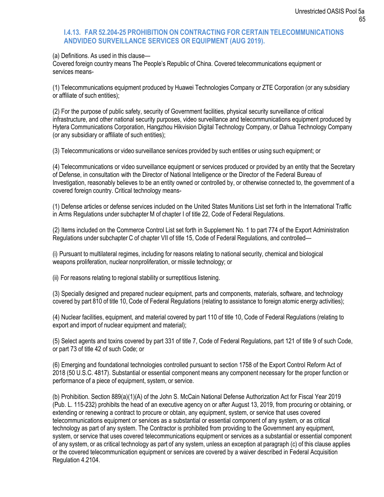#### **I.4.13. FAR 52.204-25 PROHIBITION ON CONTRACTING FOR CERTAIN TELECOMMUNICATIONS ANDVIDEO SURVEILLANCE SERVICES OR EQUIPMENT (AUG 2019).**

(a) Definitions. As used in this clause—

Covered foreign country means The People's Republic of China. Covered telecommunications equipment or services means-

(1) Telecommunications equipment produced by Huawei Technologies Company or ZTE Corporation (or any subsidiary or affiliate of such entities);

(2) For the purpose of public safety, security of Government facilities, physical security surveillance of critical infrastructure, and other national security purposes, video surveillance and telecommunications equipment produced by Hytera Communications Corporation, Hangzhou Hikvision Digital Technology Company, or Dahua Technology Company (or any subsidiary or affiliate of such entities);

(3) Telecommunications or video surveillance services provided by such entities or using such equipment; or

(4) Telecommunications or video surveillance equipment or services produced or provided by an entity that the Secretary of Defense, in consultation with the Director of National Intelligence or the Director of the Federal Bureau of Investigation, reasonably believes to be an entity owned or controlled by, or otherwise connected to, the government of a covered foreign country. Critical technology means-

(1) Defense articles or defense services included on the United States Munitions List set forth in the International Traffic in Arms Regulations under subchapter M of chapter I of title 22, Code of Federal Regulations.

(2) Items included on the Commerce Control List set forth in Supplement No. 1 to part 774 of the Export Administration Regulations under subchapter C of chapter VII of title 15, Code of Federal Regulations, and controlled—

(i) Pursuant to multilateral regimes, including for reasons relating to national security, chemical and biological weapons proliferation, nuclear nonproliferation, or missile technology; or

(ii) For reasons relating to regional stability or surreptitious listening.

(3) Specially designed and prepared nuclear equipment, parts and components, materials, software, and technology covered by part 810 of title 10, Code of Federal Regulations (relating to assistance to foreign atomic energy activities);

(4) Nuclear facilities, equipment, and material covered by part 110 of title 10, Code of Federal Regulations (relating to export and import of nuclear equipment and material);

(5) Select agents and toxins covered by part 331 of title 7, Code of Federal Regulations, part 121 of title 9 of such Code, or part 73 of title 42 of such Code; or

(6) Emerging and foundational technologies controlled pursuant to section 1758 of the Export Control Reform Act of 2018 (50 U.S.C. 4817). Substantial or essential component means any component necessary for the proper function or performance of a piece of equipment, system, or service.

(b) Prohibition. Section 889(a)(1)(A) of the John S. McCain National Defense Authorization Act for Fiscal Year 2019 (Pub. L. 115-232) prohibits the head of an executive agency on or after August 13, 2019, from procuring or obtaining, or extending or renewing a contract to procure or obtain, any equipment, system, or service that uses covered telecommunications equipment or services as a substantial or essential component of any system, or as critical technology as part of any system. The Contractor is prohibited from providing to the Government any equipment, system, or service that uses covered telecommunications equipment or services as a substantial or essential component of any system, or as critical technology as part of any system, unless an exception at paragraph (c) of this clause applies or the covered telecommunication equipment or services are covered by a waiver described in Federal Acquisition Regulation 4.2104.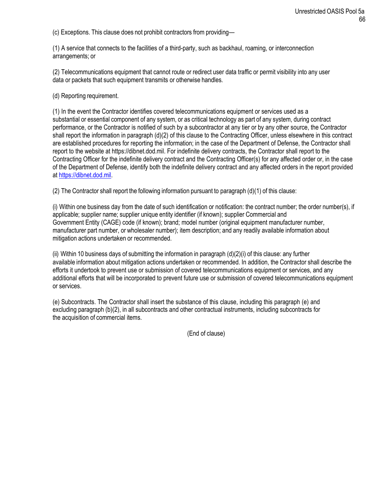(c) Exceptions. This clause does not prohibit contractors from providing—

(1) A service that connects to the facilities of a third-party, such as backhaul, roaming, or interconnection arrangements; or

(2) Telecommunications equipment that cannot route or redirect user data traffic or permit visibility into any user data or packets that such equipment transmits or otherwise handles.

(d) Reporting requirement.

(1) In the event the Contractor identifies covered telecommunications equipment or services used as a substantial or essential component of any system, or as critical technology as part of any system, during contract performance, or the Contractor is notified of such by a subcontractor at any tier or by any other source, the Contractor shall report the information in paragraph (d)(2) of this clause to the Contracting Officer, unless elsewhere in this contract are established procedures for reporting the information; in the case of the Department of Defense, the Contractor shall report to the website at https://dibnet.dod.mil. For indefinite delivery contracts, the Contractor shall report to the Contracting Officer for the indefinite delivery contract and the Contracting Officer(s) for any affected order or, in the case of the Department of Defense, identify both the indefinite delivery contract and any affected orders in the report provided at [https://dibnet.dod.mil.](https://dibnet.dod.mil/)

(2) The Contractor shall report the following information pursuant to paragraph  $(d)(1)$  of this clause:

(i) Within one business day from the date of such identification or notification: the contract number; the order number(s), if applicable; supplier name; supplier unique entity identifier (if known); supplier Commercial and Government Entity (CAGE) code (if known); brand; model number (original equipment manufacturer number, manufacturer part number, or wholesaler number); item description; and any readily available information about mitigation actions undertaken or recommended.

(ii) Within 10 business days of submitting the information in paragraph (d)(2)(i) of this clause: any further available information about mitigation actions undertaken or recommended. In addition, the Contractor shall describe the efforts it undertook to prevent use or submission of covered telecommunications equipment or services, and any additional efforts that will be incorporated to prevent future use or submission of covered telecommunications equipment or services.

(e) Subcontracts. The Contractor shall insert the substance of this clause, including this paragraph (e) and excluding paragraph (b)(2), in all subcontracts and other contractual instruments, including subcontracts for the acquisition of commercial items.

(End of clause)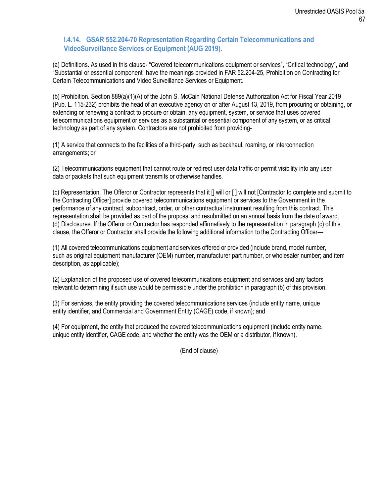#### <span id="page-66-0"></span>**I.4.14. GSAR 552.204-70 Representation Regarding Certain Telecommunications and VideoSurveillance Services or Equipment (AUG 2019).**

(a) Definitions. As used in this clause- "Covered telecommunications equipment or services", "Critical technology", and "Substantial or essential component" have the meanings provided in FAR 52.204-25, Prohibition on Contracting for Certain Telecommunications and Video Surveillance Services or Equipment.

(b) Prohibition. Section 889(a)(1)(A) of the John S. McCain National Defense Authorization Act for Fiscal Year 2019 (Pub. L. 115-232) prohibits the head of an executive agency on or after August 13, 2019, from procuring or obtaining, or extending or renewing a contract to procure or obtain, any equipment, system, or service that uses covered telecommunications equipment or services as a substantial or essential component of any system, or as critical technology as part of any system. Contractors are not prohibited from providing-

(1) A service that connects to the facilities of a third-party, such as backhaul, roaming, or interconnection arrangements; or

(2) Telecommunications equipment that cannot route or redirect user data traffic or permit visibility into any user data or packets that such equipment transmits or otherwise handles.

(c) Representation. The Offeror or Contractor represents that it [] will or [ ] will not [Contractor to complete and submit to the Contracting Officer] provide covered telecommunications equipment or services to the Government in the performance of any contract, subcontract, order, or other contractual instrument resulting from this contract. This representation shall be provided as part of the proposal and resubmitted on an annual basis from the date of award. (d) Disclosures. If the Offeror or Contractor has responded affirmatively to the representation in paragraph (c) of this clause, the Offeror or Contractor shall provide the following additional information to the Contracting Officer—

(1) All covered telecommunications equipment and services offered or provided (include brand, model number, such as original equipment manufacturer (OEM) number, manufacturer part number, or wholesaler number; and item description, as applicable);

(2) Explanation of the proposed use of covered telecommunications equipment and services and any factors relevant to determining if such use would be permissible under the prohibition in paragraph (b) of this provision.

(3) For services, the entity providing the covered telecommunications services (include entity name, unique entity identifier, and Commercial and Government Entity (CAGE) code, if known); and

(4) For equipment, the entity that produced the covered telecommunications equipment (include entity name, unique entity identifier, CAGE code, and whether the entity was the OEM or a distributor, if known).

(End of clause)